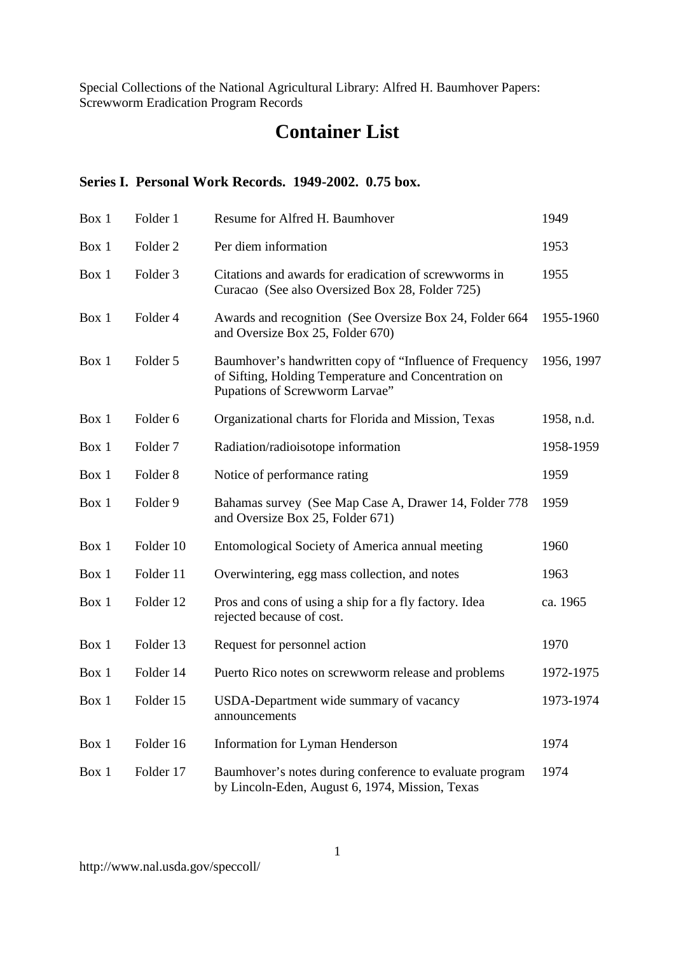# **Container List**

# **Series I. Personal Work Records. 1949-2002. 0.75 box.**

| Box 1 | Folder 1            | Resume for Alfred H. Baumhover                                                                                                                    | 1949       |
|-------|---------------------|---------------------------------------------------------------------------------------------------------------------------------------------------|------------|
| Box 1 | Folder <sub>2</sub> | Per diem information                                                                                                                              | 1953       |
| Box 1 | Folder 3            | Citations and awards for eradication of screwworms in<br>Curacao (See also Oversized Box 28, Folder 725)                                          | 1955       |
| Box 1 | Folder 4            | Awards and recognition (See Oversize Box 24, Folder 664<br>and Oversize Box 25, Folder 670)                                                       | 1955-1960  |
| Box 1 | Folder 5            | Baumhover's handwritten copy of "Influence of Frequency<br>of Sifting, Holding Temperature and Concentration on<br>Pupations of Screwworm Larvae" | 1956, 1997 |
| Box 1 | Folder 6            | Organizational charts for Florida and Mission, Texas                                                                                              | 1958, n.d. |
| Box 1 | Folder <sub>7</sub> | Radiation/radioisotope information                                                                                                                | 1958-1959  |
| Box 1 | Folder <sub>8</sub> | Notice of performance rating                                                                                                                      | 1959       |
| Box 1 | Folder 9            | Bahamas survey (See Map Case A, Drawer 14, Folder 778<br>and Oversize Box 25, Folder 671)                                                         | 1959       |
| Box 1 | Folder 10           | Entomological Society of America annual meeting                                                                                                   | 1960       |
| Box 1 | Folder 11           | Overwintering, egg mass collection, and notes                                                                                                     | 1963       |
| Box 1 | Folder 12           | Pros and cons of using a ship for a fly factory. Idea<br>rejected because of cost.                                                                | ca. 1965   |
| Box 1 | Folder 13           | Request for personnel action                                                                                                                      | 1970       |
| Box 1 | Folder 14           | Puerto Rico notes on screwworm release and problems                                                                                               | 1972-1975  |
| Box 1 | Folder 15           | USDA-Department wide summary of vacancy<br>announcements                                                                                          | 1973-1974  |
| Box 1 | Folder 16           | Information for Lyman Henderson                                                                                                                   | 1974       |
| Box 1 | Folder 17           | Baumhover's notes during conference to evaluate program<br>by Lincoln-Eden, August 6, 1974, Mission, Texas                                        | 1974       |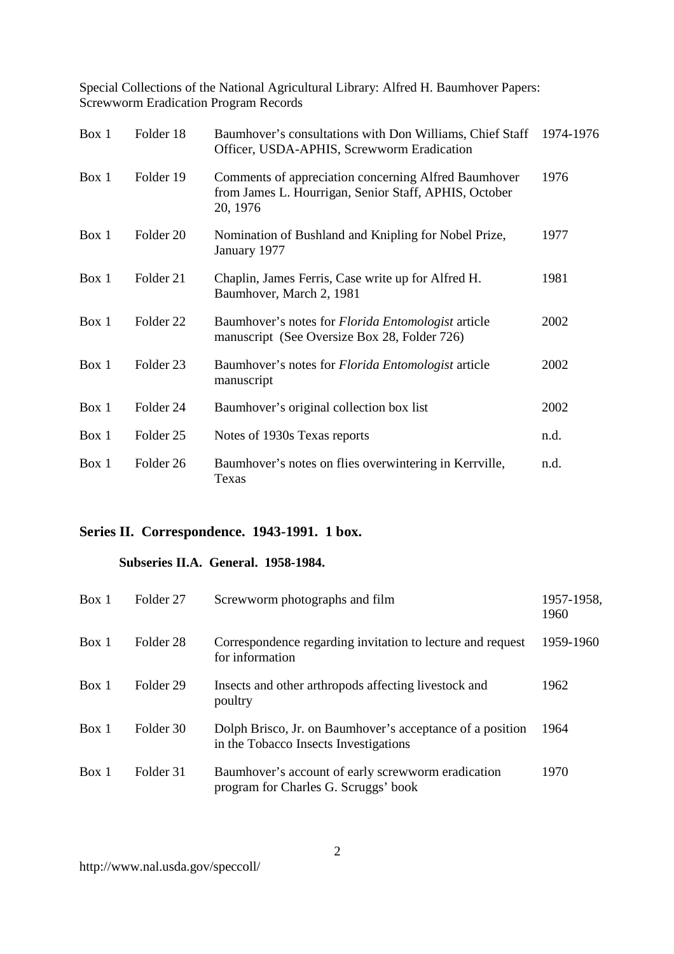| Box 1 | Folder 18            | Baumhover's consultations with Don Williams, Chief Staff<br>Officer, USDA-APHIS, Screwworm Eradication                    | 1974-1976 |
|-------|----------------------|---------------------------------------------------------------------------------------------------------------------------|-----------|
| Box 1 | Folder 19            | Comments of appreciation concerning Alfred Baumhover<br>from James L. Hourrigan, Senior Staff, APHIS, October<br>20, 1976 | 1976      |
| Box 1 | Folder 20            | Nomination of Bushland and Knipling for Nobel Prize,<br>January 1977                                                      | 1977      |
| Box 1 | Folder 21            | Chaplin, James Ferris, Case write up for Alfred H.<br>Baumhover, March 2, 1981                                            | 1981      |
| Box 1 | Folder <sub>22</sub> | Baumhover's notes for <i>Florida Entomologist</i> article<br>manuscript (See Oversize Box 28, Folder 726)                 | 2002      |
| Box 1 | Folder <sub>23</sub> | Baumhover's notes for <i>Florida Entomologist</i> article<br>manuscript                                                   | 2002      |
| Box 1 | Folder 24            | Baumhover's original collection box list                                                                                  | 2002      |
| Box 1 | Folder 25            | Notes of 1930s Texas reports                                                                                              | n.d.      |
| Box 1 | Folder <sub>26</sub> | Baumhover's notes on flies overwintering in Kerrville,<br>Texas                                                           | n.d.      |

# **Series II. Correspondence. 1943-1991. 1 box.**

#### **Subseries II.A. General. 1958-1984.**

| Box 1 | Folder 27 | Screwworm photographs and film                                                                     | 1957-1958,<br>1960 |
|-------|-----------|----------------------------------------------------------------------------------------------------|--------------------|
| Box 1 | Folder 28 | Correspondence regarding invitation to lecture and request<br>for information                      | 1959-1960          |
| Box 1 | Folder 29 | Insects and other arthropods affecting livestock and<br>poultry                                    | 1962               |
| Box 1 | Folder 30 | Dolph Brisco, Jr. on Baumhover's acceptance of a position<br>in the Tobacco Insects Investigations | 1964               |
| Box 1 | Folder 31 | Baumhover's account of early screwworm eradication<br>program for Charles G. Scruggs' book         | 1970               |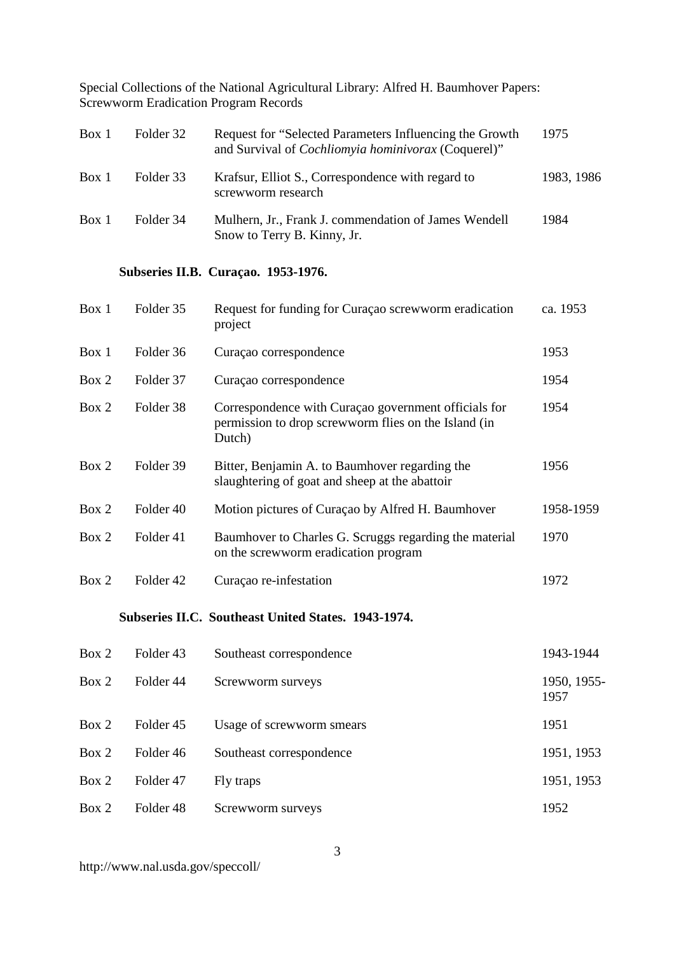| Box 1 | Folder 32 | Request for "Selected Parameters Influencing the Growth<br>and Survival of <i>Cochliomyia hominivorax</i> (Coquerel)" | 1975       |
|-------|-----------|-----------------------------------------------------------------------------------------------------------------------|------------|
| Box 1 | Folder 33 | Krafsur, Elliot S., Correspondence with regard to<br>screwworm research                                               | 1983, 1986 |
| Box 1 | Folder 34 | Mulhern, Jr., Frank J. commendation of James Wendell<br>Snow to Terry B. Kinny, Jr.                                   | 1984       |

# **Subseries II.B. Curaçao. 1953-1976.**

| Box 1 | Folder 35            | Request for funding for Curaçao screwworm eradication<br>project                                                       | ca. 1953  |
|-------|----------------------|------------------------------------------------------------------------------------------------------------------------|-----------|
| Box 1 | Folder 36            | Curação correspondence                                                                                                 | 1953      |
| Box 2 | Folder 37            | Curação correspondence                                                                                                 | 1954      |
| Box 2 | Folder 38            | Correspondence with Curaçao government officials for<br>permission to drop screwworm flies on the Island (in<br>Dutch) | 1954      |
| Box 2 | Folder 39            | Bitter, Benjamin A. to Baumhover regarding the<br>slaughtering of goat and sheep at the abattoir                       | 1956      |
| Box 2 | Folder <sub>40</sub> | Motion pictures of Curaçao by Alfred H. Baumhover                                                                      | 1958-1959 |
| Box 2 | Folder 41            | Baumhover to Charles G. Scruggs regarding the material<br>on the screwworm eradication program                         | 1970      |
| Box 2 | Folder <sub>42</sub> | Curaçao re-infestation                                                                                                 | 1972      |

# **Subseries II.C. Southeast United States. 1943-1974.**

| Box 2 | Folder 43 | Southeast correspondence  | 1943-1944           |
|-------|-----------|---------------------------|---------------------|
| Box 2 | Folder 44 | Screwworm surveys         | 1950, 1955-<br>1957 |
| Box 2 | Folder 45 | Usage of screwworm smears | 1951                |
| Box 2 | Folder 46 | Southeast correspondence  | 1951, 1953          |
| Box 2 | Folder 47 | Fly traps                 | 1951, 1953          |
| Box 2 | Folder 48 | Screwworm surveys         | 1952                |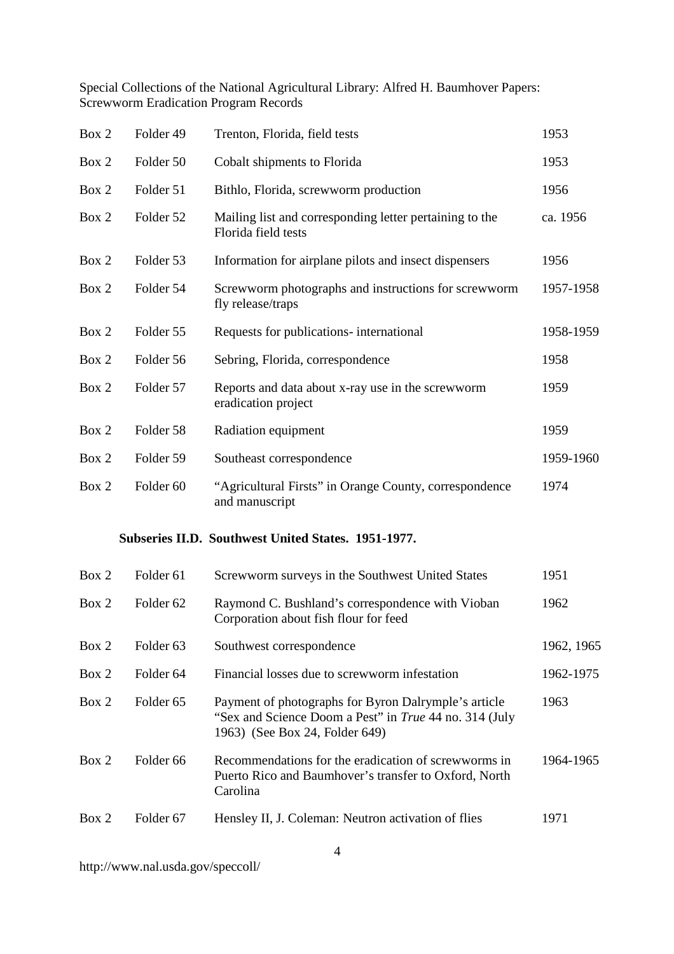| Box 2 | Folder 49            | Trenton, Florida, field tests                                                                                                                    | 1953       |
|-------|----------------------|--------------------------------------------------------------------------------------------------------------------------------------------------|------------|
| Box 2 | Folder 50            | Cobalt shipments to Florida                                                                                                                      | 1953       |
| Box 2 | Folder 51            | Bithlo, Florida, screwworm production                                                                                                            | 1956       |
| Box 2 | Folder 52            | Mailing list and corresponding letter pertaining to the<br>Florida field tests                                                                   | ca. 1956   |
| Box 2 | Folder 53            | Information for airplane pilots and insect dispensers                                                                                            | 1956       |
| Box 2 | Folder 54            | Screwworm photographs and instructions for screwworm<br>fly release/traps                                                                        | 1957-1958  |
| Box 2 | Folder 55            | Requests for publications- international                                                                                                         | 1958-1959  |
| Box 2 | Folder 56            | Sebring, Florida, correspondence                                                                                                                 | 1958       |
| Box 2 | Folder 57            | Reports and data about x-ray use in the screwworm<br>eradication project                                                                         | 1959       |
| Box 2 | Folder 58            | Radiation equipment                                                                                                                              | 1959       |
| Box 2 | Folder 59            | Southeast correspondence                                                                                                                         | 1959-1960  |
| Box 2 | Folder <sub>60</sub> | "Agricultural Firsts" in Orange County, correspondence<br>and manuscript                                                                         | 1974       |
|       |                      | Subseries II.D. Southwest United States. 1951-1977.                                                                                              |            |
| Box 2 | Folder 61            | Screwworm surveys in the Southwest United States                                                                                                 | 1951       |
| Box 2 | Folder 62            | Raymond C. Bushland's correspondence with Vioban<br>Corporation about fish flour for feed                                                        | 1962       |
| Box 2 | Folder <sub>63</sub> | Southwest correspondence                                                                                                                         | 1962, 1965 |
| Box 2 | Folder <sub>64</sub> | Financial losses due to screwworm infestation                                                                                                    | 1962-1975  |
| Box 2 | Folder <sub>65</sub> | Payment of photographs for Byron Dalrymple's article<br>"Sex and Science Doom a Pest" in True 44 no. 314 (July<br>1963) (See Box 24, Folder 649) | 1963       |
| Box 2 | Folder <sub>66</sub> | Recommendations for the eradication of screwworms in<br>Puerto Rico and Baumhover's transfer to Oxford, North<br>Carolina                        | 1964-1965  |
| Box 2 | Folder 67            | Hensley II, J. Coleman: Neutron activation of flies                                                                                              | 1971       |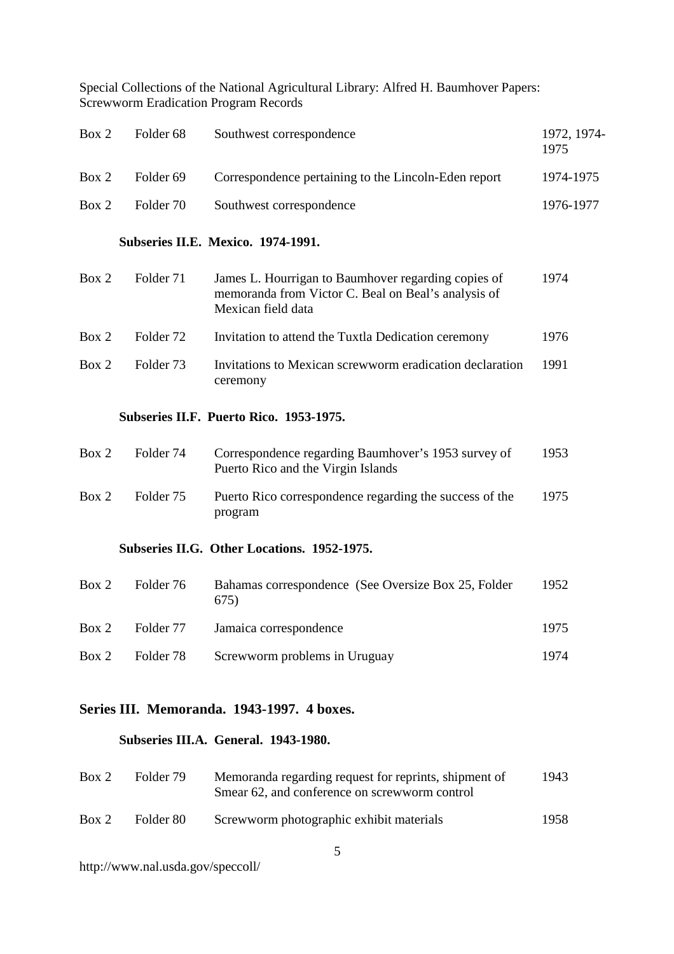| Box 2 | Folder <sub>68</sub> | Southwest correspondence                                                                                                         | 1972, 1974-<br>1975 |
|-------|----------------------|----------------------------------------------------------------------------------------------------------------------------------|---------------------|
| Box 2 | Folder <sub>69</sub> | Correspondence pertaining to the Lincoln-Eden report                                                                             | 1974-1975           |
| Box 2 | Folder 70            | Southwest correspondence                                                                                                         | 1976-1977           |
|       |                      | Subseries II.E. Mexico. 1974-1991.                                                                                               |                     |
| Box 2 | Folder 71            | James L. Hourrigan to Baumhover regarding copies of<br>memoranda from Victor C. Beal on Beal's analysis of<br>Mexican field data | 1974                |
| Box 2 | Folder <sub>72</sub> | Invitation to attend the Tuxtla Dedication ceremony                                                                              | 1976                |
| Box 2 | Folder <sub>73</sub> | Invitations to Mexican screwworm eradication declaration<br>ceremony                                                             | 1991                |
|       |                      |                                                                                                                                  |                     |
|       |                      | Subseries II.F. Puerto Rico. 1953-1975.                                                                                          |                     |
| Box 2 | Folder 74            | Correspondence regarding Baumhover's 1953 survey of<br>Puerto Rico and the Virgin Islands                                        | 1953                |
| Box 2 | Folder <sub>75</sub> | Puerto Rico correspondence regarding the success of the<br>program                                                               | 1975                |
|       |                      | Subseries II.G. Other Locations. 1952-1975.                                                                                      |                     |
| Box 2 | Folder 76            | Bahamas correspondence (See Oversize Box 25, Folder<br>675)                                                                      | 1952                |
| Box 2 | Folder 77            | Jamaica correspondence                                                                                                           | 1975                |

# **Series III. Memoranda. 1943-1997. 4 boxes.**

### **Subseries III.A. General. 1943-1980.**

| Box 2 | Folder 79 | Memoranda regarding request for reprints, shipment of<br>Smear 62, and conference on screwworm control | 1943 |
|-------|-----------|--------------------------------------------------------------------------------------------------------|------|
| Box 2 | Folder 80 | Screwworm photographic exhibit materials                                                               | 1958 |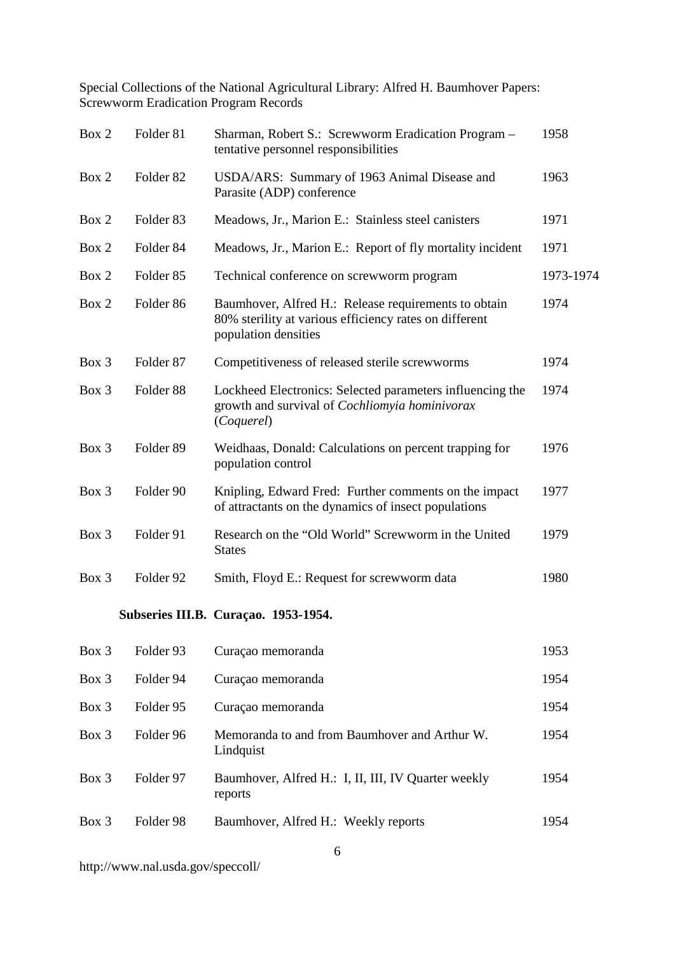| Box 2 | Folder 81            | Sharman, Robert S.: Screwworm Eradication Program -<br>tentative personnel responsibilities                                            | 1958      |
|-------|----------------------|----------------------------------------------------------------------------------------------------------------------------------------|-----------|
| Box 2 | Folder <sub>82</sub> | USDA/ARS: Summary of 1963 Animal Disease and<br>Parasite (ADP) conference                                                              | 1963      |
| Box 2 | Folder <sub>83</sub> | Meadows, Jr., Marion E.: Stainless steel canisters                                                                                     | 1971      |
| Box 2 | Folder 84            | Meadows, Jr., Marion E.: Report of fly mortality incident                                                                              | 1971      |
| Box 2 | Folder <sub>85</sub> | Technical conference on screwworm program                                                                                              | 1973-1974 |
| Box 2 | Folder <sub>86</sub> | Baumhover, Alfred H.: Release requirements to obtain<br>80% sterility at various efficiency rates on different<br>population densities | 1974      |
| Box 3 | Folder 87            | Competitiveness of released sterile screwworms                                                                                         | 1974      |
| Box 3 | Folder <sub>88</sub> | Lockheed Electronics: Selected parameters influencing the<br>growth and survival of Cochliomyia hominivorax<br>(Coquerel)              | 1974      |
| Box 3 | Folder 89            | Weidhaas, Donald: Calculations on percent trapping for<br>population control                                                           | 1976      |
| Box 3 | Folder 90            | Knipling, Edward Fred: Further comments on the impact<br>of attractants on the dynamics of insect populations                          | 1977      |
| Box 3 | Folder 91            | Research on the "Old World" Screwworm in the United<br><b>States</b>                                                                   | 1979      |
| Box 3 | Folder 92            | Smith, Floyd E.: Request for screwworm data                                                                                            | 1980      |
|       |                      | Subseries III.B. Curaçao. 1953-1954.                                                                                                   |           |
| Box 3 | Folder 93            | Curaçao memoranda                                                                                                                      | 1953      |

| Box 3    | Folder 94 | Curação memoranda                                              | 1954  |
|----------|-----------|----------------------------------------------------------------|-------|
| $Box\ 3$ | Folder 95 | Curação memoranda                                              | 1954  |
| $Box\ 3$ | Folder 96 | Memoranda to and from Baumhover and Arthur W.<br>Lindquist     | 1954  |
| $Box\ 3$ | Folder 97 | Baumhover, Alfred H.: I, II, III, IV Quarter weekly<br>reports | 1954  |
| Box 3    | Folder 98 | Baumhover, Alfred H.: Weekly reports                           | 1954. |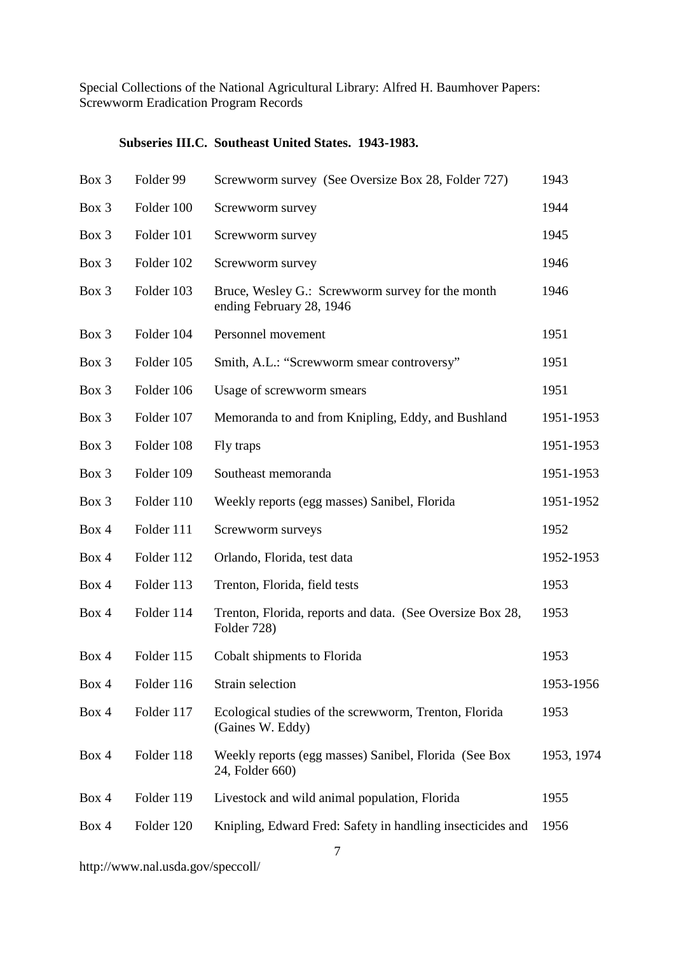#### **Subseries III.C. Southeast United States. 1943-1983.**

| Box 3 | Folder 99  | Screwworm survey (See Oversize Box 28, Folder 727)                           | 1943       |
|-------|------------|------------------------------------------------------------------------------|------------|
| Box 3 | Folder 100 | Screwworm survey                                                             | 1944       |
| Box 3 | Folder 101 | Screwworm survey                                                             | 1945       |
| Box 3 | Folder 102 | Screwworm survey                                                             | 1946       |
| Box 3 | Folder 103 | Bruce, Wesley G.: Screwworm survey for the month<br>ending February 28, 1946 | 1946       |
| Box 3 | Folder 104 | Personnel movement                                                           | 1951       |
| Box 3 | Folder 105 | Smith, A.L.: "Screwworm smear controversy"                                   | 1951       |
| Box 3 | Folder 106 | Usage of screwworm smears                                                    | 1951       |
| Box 3 | Folder 107 | Memoranda to and from Knipling, Eddy, and Bushland                           | 1951-1953  |
| Box 3 | Folder 108 | Fly traps                                                                    | 1951-1953  |
| Box 3 | Folder 109 | Southeast memoranda                                                          | 1951-1953  |
| Box 3 | Folder 110 | Weekly reports (egg masses) Sanibel, Florida                                 | 1951-1952  |
| Box 4 | Folder 111 | Screwworm surveys                                                            | 1952       |
| Box 4 | Folder 112 | Orlando, Florida, test data                                                  | 1952-1953  |
| Box 4 | Folder 113 | Trenton, Florida, field tests                                                | 1953       |
| Box 4 | Folder 114 | Trenton, Florida, reports and data. (See Oversize Box 28,<br>Folder 728)     | 1953       |
| Box 4 | Folder 115 | Cobalt shipments to Florida                                                  | 1953       |
| Box 4 | Folder 116 | Strain selection                                                             | 1953-1956  |
| Box 4 | Folder 117 | Ecological studies of the screwworm, Trenton, Florida<br>(Gaines W. Eddy)    | 1953       |
| Box 4 | Folder 118 | Weekly reports (egg masses) Sanibel, Florida (See Box<br>24, Folder 660)     | 1953, 1974 |
| Box 4 | Folder 119 | Livestock and wild animal population, Florida                                | 1955       |
| Box 4 | Folder 120 | Knipling, Edward Fred: Safety in handling insecticides and                   | 1956       |
|       |            |                                                                              |            |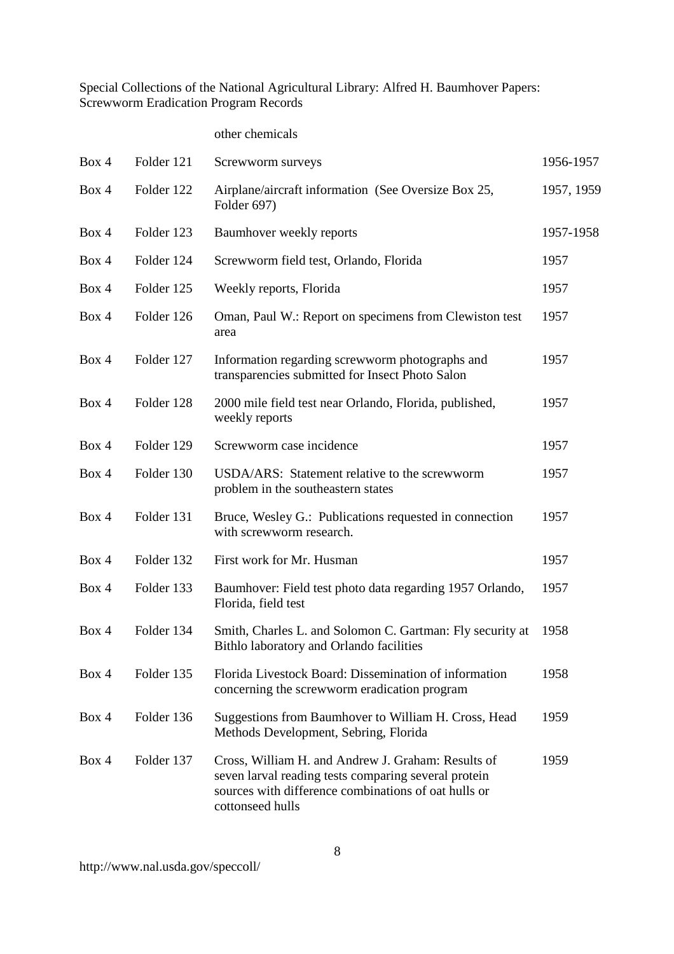#### other chemicals

| Box 4 | Folder 121 | Screwworm surveys                                                                                                                                                                      | 1956-1957  |
|-------|------------|----------------------------------------------------------------------------------------------------------------------------------------------------------------------------------------|------------|
| Box 4 | Folder 122 | Airplane/aircraft information (See Oversize Box 25,<br>Folder 697)                                                                                                                     | 1957, 1959 |
| Box 4 | Folder 123 | Baumhover weekly reports                                                                                                                                                               | 1957-1958  |
| Box 4 | Folder 124 | Screwworm field test, Orlando, Florida                                                                                                                                                 | 1957       |
| Box 4 | Folder 125 | Weekly reports, Florida                                                                                                                                                                | 1957       |
| Box 4 | Folder 126 | Oman, Paul W.: Report on specimens from Clewiston test<br>area                                                                                                                         | 1957       |
| Box 4 | Folder 127 | Information regarding screwworm photographs and<br>transparencies submitted for Insect Photo Salon                                                                                     | 1957       |
| Box 4 | Folder 128 | 2000 mile field test near Orlando, Florida, published,<br>weekly reports                                                                                                               | 1957       |
| Box 4 | Folder 129 | Screwworm case incidence                                                                                                                                                               | 1957       |
| Box 4 | Folder 130 | USDA/ARS: Statement relative to the screwworm<br>problem in the southeastern states                                                                                                    | 1957       |
| Box 4 | Folder 131 | Bruce, Wesley G.: Publications requested in connection<br>with screwworm research.                                                                                                     | 1957       |
| Box 4 | Folder 132 | First work for Mr. Husman                                                                                                                                                              | 1957       |
| Box 4 | Folder 133 | Baumhover: Field test photo data regarding 1957 Orlando,<br>Florida, field test                                                                                                        | 1957       |
| Box 4 | Folder 134 | Smith, Charles L. and Solomon C. Gartman: Fly security at<br>Bithlo laboratory and Orlando facilities                                                                                  | 1958       |
| Box 4 | Folder 135 | Florida Livestock Board: Dissemination of information<br>concerning the screwworm eradication program                                                                                  | 1958       |
| Box 4 | Folder 136 | Suggestions from Baumhover to William H. Cross, Head<br>Methods Development, Sebring, Florida                                                                                          | 1959       |
| Box 4 | Folder 137 | Cross, William H. and Andrew J. Graham: Results of<br>seven larval reading tests comparing several protein<br>sources with difference combinations of oat hulls or<br>cottonseed hulls | 1959       |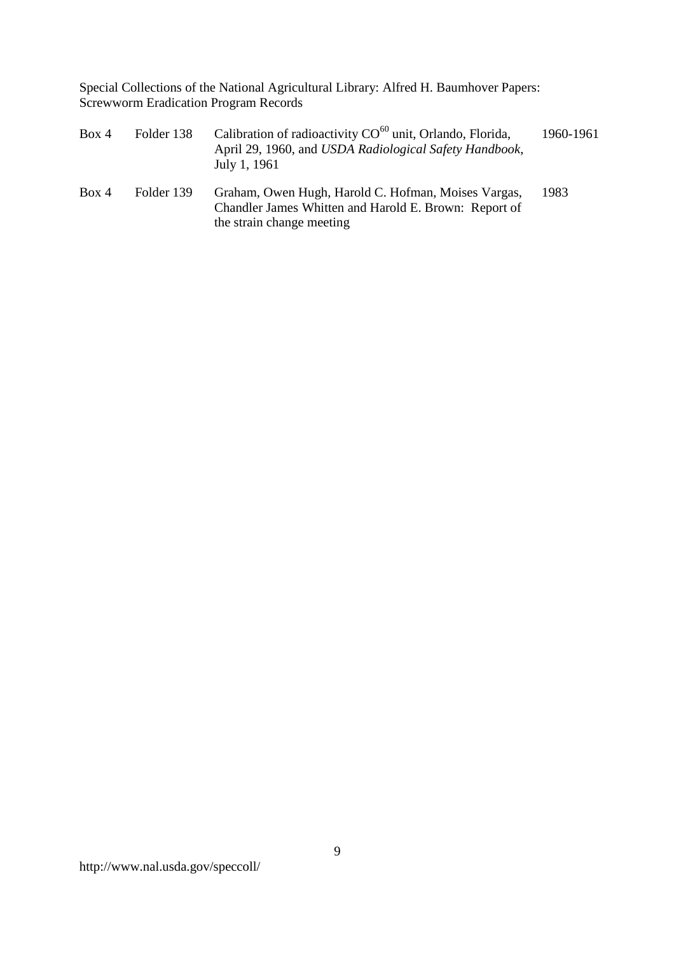| Box 4 | Folder 138 | Calibration of radioactivity CO <sup>60</sup> unit, Orlando, Florida,<br>April 29, 1960, and USDA Radiological Safety Handbook,<br>July 1, 1961 | 1960-1961 |
|-------|------------|-------------------------------------------------------------------------------------------------------------------------------------------------|-----------|
| Box 4 | Folder 139 | Graham, Owen Hugh, Harold C. Hofman, Moises Vargas,<br>Chandler James Whitten and Harold E. Brown: Report of<br>the strain change meeting       | 1983      |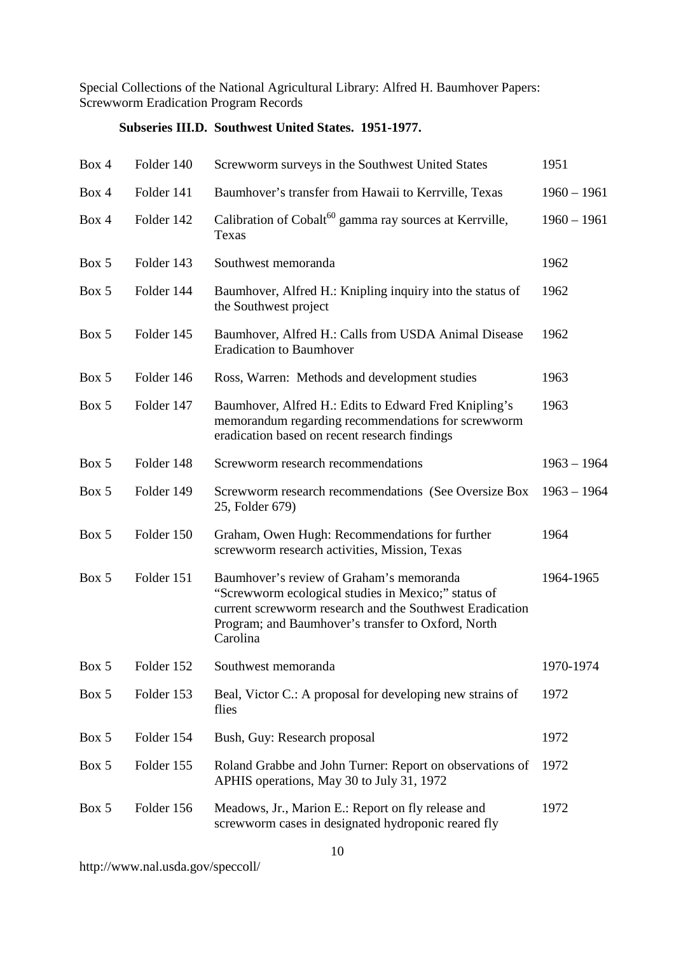# **Subseries III.D. Southwest United States. 1951-1977.**

| Box 4 | Folder 140 | Screwworm surveys in the Southwest United States                                                                                                                                                                              | 1951          |
|-------|------------|-------------------------------------------------------------------------------------------------------------------------------------------------------------------------------------------------------------------------------|---------------|
| Box 4 | Folder 141 | Baumhover's transfer from Hawaii to Kerrville, Texas                                                                                                                                                                          | $1960 - 1961$ |
| Box 4 | Folder 142 | Calibration of Cobalt <sup>60</sup> gamma ray sources at Kerrville,<br>Texas                                                                                                                                                  | $1960 - 1961$ |
| Box 5 | Folder 143 | Southwest memoranda                                                                                                                                                                                                           | 1962          |
| Box 5 | Folder 144 | Baumhover, Alfred H.: Knipling inquiry into the status of<br>the Southwest project                                                                                                                                            | 1962          |
| Box 5 | Folder 145 | Baumhover, Alfred H.: Calls from USDA Animal Disease<br><b>Eradication to Baumhover</b>                                                                                                                                       | 1962          |
| Box 5 | Folder 146 | Ross, Warren: Methods and development studies                                                                                                                                                                                 | 1963          |
| Box 5 | Folder 147 | Baumhover, Alfred H.: Edits to Edward Fred Knipling's<br>memorandum regarding recommendations for screwworm<br>eradication based on recent research findings                                                                  | 1963          |
| Box 5 | Folder 148 | Screwworm research recommendations                                                                                                                                                                                            | $1963 - 1964$ |
| Box 5 | Folder 149 | Screwworm research recommendations (See Oversize Box<br>25, Folder 679)                                                                                                                                                       | $1963 - 1964$ |
| Box 5 | Folder 150 | Graham, Owen Hugh: Recommendations for further<br>screwworm research activities, Mission, Texas                                                                                                                               | 1964          |
| Box 5 | Folder 151 | Baumhover's review of Graham's memoranda<br>"Screwworm ecological studies in Mexico;" status of<br>current screwworm research and the Southwest Eradication<br>Program; and Baumhover's transfer to Oxford, North<br>Carolina | 1964-1965     |
| Box 5 | Folder 152 | Southwest memoranda                                                                                                                                                                                                           | 1970-1974     |
| Box 5 | Folder 153 | Beal, Victor C.: A proposal for developing new strains of<br>flies                                                                                                                                                            | 1972          |
| Box 5 | Folder 154 | Bush, Guy: Research proposal                                                                                                                                                                                                  | 1972          |
| Box 5 | Folder 155 | Roland Grabbe and John Turner: Report on observations of<br>APHIS operations, May 30 to July 31, 1972                                                                                                                         | 1972          |
| Box 5 | Folder 156 | Meadows, Jr., Marion E.: Report on fly release and<br>screwworm cases in designated hydroponic reared fly                                                                                                                     | 1972          |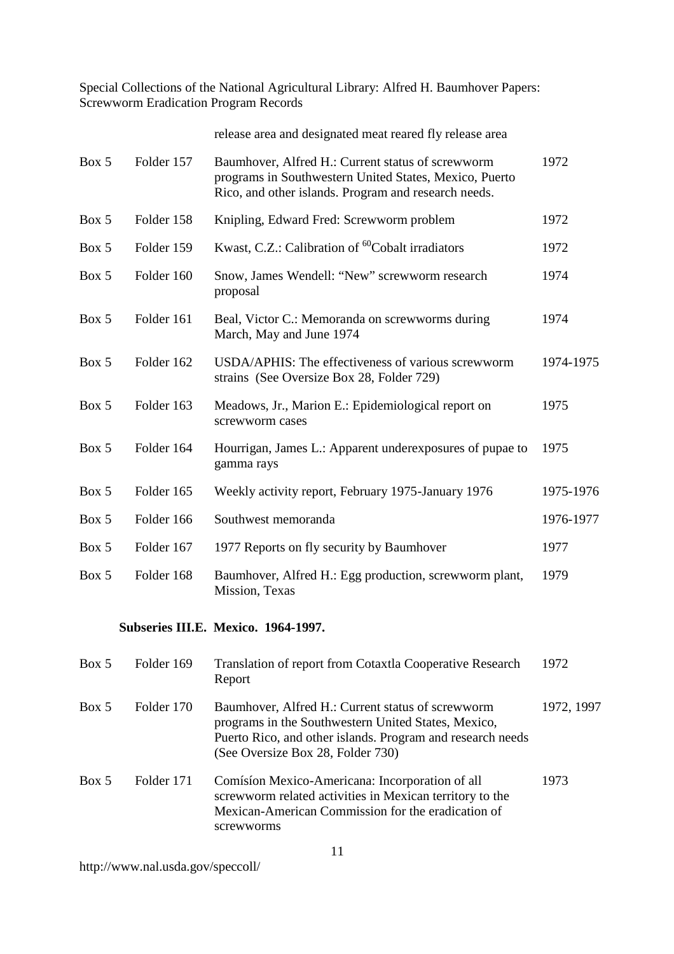|       |            | release area and designated meat reared fly release area                                                                                                            |           |
|-------|------------|---------------------------------------------------------------------------------------------------------------------------------------------------------------------|-----------|
| Box 5 | Folder 157 | Baumhover, Alfred H.: Current status of screwworm<br>programs in Southwestern United States, Mexico, Puerto<br>Rico, and other islands. Program and research needs. | 1972      |
| Box 5 | Folder 158 | Knipling, Edward Fred: Screwworm problem                                                                                                                            | 1972      |
| Box 5 | Folder 159 | Kwast, C.Z.: Calibration of <sup>60</sup> Cobalt irradiators                                                                                                        | 1972      |
| Box 5 | Folder 160 | Snow, James Wendell: "New" screwworm research<br>proposal                                                                                                           | 1974      |
| Box 5 | Folder 161 | Beal, Victor C.: Memoranda on screwworms during<br>March, May and June 1974                                                                                         | 1974      |
| Box 5 | Folder 162 | USDA/APHIS: The effectiveness of various screwworm<br>strains (See Oversize Box 28, Folder 729)                                                                     | 1974-1975 |
| Box 5 | Folder 163 | Meadows, Jr., Marion E.: Epidemiological report on<br>screwworm cases                                                                                               | 1975      |
| Box 5 | Folder 164 | Hourrigan, James L.: Apparent underexposures of pupae to<br>gamma rays                                                                                              | 1975      |
| Box 5 | Folder 165 | Weekly activity report, February 1975-January 1976                                                                                                                  | 1975-1976 |
| Box 5 | Folder 166 | Southwest memoranda                                                                                                                                                 | 1976-1977 |
| Box 5 | Folder 167 | 1977 Reports on fly security by Baumhover                                                                                                                           | 1977      |
| Box 5 | Folder 168 | Baumhover, Alfred H.: Egg production, screwworm plant,<br>Mission, Texas                                                                                            | 1979      |

### **Subseries III.E. Mexico. 1964-1997.**

| Box 5 | Folder 169 | <b>Translation of report from Cotaxtla Cooperative Research</b><br>Report                                                                                                                                   | 1972       |
|-------|------------|-------------------------------------------------------------------------------------------------------------------------------------------------------------------------------------------------------------|------------|
| Box 5 | Folder 170 | Baumhover, Alfred H.: Current status of screwworm<br>programs in the Southwestern United States, Mexico,<br>Puerto Rico, and other islands. Program and research needs<br>(See Oversize Box 28, Folder 730) | 1972, 1997 |
| Box 5 | Folder 171 | Comísion Mexico-Americana: Incorporation of all<br>screwworm related activities in Mexican territory to the<br>Mexican-American Commission for the eradication of<br>screwworms                             | 1973       |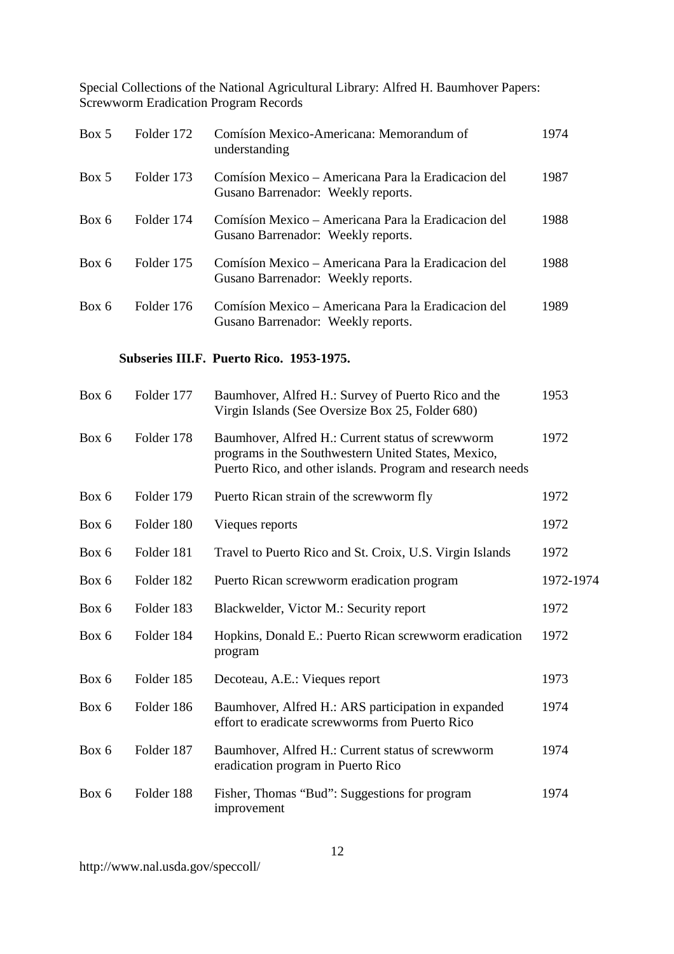| Box 5 | Folder 172 | Comísion Mexico-Americana: Memorandum of<br>understanding                                 | 1974 |
|-------|------------|-------------------------------------------------------------------------------------------|------|
| Box 5 | Folder 173 | Comísión Mexico – Americana Para la Eradicación del<br>Gusano Barrenador: Weekly reports. | 1987 |
| Box 6 | Folder 174 | Comísion Mexico – Americana Para la Eradicacion del<br>Gusano Barrenador: Weekly reports. | 1988 |
| Box 6 | Folder 175 | Comísion Mexico – Americana Para la Eradicacion del<br>Gusano Barrenador: Weekly reports. | 1988 |
| Box 6 | Folder 176 | Comísion Mexico – Americana Para la Eradicacion del<br>Gusano Barrenador: Weekly reports. | 1989 |

# **Subseries III.F. Puerto Rico. 1953-1975.**

| Box 6 | Folder 177 | Baumhover, Alfred H.: Survey of Puerto Rico and the<br>Virgin Islands (See Oversize Box 25, Folder 680)                                                                | 1953      |
|-------|------------|------------------------------------------------------------------------------------------------------------------------------------------------------------------------|-----------|
| Box 6 | Folder 178 | Baumhover, Alfred H.: Current status of screwworm<br>programs in the Southwestern United States, Mexico,<br>Puerto Rico, and other islands. Program and research needs | 1972      |
| Box 6 | Folder 179 | Puerto Rican strain of the screwworm fly                                                                                                                               | 1972      |
| Box 6 | Folder 180 | Vieques reports                                                                                                                                                        | 1972      |
| Box 6 | Folder 181 | Travel to Puerto Rico and St. Croix, U.S. Virgin Islands                                                                                                               | 1972      |
| Box 6 | Folder 182 | Puerto Rican screwworm eradication program                                                                                                                             | 1972-1974 |
| Box 6 | Folder 183 | Blackwelder, Victor M.: Security report                                                                                                                                | 1972      |
| Box 6 | Folder 184 | Hopkins, Donald E.: Puerto Rican screwworm eradication<br>program                                                                                                      | 1972      |
| Box 6 | Folder 185 | Decoteau, A.E.: Vieques report                                                                                                                                         | 1973      |
| Box 6 | Folder 186 | Baumhover, Alfred H.: ARS participation in expanded<br>effort to eradicate screwworms from Puerto Rico                                                                 | 1974      |
| Box 6 | Folder 187 | Baumhover, Alfred H.: Current status of screwworm<br>eradication program in Puerto Rico                                                                                | 1974      |
| Box 6 | Folder 188 | Fisher, Thomas "Bud": Suggestions for program<br>improvement                                                                                                           | 1974      |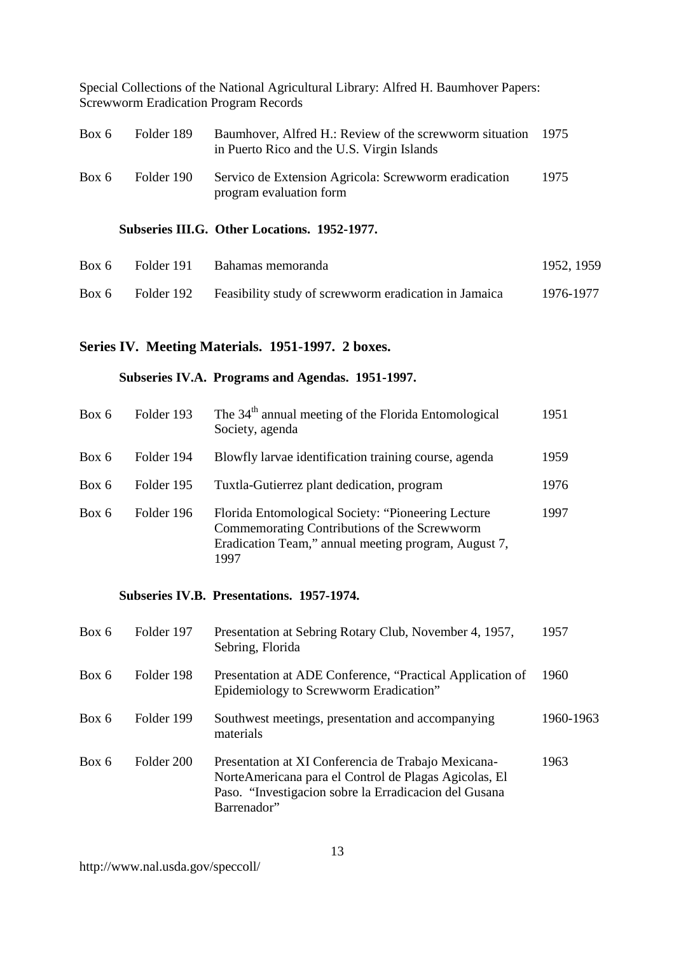| Box 6 | Folder 189 | Baumhover, Alfred H.: Review of the screwworm situation 1975<br>in Puerto Rico and the U.S. Virgin Islands |      |
|-------|------------|------------------------------------------------------------------------------------------------------------|------|
| Box 6 | Folder 190 | Servico de Extension Agricola: Screwworm eradication<br>program evaluation form                            | 1975 |
|       |            |                                                                                                            |      |

### **Subseries III.G. Other Locations. 1952-1977.**

| Box 6 | Folder 191 | Bahamas memoranda                                     | 1952, 1959 |
|-------|------------|-------------------------------------------------------|------------|
| Box 6 | Folder 192 | Feasibility study of screwworm eradication in Jamaica | 1976-1977  |

# **Series IV. Meeting Materials. 1951-1997. 2 boxes.**

### **Subseries IV.A. Programs and Agendas. 1951-1997.**

| Box 6 | Folder 193 | The 34 <sup>th</sup> annual meeting of the Florida Entomological<br>Society, agenda                                                                                | 1951 |
|-------|------------|--------------------------------------------------------------------------------------------------------------------------------------------------------------------|------|
| Box 6 | Folder 194 | Blowfly larvae identification training course, agenda                                                                                                              | 1959 |
| Box 6 | Folder 195 | Tuxtla-Gutierrez plant dedication, program                                                                                                                         | 1976 |
| Box 6 | Folder 196 | Florida Entomological Society: "Pioneering Lecture<br>Commemorating Contributions of the Screwworm<br>Eradication Team," annual meeting program, August 7,<br>1997 | 1997 |

### **Subseries IV.B. Presentations. 1957-1974.**

| Box 6 | Folder 197 | Presentation at Sebring Rotary Club, November 4, 1957,<br>Sebring, Florida                                                                                                            | 1957      |
|-------|------------|---------------------------------------------------------------------------------------------------------------------------------------------------------------------------------------|-----------|
| Box 6 | Folder 198 | Presentation at ADE Conference, "Practical Application of<br>Epidemiology to Screwworm Eradication"                                                                                   | 1960      |
| Box 6 | Folder 199 | Southwest meetings, presentation and accompanying<br>materials                                                                                                                        | 1960-1963 |
| Box 6 | Folder 200 | Presentation at XI Conferencia de Trabajo Mexicana-<br>NorteAmericana para el Control de Plagas Agicolas, El<br>Paso. "Investigacion sobre la Erradicacion del Gusana"<br>Barrenador" | 1963      |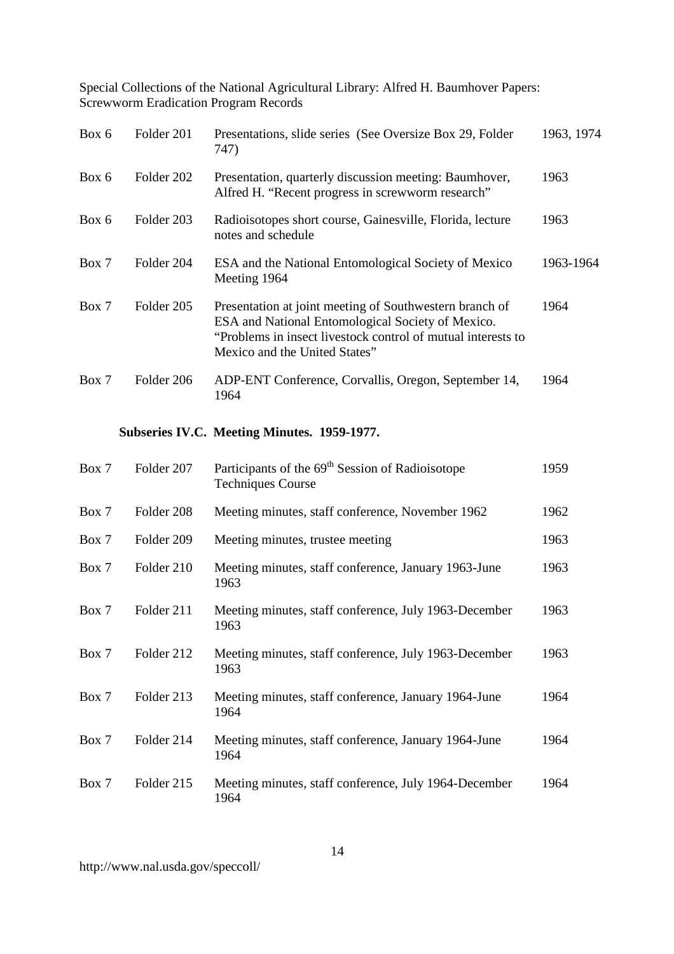| Box 6 | Folder 201 | Presentations, slide series (See Oversize Box 29, Folder<br>747)                                                                                                                                              | 1963, 1974 |
|-------|------------|---------------------------------------------------------------------------------------------------------------------------------------------------------------------------------------------------------------|------------|
| Box 6 | Folder 202 | Presentation, quarterly discussion meeting: Baumhover,<br>Alfred H. "Recent progress in screwworm research"                                                                                                   | 1963       |
| Box 6 | Folder 203 | Radioisotopes short course, Gainesville, Florida, lecture<br>notes and schedule                                                                                                                               | 1963       |
| Box 7 | Folder 204 | ESA and the National Entomological Society of Mexico<br>Meeting 1964                                                                                                                                          | 1963-1964  |
| Box 7 | Folder 205 | Presentation at joint meeting of Southwestern branch of<br>ESA and National Entomological Society of Mexico.<br>"Problems in insect livestock control of mutual interests to<br>Mexico and the United States" | 1964       |
| Box 7 | Folder 206 | ADP-ENT Conference, Corvallis, Oregon, September 14,<br>1964                                                                                                                                                  | 1964       |
|       |            | Subseries IV.C. Meeting Minutes. 1959-1977.                                                                                                                                                                   |            |
| Box 7 | Folder 207 | Participants of the 69 <sup>th</sup> Session of Radioisotope<br><b>Techniques Course</b>                                                                                                                      | 1959       |
| Box 7 | Folder 208 | Meeting minutes, staff conference, November 1962                                                                                                                                                              | 1962       |
| Box 7 | Folder 209 | Meeting minutes, trustee meeting                                                                                                                                                                              | 1963       |
| Box 7 | Folder 210 | Meeting minutes, staff conference, January 1963-June<br>1963                                                                                                                                                  | 1963       |
| Box 7 | Folder 211 | Meeting minutes, staff conference, July 1963-December<br>1963                                                                                                                                                 | 1963       |
| Box 7 | Folder 212 | Meeting minutes, staff conference, July 1963-December<br>1963                                                                                                                                                 | 1963       |
| Box 7 | Folder 213 | Meeting minutes, staff conference, January 1964-June<br>1964                                                                                                                                                  | 1964       |
| Box 7 | Folder 214 | Meeting minutes, staff conference, January 1964-June<br>1964                                                                                                                                                  | 1964       |
| Box 7 | Folder 215 | Meeting minutes, staff conference, July 1964-December<br>1964                                                                                                                                                 | 1964       |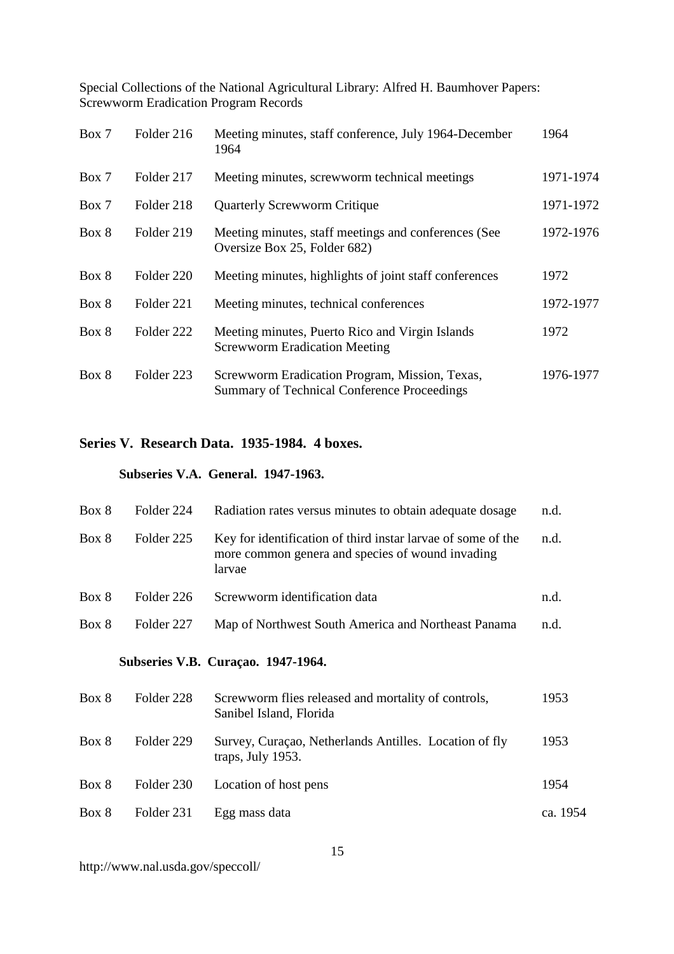| Box 7 | Folder 216 | Meeting minutes, staff conference, July 1964-December<br>1964                                        | 1964      |
|-------|------------|------------------------------------------------------------------------------------------------------|-----------|
| Box 7 | Folder 217 | Meeting minutes, screwworm technical meetings                                                        | 1971-1974 |
| Box 7 | Folder 218 | <b>Quarterly Screwworm Critique</b>                                                                  | 1971-1972 |
| Box 8 | Folder 219 | Meeting minutes, staff meetings and conferences (See<br>Oversize Box 25, Folder 682)                 | 1972-1976 |
| Box 8 | Folder 220 | Meeting minutes, highlights of joint staff conferences                                               | 1972      |
| Box 8 | Folder 221 | Meeting minutes, technical conferences                                                               | 1972-1977 |
| Box 8 | Folder 222 | Meeting minutes, Puerto Rico and Virgin Islands<br><b>Screwworm Eradication Meeting</b>              | 1972      |
| Box 8 | Folder 223 | Screwworm Eradication Program, Mission, Texas,<br><b>Summary of Technical Conference Proceedings</b> | 1976-1977 |

# **Series V. Research Data. 1935-1984. 4 boxes.**

## **Subseries V.A. General. 1947-1963.**

| Box 8 | Folder 224 | Radiation rates versus minutes to obtain adequate dosage                                                                   | n.d.     |
|-------|------------|----------------------------------------------------------------------------------------------------------------------------|----------|
| Box 8 | Folder 225 | Key for identification of third instar larvae of some of the<br>more common genera and species of wound invading<br>larvae | n.d.     |
| Box 8 | Folder 226 | Screwworm identification data                                                                                              | n.d.     |
| Box 8 | Folder 227 | Map of Northwest South America and Northeast Panama                                                                        | n.d.     |
|       |            | Subseries V.B. Curaçao. 1947-1964.                                                                                         |          |
| Box 8 | Folder 228 | Screwworm flies released and mortality of controls,<br>Sanibel Island, Florida                                             | 1953     |
| Box 8 | Folder 229 | Survey, Curaçao, Netherlands Antilles. Location of fly<br>traps, July 1953.                                                | 1953     |
| Box 8 | Folder 230 | Location of host pens                                                                                                      | 1954     |
| Box 8 | Folder 231 | Egg mass data                                                                                                              | ca. 1954 |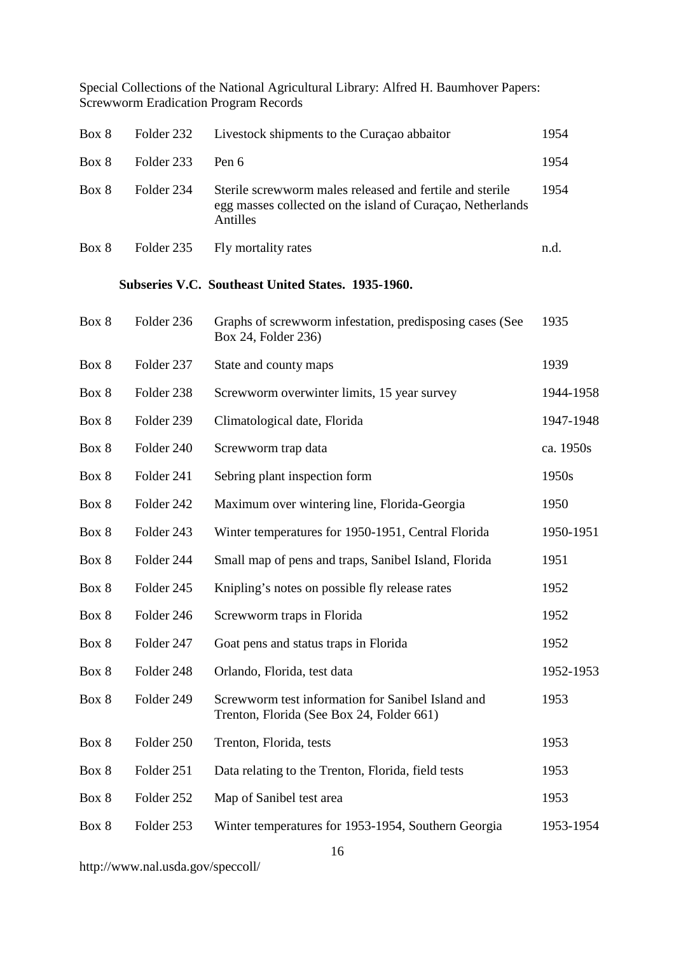|       |            | Special Collections of the National Agricultural Library: Alfred H. Baumhover Papers:<br><b>Screwworm Eradication Program Records</b> |           |
|-------|------------|---------------------------------------------------------------------------------------------------------------------------------------|-----------|
| Box 8 | Folder 232 | Livestock shipments to the Curaçao abbaitor                                                                                           | 1954      |
| Box 8 | Folder 233 | Pen 6                                                                                                                                 | 1954      |
| Box 8 | Folder 234 | Sterile screwworm males released and fertile and sterile<br>egg masses collected on the island of Curaçao, Netherlands<br>Antilles    | 1954      |
| Box 8 | Folder 235 | Fly mortality rates                                                                                                                   | n.d.      |
|       |            | Subseries V.C. Southeast United States. 1935-1960.                                                                                    |           |
| Box 8 | Folder 236 | Graphs of screwworm infestation, predisposing cases (See<br>Box 24, Folder 236)                                                       | 1935      |
| Box 8 | Folder 237 | State and county maps                                                                                                                 | 1939      |
| Box 8 | Folder 238 | Screwworm overwinter limits, 15 year survey                                                                                           | 1944-1958 |
| Box 8 | Folder 239 | Climatological date, Florida                                                                                                          | 1947-1948 |
| Box 8 | Folder 240 | Screwworm trap data                                                                                                                   | ca. 1950s |
| Box 8 | Folder 241 | Sebring plant inspection form                                                                                                         | 1950s     |
| Box 8 | Folder 242 | Maximum over wintering line, Florida-Georgia                                                                                          | 1950      |
| Box 8 | Folder 243 | Winter temperatures for 1950-1951, Central Florida                                                                                    | 1950-1951 |
| Box 8 | Folder 244 | Small map of pens and traps, Sanibel Island, Florida                                                                                  | 1951      |
| Box 8 | Folder 245 | Knipling's notes on possible fly release rates                                                                                        | 1952      |
| Box 8 | Folder 246 | Screwworm traps in Florida                                                                                                            | 1952      |
| Box 8 | Folder 247 | Goat pens and status traps in Florida                                                                                                 | 1952      |
| Box 8 | Folder 248 | Orlando, Florida, test data                                                                                                           | 1952-1953 |
| Box 8 | Folder 249 | Screwworm test information for Sanibel Island and<br>Trenton, Florida (See Box 24, Folder 661)                                        | 1953      |
| Box 8 | Folder 250 | Trenton, Florida, tests                                                                                                               | 1953      |
| Box 8 | Folder 251 | Data relating to the Trenton, Florida, field tests                                                                                    | 1953      |
| Box 8 | Folder 252 | Map of Sanibel test area                                                                                                              | 1953      |
| Box 8 | Folder 253 | Winter temperatures for 1953-1954, Southern Georgia                                                                                   | 1953-1954 |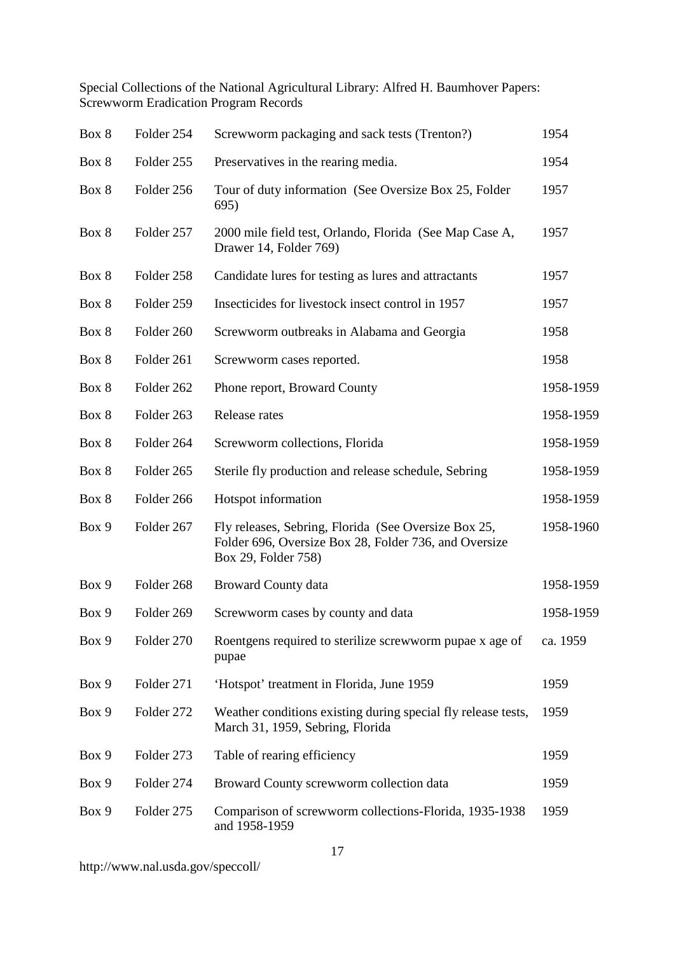| Box 8 | Folder 254 | Screwworm packaging and sack tests (Trenton?)                                                                                        | 1954      |
|-------|------------|--------------------------------------------------------------------------------------------------------------------------------------|-----------|
| Box 8 | Folder 255 | Preservatives in the rearing media.                                                                                                  | 1954      |
| Box 8 | Folder 256 | Tour of duty information (See Oversize Box 25, Folder<br>695)                                                                        | 1957      |
| Box 8 | Folder 257 | 2000 mile field test, Orlando, Florida (See Map Case A,<br>Drawer 14, Folder 769)                                                    | 1957      |
| Box 8 | Folder 258 | Candidate lures for testing as lures and attractants                                                                                 | 1957      |
| Box 8 | Folder 259 | Insecticides for livestock insect control in 1957                                                                                    | 1957      |
| Box 8 | Folder 260 | Screwworm outbreaks in Alabama and Georgia                                                                                           | 1958      |
| Box 8 | Folder 261 | Screwworm cases reported.                                                                                                            | 1958      |
| Box 8 | Folder 262 | Phone report, Broward County                                                                                                         | 1958-1959 |
| Box 8 | Folder 263 | Release rates                                                                                                                        | 1958-1959 |
| Box 8 | Folder 264 | Screwworm collections, Florida                                                                                                       | 1958-1959 |
| Box 8 | Folder 265 | Sterile fly production and release schedule, Sebring                                                                                 | 1958-1959 |
| Box 8 | Folder 266 | Hotspot information                                                                                                                  | 1958-1959 |
| Box 9 | Folder 267 | Fly releases, Sebring, Florida (See Oversize Box 25,<br>Folder 696, Oversize Box 28, Folder 736, and Oversize<br>Box 29, Folder 758) | 1958-1960 |
| Box 9 | Folder 268 | <b>Broward County data</b>                                                                                                           | 1958-1959 |
| Box 9 | Folder 269 | Screwworm cases by county and data                                                                                                   | 1958-1959 |
| Box 9 | Folder 270 | Roentgens required to sterilize screwworm pupae x age of<br>pupae                                                                    | ca. 1959  |
| Box 9 | Folder 271 | 'Hotspot' treatment in Florida, June 1959                                                                                            | 1959      |
| Box 9 | Folder 272 | Weather conditions existing during special fly release tests,<br>March 31, 1959, Sebring, Florida                                    | 1959      |
| Box 9 | Folder 273 | Table of rearing efficiency                                                                                                          | 1959      |
| Box 9 | Folder 274 | Broward County screwworm collection data                                                                                             | 1959      |
| Box 9 | Folder 275 | Comparison of screwworm collections-Florida, 1935-1938<br>and 1958-1959                                                              | 1959      |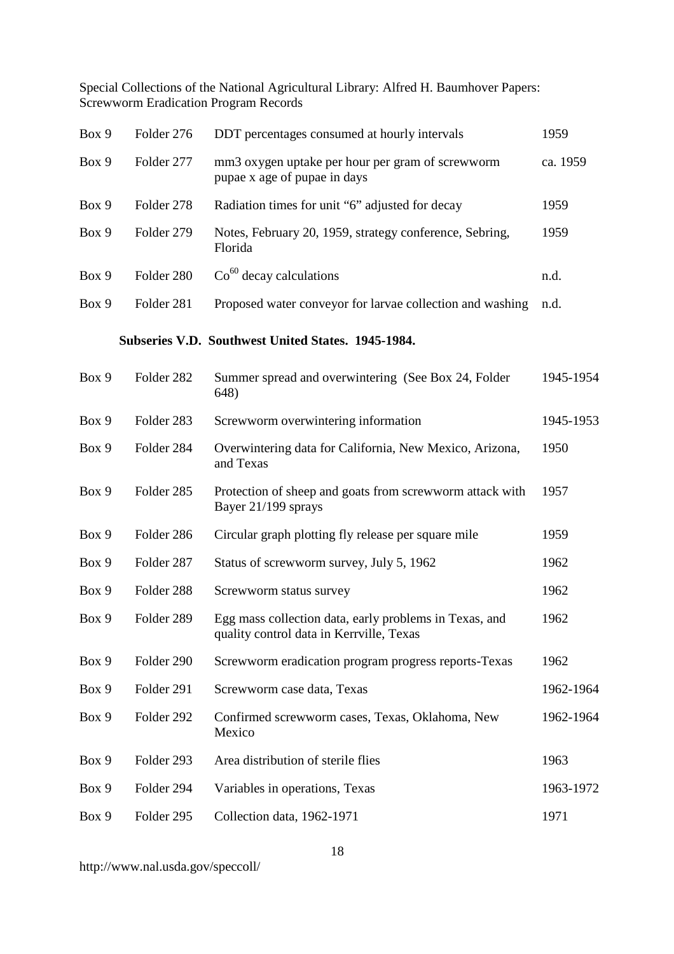| Box 9 | Folder 276 | DDT percentages consumed at hourly intervals                                                       | 1959      |
|-------|------------|----------------------------------------------------------------------------------------------------|-----------|
| Box 9 | Folder 277 | mm3 oxygen uptake per hour per gram of screwworm<br>pupae x age of pupae in days                   | ca. 1959  |
| Box 9 | Folder 278 | Radiation times for unit "6" adjusted for decay                                                    | 1959      |
| Box 9 | Folder 279 | Notes, February 20, 1959, strategy conference, Sebring,<br>Florida                                 | 1959      |
| Box 9 | Folder 280 | $\mathrm{Co}^{60}$ decay calculations                                                              | n.d.      |
| Box 9 | Folder 281 | Proposed water conveyor for larvae collection and washing                                          | n.d.      |
|       |            | Subseries V.D. Southwest United States. 1945-1984.                                                 |           |
| Box 9 | Folder 282 | Summer spread and overwintering (See Box 24, Folder<br>648)                                        | 1945-1954 |
| Box 9 | Folder 283 | Screwworm overwintering information                                                                | 1945-1953 |
| Box 9 | Folder 284 | Overwintering data for California, New Mexico, Arizona,<br>and Texas                               | 1950      |
| Box 9 | Folder 285 | Protection of sheep and goats from screwworm attack with<br>Bayer 21/199 sprays                    | 1957      |
| Box 9 | Folder 286 | Circular graph plotting fly release per square mile                                                | 1959      |
| Box 9 | Folder 287 | Status of screwworm survey, July 5, 1962                                                           | 1962      |
| Box 9 | Folder 288 | Screwworm status survey                                                                            | 1962      |
| Box 9 | Folder 289 | Egg mass collection data, early problems in Texas, and<br>quality control data in Kerrville, Texas | 1962      |
| Box 9 | Folder 290 | Screwworm eradication program progress reports-Texas                                               | 1962      |
| Box 9 | Folder 291 | Screwworm case data, Texas                                                                         | 1962-1964 |
| Box 9 | Folder 292 | Confirmed screwworm cases, Texas, Oklahoma, New<br>Mexico                                          | 1962-1964 |
| Box 9 | Folder 293 | Area distribution of sterile flies                                                                 | 1963      |
| Box 9 | Folder 294 | Variables in operations, Texas                                                                     | 1963-1972 |
| Box 9 | Folder 295 | Collection data, 1962-1971                                                                         | 1971      |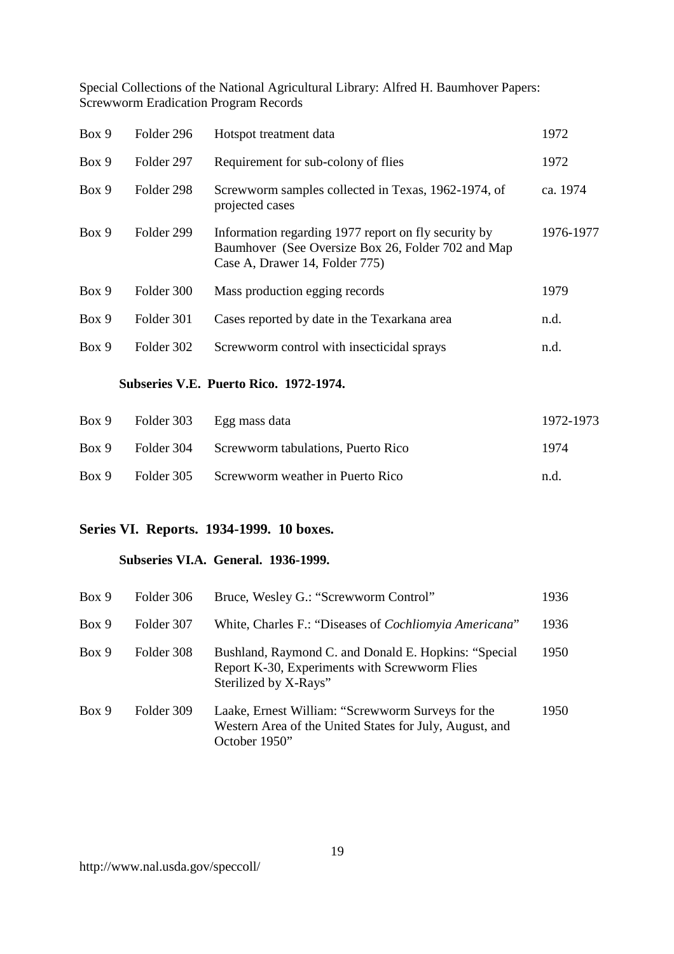| Box 9 | Folder 296 | Hotspot treatment data                                                                                                                       | 1972      |
|-------|------------|----------------------------------------------------------------------------------------------------------------------------------------------|-----------|
| Box 9 | Folder 297 | Requirement for sub-colony of flies                                                                                                          | 1972      |
| Box 9 | Folder 298 | Screwworm samples collected in Texas, 1962-1974, of<br>projected cases                                                                       | ca. 1974  |
| Box 9 | Folder 299 | Information regarding 1977 report on fly security by<br>Baumhover (See Oversize Box 26, Folder 702 and Map<br>Case A, Drawer 14, Folder 775) | 1976-1977 |
| Box 9 | Folder 300 | Mass production egging records                                                                                                               | 1979      |
| Box 9 | Folder 301 | Cases reported by date in the Texarkana area                                                                                                 | n.d.      |
| Box 9 | Folder 302 | Screwworm control with insecticidal sprays                                                                                                   | n.d.      |

### **Subseries V.E. Puerto Rico. 1972-1974.**

| Box 9 |            | Folder 303 Egg mass data           | 1972-1973 |
|-------|------------|------------------------------------|-----------|
| Box 9 | Folder 304 | Screwworm tabulations, Puerto Rico | 1974      |
| Box 9 | Folder 305 | Screwworm weather in Puerto Rico   | n.d.      |

# **Series VI. Reports. 1934-1999. 10 boxes.**

#### **Subseries VI.A. General. 1936-1999.**

| Box 9 | Folder 306 | Bruce, Wesley G.: "Screwworm Control"                                                                                          | 1936 |
|-------|------------|--------------------------------------------------------------------------------------------------------------------------------|------|
| Box 9 | Folder 307 | White, Charles F.: "Diseases of <i>Cochliomyia Americana</i> "                                                                 | 1936 |
| Box 9 | Folder 308 | Bushland, Raymond C. and Donald E. Hopkins: "Special<br>Report K-30, Experiments with Screwworm Flies<br>Sterilized by X-Rays" | 1950 |
| Box 9 | Folder 309 | Laake, Ernest William: "Screwworm Surveys for the<br>Western Area of the United States for July, August, and<br>October 1950"  | 1950 |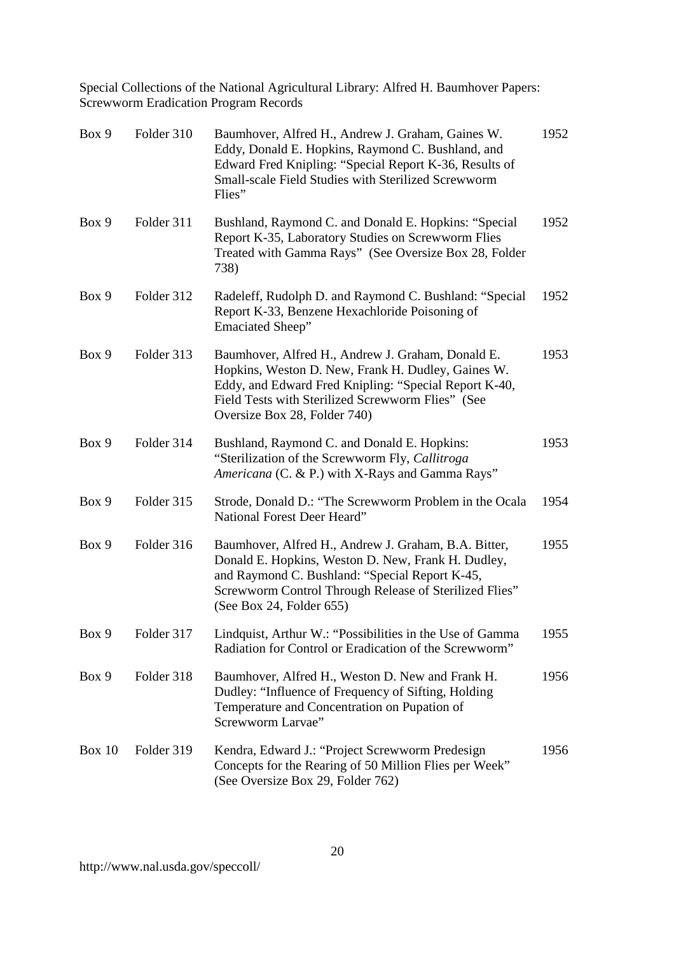| Box 9         | Folder 310 | Baumhover, Alfred H., Andrew J. Graham, Gaines W.<br>Eddy, Donald E. Hopkins, Raymond C. Bushland, and<br>Edward Fred Knipling: "Special Report K-36, Results of<br>Small-scale Field Studies with Sterilized Screwworm<br>Flies"                     | 1952 |
|---------------|------------|-------------------------------------------------------------------------------------------------------------------------------------------------------------------------------------------------------------------------------------------------------|------|
| Box 9         | Folder 311 | Bushland, Raymond C. and Donald E. Hopkins: "Special<br>Report K-35, Laboratory Studies on Screwworm Flies<br>Treated with Gamma Rays" (See Oversize Box 28, Folder<br>738)                                                                           | 1952 |
| Box 9         | Folder 312 | Radeleff, Rudolph D. and Raymond C. Bushland: "Special<br>Report K-33, Benzene Hexachloride Poisoning of<br><b>Emaciated Sheep</b> "                                                                                                                  | 1952 |
| Box 9         | Folder 313 | Baumhover, Alfred H., Andrew J. Graham, Donald E.<br>Hopkins, Weston D. New, Frank H. Dudley, Gaines W.<br>Eddy, and Edward Fred Knipling: "Special Report K-40,<br>Field Tests with Sterilized Screwworm Flies" (See<br>Oversize Box 28, Folder 740) | 1953 |
| Box 9         | Folder 314 | Bushland, Raymond C. and Donald E. Hopkins:<br>"Sterilization of the Screwworm Fly, Callitroga<br>Americana (C. & P.) with X-Rays and Gamma Rays"                                                                                                     | 1953 |
| Box 9         | Folder 315 | Strode, Donald D.: "The Screwworm Problem in the Ocala<br>National Forest Deer Heard"                                                                                                                                                                 | 1954 |
| Box 9         | Folder 316 | Baumhover, Alfred H., Andrew J. Graham, B.A. Bitter,<br>Donald E. Hopkins, Weston D. New, Frank H. Dudley,<br>and Raymond C. Bushland: "Special Report K-45,<br>Screwworm Control Through Release of Sterilized Flies"<br>(See Box 24, Folder 655)    | 1955 |
| Box 9         | Folder 317 | Lindquist, Arthur W.: "Possibilities in the Use of Gamma<br>Radiation for Control or Eradication of the Screwworm"                                                                                                                                    | 1955 |
| Box 9         | Folder 318 | Baumhover, Alfred H., Weston D. New and Frank H.<br>Dudley: "Influence of Frequency of Sifting, Holding<br>Temperature and Concentration on Pupation of<br>Screwworm Larvae"                                                                          | 1956 |
| <b>Box 10</b> | Folder 319 | Kendra, Edward J.: "Project Screwworm Predesign<br>Concepts for the Rearing of 50 Million Flies per Week"<br>(See Oversize Box 29, Folder 762)                                                                                                        | 1956 |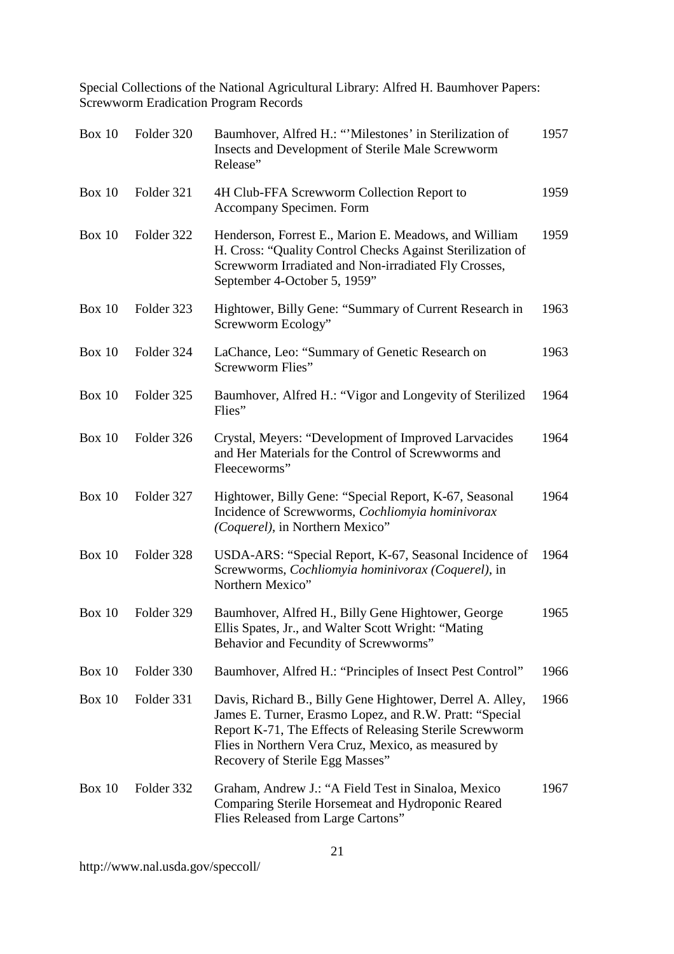| <b>Box 10</b> | Folder 320 | Baumhover, Alfred H.: "Milestones' in Sterilization of<br>Insects and Development of Sterile Male Screwworm<br>Release"                                                                                                                                                   | 1957 |
|---------------|------------|---------------------------------------------------------------------------------------------------------------------------------------------------------------------------------------------------------------------------------------------------------------------------|------|
| Box $10$      | Folder 321 | 4H Club-FFA Screwworm Collection Report to<br>Accompany Specimen. Form                                                                                                                                                                                                    | 1959 |
| Box 10        | Folder 322 | Henderson, Forrest E., Marion E. Meadows, and William<br>H. Cross: "Quality Control Checks Against Sterilization of<br>Screwworm Irradiated and Non-irradiated Fly Crosses,<br>September 4-October 5, 1959"                                                               | 1959 |
| <b>Box 10</b> | Folder 323 | Hightower, Billy Gene: "Summary of Current Research in<br>Screwworm Ecology"                                                                                                                                                                                              | 1963 |
| Box 10        | Folder 324 | LaChance, Leo: "Summary of Genetic Research on<br>Screwworm Flies"                                                                                                                                                                                                        | 1963 |
| <b>Box 10</b> | Folder 325 | Baumhover, Alfred H.: "Vigor and Longevity of Sterilized<br>Flies"                                                                                                                                                                                                        | 1964 |
| <b>Box 10</b> | Folder 326 | Crystal, Meyers: "Development of Improved Larvacides<br>and Her Materials for the Control of Screwworms and<br>Fleeceworms"                                                                                                                                               | 1964 |
| <b>Box 10</b> | Folder 327 | Hightower, Billy Gene: "Special Report, K-67, Seasonal<br>Incidence of Screwworms, Cochliomyia hominivorax<br>(Coquerel), in Northern Mexico"                                                                                                                             | 1964 |
| <b>Box 10</b> | Folder 328 | USDA-ARS: "Special Report, K-67, Seasonal Incidence of<br>Screwworms, Cochliomyia hominivorax (Coquerel), in<br>Northern Mexico"                                                                                                                                          | 1964 |
| <b>Box 10</b> | Folder 329 | Baumhover, Alfred H., Billy Gene Hightower, George<br>Ellis Spates, Jr., and Walter Scott Wright: "Mating<br>Behavior and Fecundity of Screwworms"                                                                                                                        | 1965 |
| <b>Box 10</b> | Folder 330 | Baumhover, Alfred H.: "Principles of Insect Pest Control"                                                                                                                                                                                                                 | 1966 |
| <b>Box 10</b> | Folder 331 | Davis, Richard B., Billy Gene Hightower, Derrel A. Alley,<br>James E. Turner, Erasmo Lopez, and R.W. Pratt: "Special<br>Report K-71, The Effects of Releasing Sterile Screwworm<br>Flies in Northern Vera Cruz, Mexico, as measured by<br>Recovery of Sterile Egg Masses" | 1966 |
| <b>Box 10</b> | Folder 332 | Graham, Andrew J.: "A Field Test in Sinaloa, Mexico<br>Comparing Sterile Horsemeat and Hydroponic Reared<br>Flies Released from Large Cartons"                                                                                                                            | 1967 |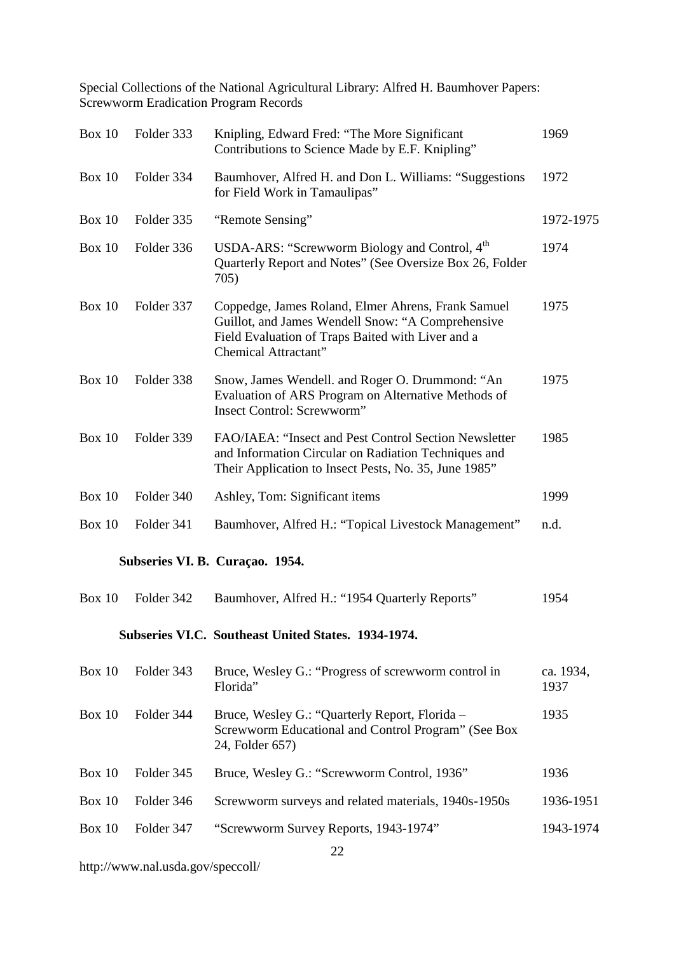| Box 10        | Folder 333 | Knipling, Edward Fred: "The More Significant<br>Contributions to Science Made by E.F. Knipling"                                                                                      | 1969              |
|---------------|------------|--------------------------------------------------------------------------------------------------------------------------------------------------------------------------------------|-------------------|
| <b>Box 10</b> | Folder 334 | Baumhover, Alfred H. and Don L. Williams: "Suggestions<br>for Field Work in Tamaulipas"                                                                                              | 1972              |
| <b>Box 10</b> | Folder 335 | "Remote Sensing"                                                                                                                                                                     | 1972-1975         |
| Box 10        | Folder 336 | USDA-ARS: "Screwworm Biology and Control, 4 <sup>th</sup><br>Quarterly Report and Notes" (See Oversize Box 26, Folder<br>705)                                                        | 1974              |
| <b>Box 10</b> | Folder 337 | Coppedge, James Roland, Elmer Ahrens, Frank Samuel<br>Guillot, and James Wendell Snow: "A Comprehensive<br>Field Evaluation of Traps Baited with Liver and a<br>Chemical Attractant" | 1975              |
| Box $10$      | Folder 338 | Snow, James Wendell. and Roger O. Drummond: "An<br>Evaluation of ARS Program on Alternative Methods of<br><b>Insect Control: Screwworm"</b>                                          | 1975              |
| <b>Box 10</b> | Folder 339 | FAO/IAEA: "Insect and Pest Control Section Newsletter<br>and Information Circular on Radiation Techniques and<br>Their Application to Insect Pests, No. 35, June 1985"               | 1985              |
| Box 10        | Folder 340 | Ashley, Tom: Significant items                                                                                                                                                       | 1999              |
| <b>Box 10</b> | Folder 341 | Baumhover, Alfred H.: "Topical Livestock Management"                                                                                                                                 | n.d.              |
|               |            | Subseries VI. B. Curaçao. 1954.                                                                                                                                                      |                   |
| Box 10        | Folder 342 | Baumhover, Alfred H.: "1954 Quarterly Reports"                                                                                                                                       | 1954              |
|               |            | Subseries VI.C. Southeast United States. 1934-1974.                                                                                                                                  |                   |
| Box 10        | Folder 343 | Bruce, Wesley G.: "Progress of screwworm control in<br>Florida"                                                                                                                      | ca. 1934,<br>1937 |
| <b>Box 10</b> | Folder 344 | Bruce, Wesley G.: "Quarterly Report, Florida -<br>Screwworm Educational and Control Program" (See Box                                                                                | 1935              |

Box 10 Folder 345 Bruce, Wesley G.: "Screwworm Control, 1936" 1936

24, Folder 657)

Box 10 Folder 346 Screwworm surveys and related materials, 1940s-1950s 1936-1951

Box 10 Folder 347 "Screwworm Survey Reports, 1943-1974" 1943-1974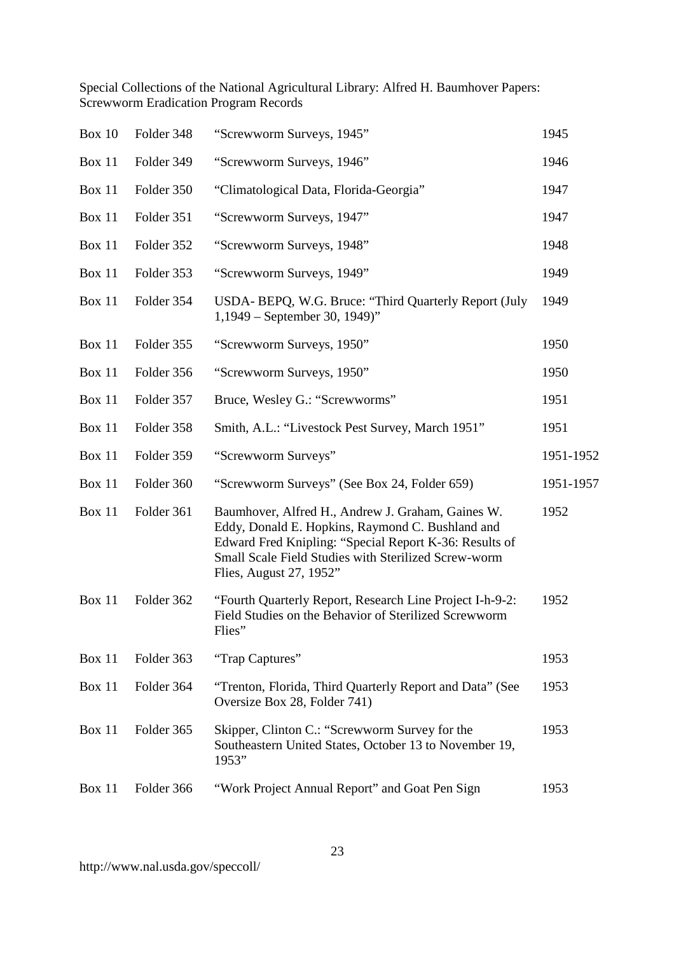| <b>Box 10</b> | Folder 348 | "Screwworm Surveys, 1945"                                                                                                                                                                                                                          | 1945      |
|---------------|------------|----------------------------------------------------------------------------------------------------------------------------------------------------------------------------------------------------------------------------------------------------|-----------|
| Box 11        | Folder 349 | "Screwworm Surveys, 1946"                                                                                                                                                                                                                          | 1946      |
| Box 11        | Folder 350 | "Climatological Data, Florida-Georgia"                                                                                                                                                                                                             | 1947      |
| Box 11        | Folder 351 | "Screwworm Surveys, 1947"                                                                                                                                                                                                                          | 1947      |
| <b>Box 11</b> | Folder 352 | "Screwworm Surveys, 1948"                                                                                                                                                                                                                          | 1948      |
| <b>Box 11</b> | Folder 353 | "Screwworm Surveys, 1949"                                                                                                                                                                                                                          | 1949      |
| Box 11        | Folder 354 | USDA- BEPQ, W.G. Bruce: "Third Quarterly Report (July<br>$1,1949$ – September 30, 1949)"                                                                                                                                                           | 1949      |
| Box 11        | Folder 355 | "Screwworm Surveys, 1950"                                                                                                                                                                                                                          | 1950      |
| Box 11        | Folder 356 | "Screwworm Surveys, 1950"                                                                                                                                                                                                                          | 1950      |
| Box 11        | Folder 357 | Bruce, Wesley G.: "Screwworms"                                                                                                                                                                                                                     | 1951      |
| Box 11        | Folder 358 | Smith, A.L.: "Livestock Pest Survey, March 1951"                                                                                                                                                                                                   | 1951      |
| Box 11        | Folder 359 | "Screwworm Surveys"                                                                                                                                                                                                                                | 1951-1952 |
| Box 11        | Folder 360 | "Screwworm Surveys" (See Box 24, Folder 659)                                                                                                                                                                                                       | 1951-1957 |
| Box 11        | Folder 361 | Baumhover, Alfred H., Andrew J. Graham, Gaines W.<br>Eddy, Donald E. Hopkins, Raymond C. Bushland and<br>Edward Fred Knipling: "Special Report K-36: Results of<br>Small Scale Field Studies with Sterilized Screw-worm<br>Flies, August 27, 1952" | 1952      |
| Box 11        | Folder 362 | "Fourth Quarterly Report, Research Line Project I-h-9-2:<br>Field Studies on the Behavior of Sterilized Screwworm<br>Flies"                                                                                                                        | 1952      |
| Box 11        | Folder 363 | "Trap Captures"                                                                                                                                                                                                                                    | 1953      |
| <b>Box 11</b> | Folder 364 | "Trenton, Florida, Third Quarterly Report and Data" (See<br>Oversize Box 28, Folder 741)                                                                                                                                                           | 1953      |
| <b>Box 11</b> | Folder 365 | Skipper, Clinton C.: "Screwworm Survey for the<br>Southeastern United States, October 13 to November 19,<br>1953"                                                                                                                                  | 1953      |
| Box 11        | Folder 366 | "Work Project Annual Report" and Goat Pen Sign                                                                                                                                                                                                     | 1953      |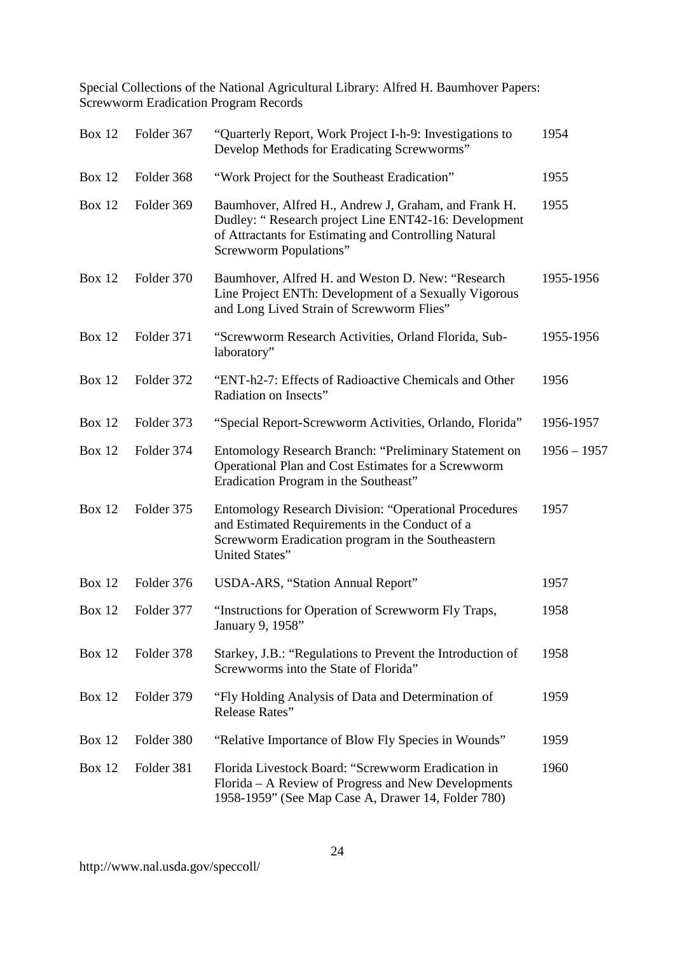| <b>Box 12</b> | Folder 367 | "Quarterly Report, Work Project I-h-9: Investigations to<br>Develop Methods for Eradicating Screwworms"                                                                                                | 1954          |
|---------------|------------|--------------------------------------------------------------------------------------------------------------------------------------------------------------------------------------------------------|---------------|
| <b>Box 12</b> | Folder 368 | "Work Project for the Southeast Eradication"                                                                                                                                                           | 1955          |
| <b>Box 12</b> | Folder 369 | Baumhover, Alfred H., Andrew J, Graham, and Frank H.<br>Dudley: "Research project Line ENT42-16: Development<br>of Attractants for Estimating and Controlling Natural<br><b>Screwworm Populations"</b> | 1955          |
| <b>Box 12</b> | Folder 370 | Baumhover, Alfred H. and Weston D. New: "Research<br>Line Project ENTh: Development of a Sexually Vigorous<br>and Long Lived Strain of Screwworm Flies"                                                | 1955-1956     |
| <b>Box 12</b> | Folder 371 | "Screwworm Research Activities, Orland Florida, Sub-<br>laboratory"                                                                                                                                    | 1955-1956     |
| <b>Box 12</b> | Folder 372 | "ENT-h2-7: Effects of Radioactive Chemicals and Other<br>Radiation on Insects"                                                                                                                         | 1956          |
| <b>Box 12</b> | Folder 373 | "Special Report-Screwworm Activities, Orlando, Florida"                                                                                                                                                | 1956-1957     |
| <b>Box 12</b> | Folder 374 | Entomology Research Branch: "Preliminary Statement on<br>Operational Plan and Cost Estimates for a Screwworm<br>Eradication Program in the Southeast"                                                  | $1956 - 1957$ |
| <b>Box 12</b> | Folder 375 | <b>Entomology Research Division: "Operational Procedures</b><br>and Estimated Requirements in the Conduct of a<br>Screwworm Eradication program in the Southeastern<br>United States"                  | 1957          |
| <b>Box 12</b> | Folder 376 | USDA-ARS, "Station Annual Report"                                                                                                                                                                      | 1957          |
| <b>Box 12</b> | Folder 377 | "Instructions for Operation of Screwworm Fly Traps,<br>January 9, 1958"                                                                                                                                | 1958          |
| <b>Box 12</b> | Folder 378 | Starkey, J.B.: "Regulations to Prevent the Introduction of<br>Screwworms into the State of Florida"                                                                                                    | 1958          |
| <b>Box 12</b> | Folder 379 | "Fly Holding Analysis of Data and Determination of<br>Release Rates"                                                                                                                                   | 1959          |
| <b>Box 12</b> | Folder 380 | "Relative Importance of Blow Fly Species in Wounds"                                                                                                                                                    | 1959          |
| <b>Box 12</b> | Folder 381 | Florida Livestock Board: "Screwworm Eradication in<br>Florida – A Review of Progress and New Developments<br>1958-1959" (See Map Case A, Drawer 14, Folder 780)                                        | 1960          |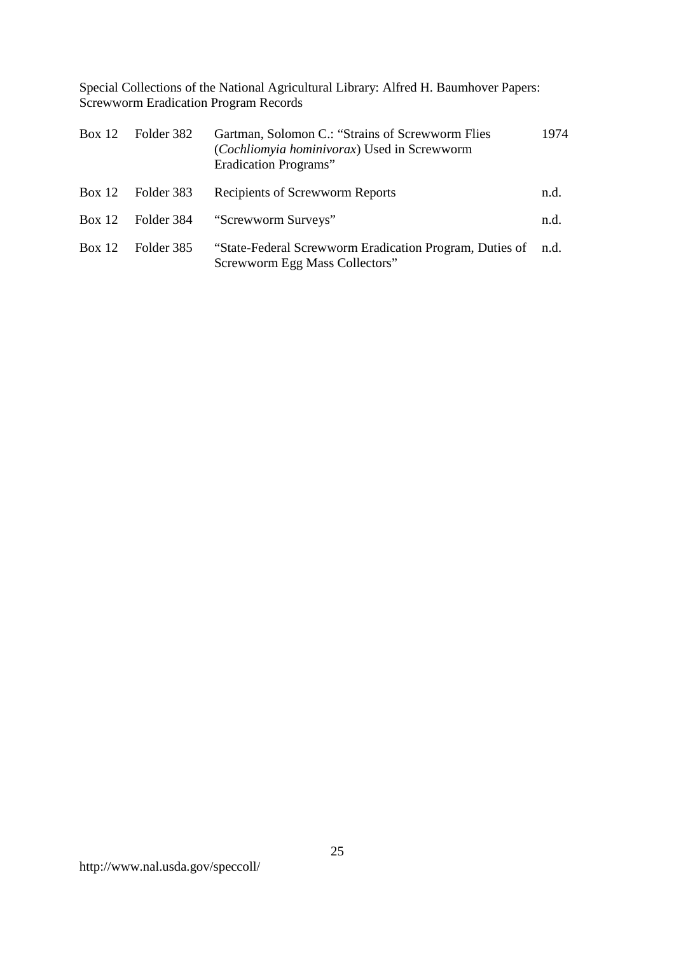| Box 12   | Folder 382 | Gartman, Solomon C.: "Strains of Screwworm Flies<br>(Cochliomyia hominivorax) Used in Screwworm<br>Eradication Programs" | 1974 |
|----------|------------|--------------------------------------------------------------------------------------------------------------------------|------|
| Box 12   | Folder 383 | <b>Recipients of Screwworm Reports</b>                                                                                   | n.d. |
| Box $12$ | Folder 384 | "Screwworm Surveys"                                                                                                      | n.d. |
| Box 12   | Folder 385 | "State-Federal Screwworm Eradication Program, Duties of<br>Screwworm Egg Mass Collectors"                                | n.d. |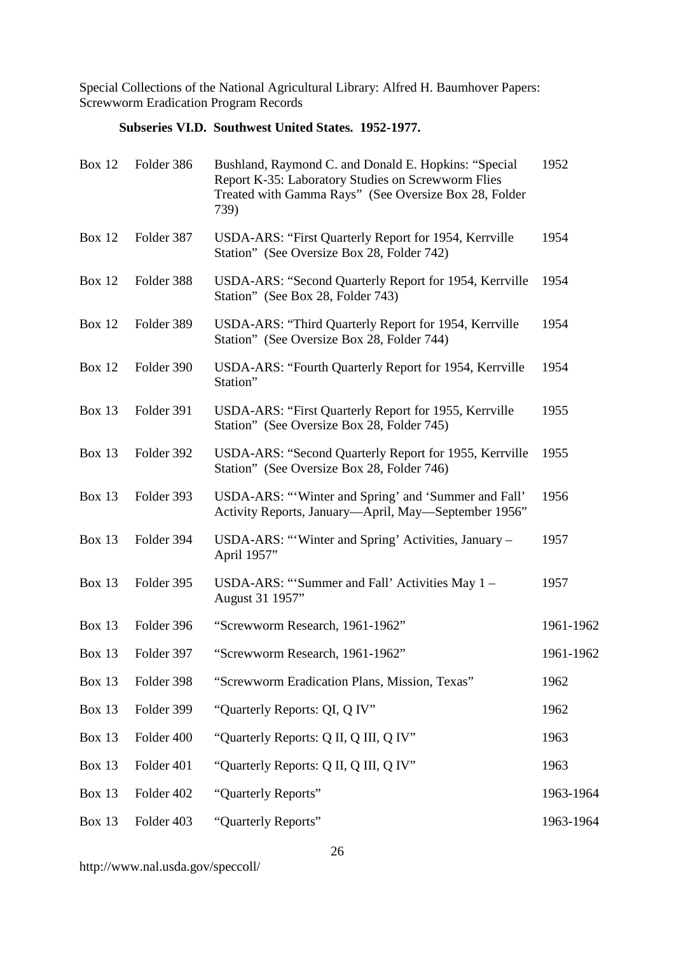# **Subseries VI.D. Southwest United States. 1952-1977.**

| <b>Box 12</b> | Folder 386 | Bushland, Raymond C. and Donald E. Hopkins: "Special<br>Report K-35: Laboratory Studies on Screwworm Flies<br>Treated with Gamma Rays" (See Oversize Box 28, Folder<br>739) | 1952      |
|---------------|------------|-----------------------------------------------------------------------------------------------------------------------------------------------------------------------------|-----------|
| <b>Box 12</b> | Folder 387 | USDA-ARS: "First Quarterly Report for 1954, Kerrville<br>Station" (See Oversize Box 28, Folder 742)                                                                         | 1954      |
| <b>Box 12</b> | Folder 388 | USDA-ARS: "Second Quarterly Report for 1954, Kerrville<br>Station" (See Box 28, Folder 743)                                                                                 | 1954      |
| <b>Box 12</b> | Folder 389 | USDA-ARS: "Third Quarterly Report for 1954, Kerrville<br>Station" (See Oversize Box 28, Folder 744)                                                                         | 1954      |
| <b>Box 12</b> | Folder 390 | USDA-ARS: "Fourth Quarterly Report for 1954, Kerrville<br>Station"                                                                                                          | 1954      |
| <b>Box 13</b> | Folder 391 | USDA-ARS: "First Quarterly Report for 1955, Kerrville<br>Station" (See Oversize Box 28, Folder 745)                                                                         | 1955      |
| <b>Box 13</b> | Folder 392 | USDA-ARS: "Second Quarterly Report for 1955, Kerrville<br>Station" (See Oversize Box 28, Folder 746)                                                                        | 1955      |
| Box 13        | Folder 393 | USDA-ARS: "'Winter and Spring' and 'Summer and Fall'<br>Activity Reports, January-April, May-September 1956"                                                                | 1956      |
| Box 13        | Folder 394 | USDA-ARS: "Winter and Spring' Activities, January -<br>April 1957"                                                                                                          | 1957      |
| <b>Box 13</b> | Folder 395 | USDA-ARS: "'Summer and Fall' Activities May 1 –<br>August 31 1957"                                                                                                          | 1957      |
| <b>Box 13</b> | Folder 396 | "Screwworm Research, 1961-1962"                                                                                                                                             | 1961-1962 |
| <b>Box 13</b> | Folder 397 | "Screwworm Research, 1961-1962"                                                                                                                                             | 1961-1962 |
| Box 13        | Folder 398 | "Screwworm Eradication Plans, Mission, Texas"                                                                                                                               | 1962      |
| <b>Box 13</b> | Folder 399 | "Quarterly Reports: QI, Q IV"                                                                                                                                               | 1962      |
| <b>Box 13</b> | Folder 400 | "Quarterly Reports: Q II, Q III, Q IV"                                                                                                                                      | 1963      |
| <b>Box 13</b> | Folder 401 | "Quarterly Reports: Q II, Q III, Q IV"                                                                                                                                      | 1963      |
| <b>Box 13</b> | Folder 402 | "Quarterly Reports"                                                                                                                                                         | 1963-1964 |
| <b>Box 13</b> | Folder 403 | "Quarterly Reports"                                                                                                                                                         | 1963-1964 |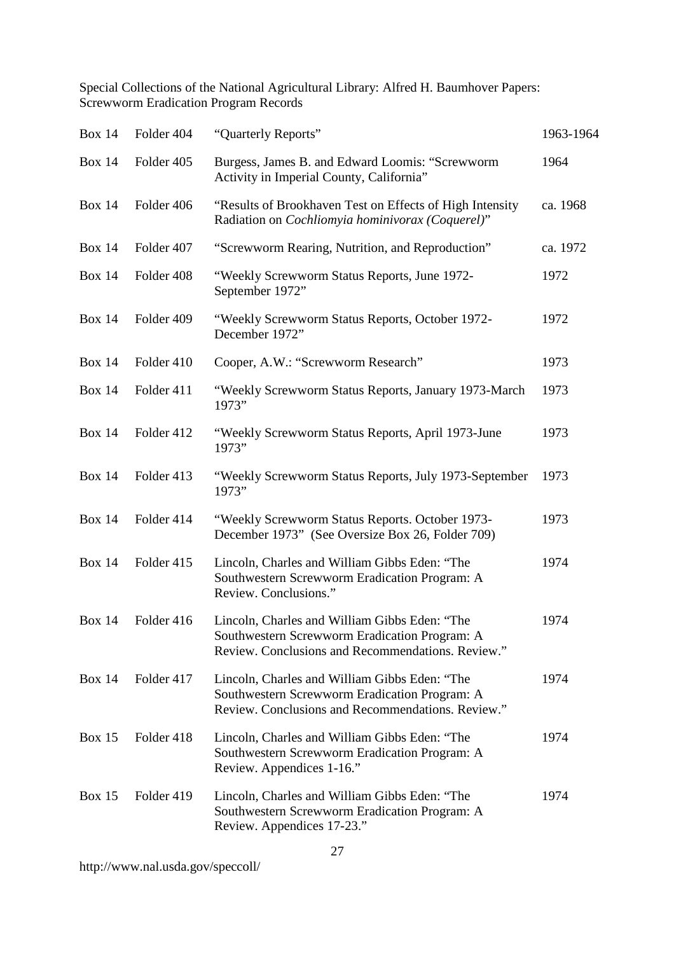| <b>Box 14</b> | Folder 404 | "Quarterly Reports"                                                                                                                                 | 1963-1964 |
|---------------|------------|-----------------------------------------------------------------------------------------------------------------------------------------------------|-----------|
| <b>Box 14</b> | Folder 405 | Burgess, James B. and Edward Loomis: "Screwworm<br>Activity in Imperial County, California"                                                         | 1964      |
| <b>Box 14</b> | Folder 406 | "Results of Brookhaven Test on Effects of High Intensity<br>Radiation on Cochliomyia hominivorax (Coquerel)"                                        | ca. 1968  |
| <b>Box 14</b> | Folder 407 | "Screwworm Rearing, Nutrition, and Reproduction"                                                                                                    | ca. 1972  |
| <b>Box 14</b> | Folder 408 | "Weekly Screwworm Status Reports, June 1972-<br>September 1972"                                                                                     | 1972      |
| <b>Box 14</b> | Folder 409 | "Weekly Screwworm Status Reports, October 1972-<br>December 1972"                                                                                   | 1972      |
| <b>Box 14</b> | Folder 410 | Cooper, A.W.: "Screwworm Research"                                                                                                                  | 1973      |
| <b>Box 14</b> | Folder 411 | "Weekly Screwworm Status Reports, January 1973-March<br>1973"                                                                                       | 1973      |
| <b>Box 14</b> | Folder 412 | "Weekly Screwworm Status Reports, April 1973-June<br>1973"                                                                                          | 1973      |
| <b>Box 14</b> | Folder 413 | "Weekly Screwworm Status Reports, July 1973-September<br>1973"                                                                                      | 1973      |
| <b>Box 14</b> | Folder 414 | "Weekly Screwworm Status Reports. October 1973-<br>December 1973" (See Oversize Box 26, Folder 709)                                                 | 1973      |
| <b>Box 14</b> | Folder 415 | Lincoln, Charles and William Gibbs Eden: "The<br>Southwestern Screwworm Eradication Program: A<br>Review. Conclusions."                             | 1974      |
| <b>Box 14</b> | Folder 416 | Lincoln, Charles and William Gibbs Eden: "The<br>Southwestern Screwworm Eradication Program: A<br>Review. Conclusions and Recommendations. Review." | 1974      |
| <b>Box 14</b> | Folder 417 | Lincoln, Charles and William Gibbs Eden: "The<br>Southwestern Screwworm Eradication Program: A<br>Review. Conclusions and Recommendations. Review." | 1974      |
| <b>Box 15</b> | Folder 418 | Lincoln, Charles and William Gibbs Eden: "The<br>Southwestern Screwworm Eradication Program: A<br>Review. Appendices 1-16."                         | 1974      |
| <b>Box 15</b> | Folder 419 | Lincoln, Charles and William Gibbs Eden: "The<br>Southwestern Screwworm Eradication Program: A<br>Review. Appendices 17-23."                        | 1974      |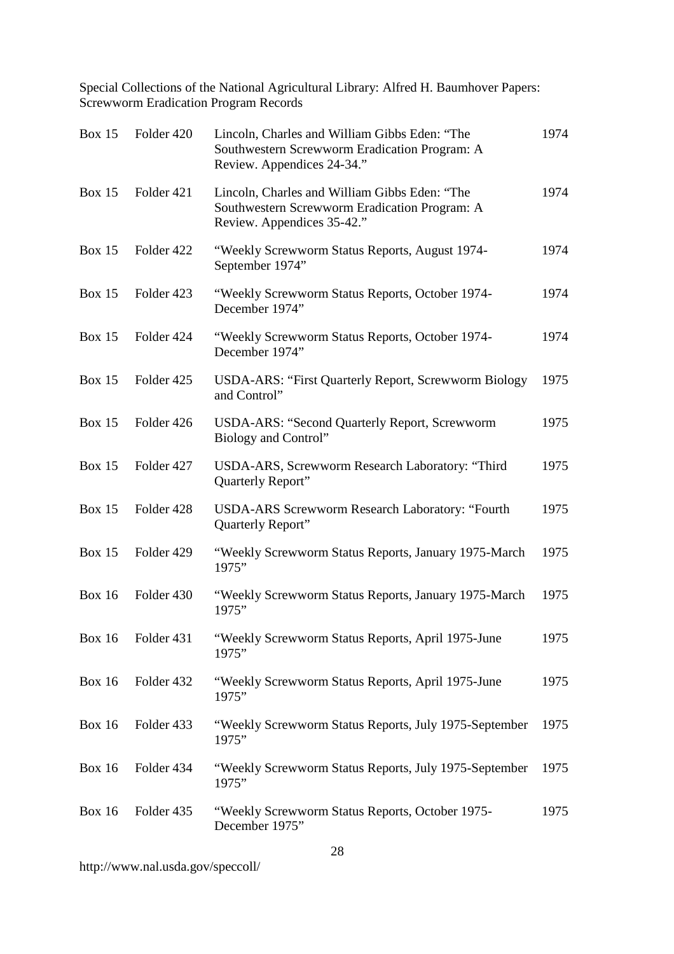| <b>Box 15</b> | Folder 420 | Lincoln, Charles and William Gibbs Eden: "The<br>Southwestern Screwworm Eradication Program: A<br>Review. Appendices 24-34." | 1974 |
|---------------|------------|------------------------------------------------------------------------------------------------------------------------------|------|
| <b>Box 15</b> | Folder 421 | Lincoln, Charles and William Gibbs Eden: "The<br>Southwestern Screwworm Eradication Program: A<br>Review. Appendices 35-42." | 1974 |
| <b>Box 15</b> | Folder 422 | "Weekly Screwworm Status Reports, August 1974-<br>September 1974"                                                            | 1974 |
| <b>Box 15</b> | Folder 423 | "Weekly Screwworm Status Reports, October 1974-<br>December 1974"                                                            | 1974 |
| <b>Box 15</b> | Folder 424 | "Weekly Screwworm Status Reports, October 1974-<br>December 1974"                                                            | 1974 |
| <b>Box 15</b> | Folder 425 | <b>USDA-ARS: "First Quarterly Report, Screwworm Biology</b><br>and Control"                                                  | 1975 |
| <b>Box 15</b> | Folder 426 | <b>USDA-ARS: "Second Quarterly Report, Screwworm</b><br>Biology and Control"                                                 | 1975 |
| <b>Box 15</b> | Folder 427 | USDA-ARS, Screwworm Research Laboratory: "Third<br>Quarterly Report"                                                         | 1975 |
| <b>Box 15</b> | Folder 428 | <b>USDA-ARS Screwworm Research Laboratory: "Fourth</b><br>Quarterly Report"                                                  | 1975 |
| <b>Box 15</b> | Folder 429 | "Weekly Screwworm Status Reports, January 1975-March<br>1975"                                                                | 1975 |
| <b>Box 16</b> | Folder 430 | "Weekly Screwworm Status Reports, January 1975-March<br>1975"                                                                | 1975 |
| <b>Box 16</b> | Folder 431 | "Weekly Screwworm Status Reports, April 1975-June<br>1975"                                                                   | 1975 |
| <b>Box 16</b> | Folder 432 | "Weekly Screwworm Status Reports, April 1975-June<br>1975"                                                                   | 1975 |
| <b>Box 16</b> | Folder 433 | "Weekly Screwworm Status Reports, July 1975-September<br>1975"                                                               | 1975 |
| <b>Box 16</b> | Folder 434 | "Weekly Screwworm Status Reports, July 1975-September<br>1975"                                                               | 1975 |
| <b>Box 16</b> | Folder 435 | "Weekly Screwworm Status Reports, October 1975-<br>December 1975"                                                            | 1975 |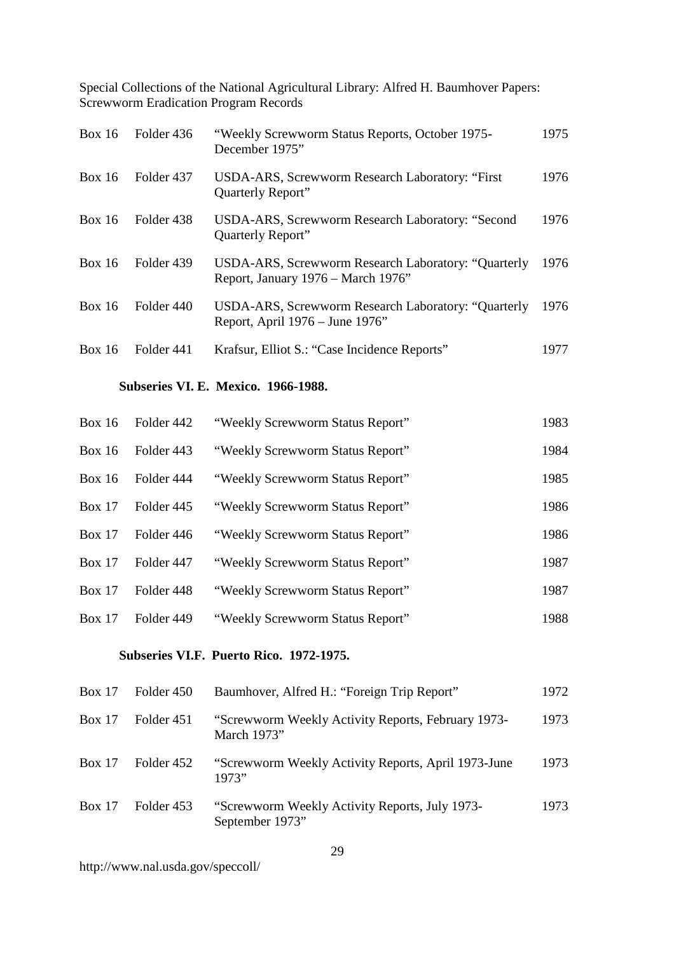| Box 16        | Folder 436 | "Weekly Screwworm Status Reports, October 1975-<br>December 1975"                         | 1975 |
|---------------|------------|-------------------------------------------------------------------------------------------|------|
| Box 16        | Folder 437 | USDA-ARS, Screwworm Research Laboratory: "First<br>Quarterly Report"                      | 1976 |
| <b>Box 16</b> | Folder 438 | USDA-ARS, Screwworm Research Laboratory: "Second<br><b>Quarterly Report"</b>              | 1976 |
| Box 16        | Folder 439 | USDA-ARS, Screwworm Research Laboratory: "Quarterly<br>Report, January 1976 – March 1976" | 1976 |
| Box 16        | Folder 440 | USDA-ARS, Screwworm Research Laboratory: "Quarterly<br>Report, April 1976 – June 1976"    | 1976 |
| <b>Box 16</b> | Folder 441 | Krafsur, Elliot S.: "Case Incidence Reports"                                              | 1977 |

### **Subseries VI. E. Mexico. 1966-1988.**

| <b>Box 16</b> | Folder 442 | "Weekly Screwworm Status Report" | 1983 |
|---------------|------------|----------------------------------|------|
| Box $16$      | Folder 443 | "Weekly Screwworm Status Report" | 1984 |
| Box $16$      | Folder 444 | "Weekly Screwworm Status Report" | 1985 |
| <b>Box 17</b> | Folder 445 | "Weekly Screwworm Status Report" | 1986 |
| <b>Box 17</b> | Folder 446 | "Weekly Screwworm Status Report" | 1986 |
| Box 17        | Folder 447 | "Weekly Screwworm Status Report" | 1987 |
| Box 17        | Folder 448 | "Weekly Screwworm Status Report" | 1987 |
| <b>Box 17</b> | Folder 449 | "Weekly Screwworm Status Report" | 1988 |

### **Subseries VI.F. Puerto Rico. 1972-1975.**

| Box $17$      | Folder 450 | Baumhover, Alfred H.: "Foreign Trip Report"                       | 1972 |
|---------------|------------|-------------------------------------------------------------------|------|
| <b>Box 17</b> | Folder 451 | "Screwworm Weekly Activity Reports, February 1973-<br>March 1973" | 1973 |
| Box $17$      | Folder 452 | "Screwworm Weekly Activity Reports, April 1973-June<br>1973"      | 1973 |
| <b>Box 17</b> | Folder 453 | "Screwworm Weekly Activity Reports, July 1973-<br>September 1973" | 1973 |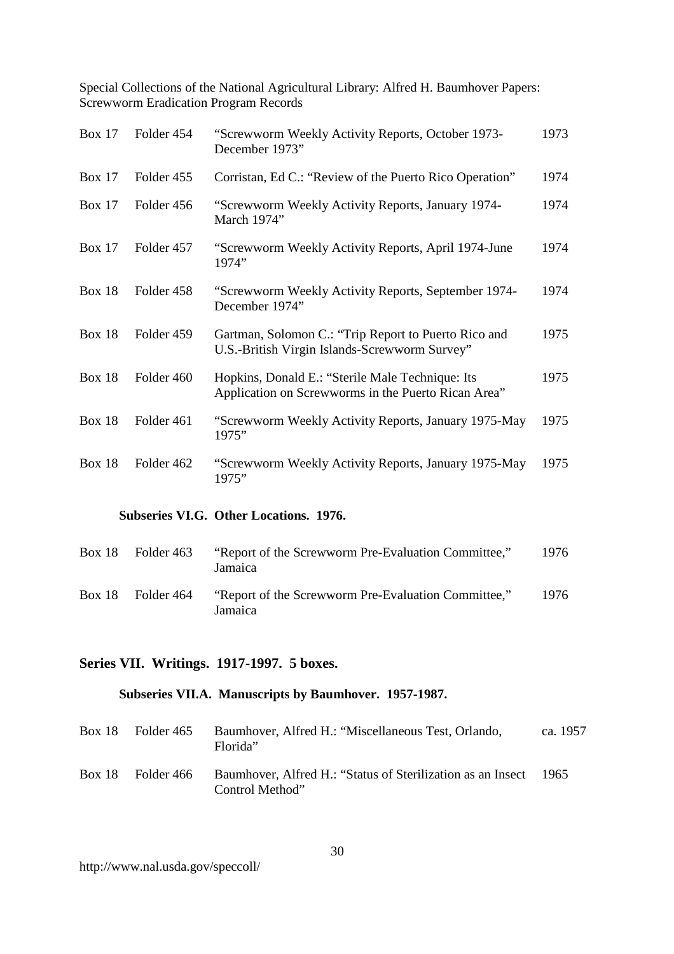| <b>Box 17</b> | Folder 454 | "Screwworm Weekly Activity Reports, October 1973-<br>December 1973"                                     | 1973 |
|---------------|------------|---------------------------------------------------------------------------------------------------------|------|
| <b>Box 17</b> | Folder 455 | Corristan, Ed C.: "Review of the Puerto Rico Operation"                                                 | 1974 |
| Box $17$      | Folder 456 | "Screwworm Weekly Activity Reports, January 1974-<br>March 1974"                                        | 1974 |
| Box $17$      | Folder 457 | "Screwworm Weekly Activity Reports, April 1974-June<br>1974"                                            | 1974 |
| <b>Box 18</b> | Folder 458 | "Screwworm Weekly Activity Reports, September 1974-<br>December 1974"                                   | 1974 |
| <b>Box 18</b> | Folder 459 | Gartman, Solomon C.: "Trip Report to Puerto Rico and<br>U.S.-British Virgin Islands-Screwworm Survey"   | 1975 |
| <b>Box 18</b> | Folder 460 | Hopkins, Donald E.: "Sterile Male Technique: Its<br>Application on Screwworms in the Puerto Rican Area" | 1975 |
| <b>Box 18</b> | Folder 461 | "Screwworm Weekly Activity Reports, January 1975-May<br>1975"                                           | 1975 |
| <b>Box 18</b> | Folder 462 | "Screwworm Weekly Activity Reports, January 1975-May<br>1975"                                           | 1975 |

### **Subseries VI.G. Other Locations. 1976.**

| Box 18 Folder 463 | "Report of the Screwworm Pre-Evaluation Committee,"<br>Jamaica | 1976 |
|-------------------|----------------------------------------------------------------|------|
| Box 18 Folder 464 | "Report of the Screwworm Pre-Evaluation Committee,"<br>Jamaica | 1976 |

# **Series VII. Writings. 1917-1997. 5 boxes.**

# **Subseries VII.A. Manuscripts by Baumhover. 1957-1987.**

| Box 18 | Folder 465 | Baumhover, Alfred H.: "Miscellaneous Test, Orlando,<br>Florida"                | ca. 1957 |
|--------|------------|--------------------------------------------------------------------------------|----------|
| Box 18 | Folder 466 | Baumhover, Alfred H.: "Status of Sterilization as an Insect<br>Control Method" | -1965    |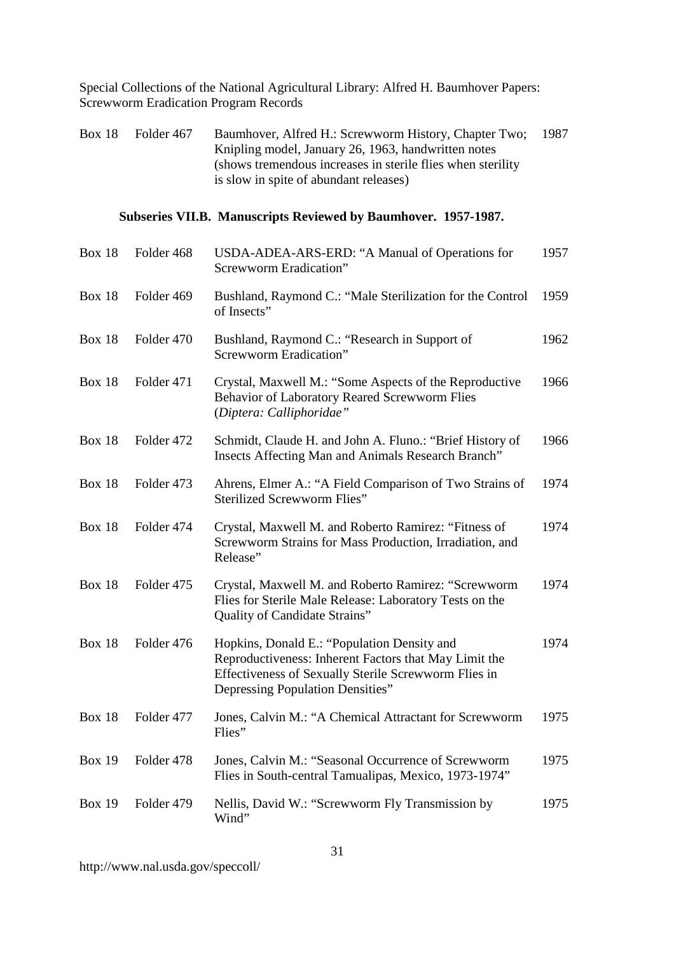Box 18 Folder 467 Baumhover, Alfred H.: Screwworm History, Chapter Two; Knipling model, January 26, 1963, handwritten notes (shows tremendous increases in sterile flies when sterility is slow in spite of abundant releases) 1987

### **Subseries VII.B. Manuscripts Reviewed by Baumhover. 1957-1987.**

| <b>Box 18</b> | Folder 468 | USDA-ADEA-ARS-ERD: "A Manual of Operations for<br><b>Screwworm Eradication"</b>                                                                                                                  | 1957 |
|---------------|------------|--------------------------------------------------------------------------------------------------------------------------------------------------------------------------------------------------|------|
| <b>Box 18</b> | Folder 469 | Bushland, Raymond C.: "Male Sterilization for the Control<br>of Insects"                                                                                                                         | 1959 |
| <b>Box 18</b> | Folder 470 | Bushland, Raymond C.: "Research in Support of<br>Screwworm Eradication"                                                                                                                          | 1962 |
| <b>Box 18</b> | Folder 471 | Crystal, Maxwell M.: "Some Aspects of the Reproductive<br>Behavior of Laboratory Reared Screwworm Flies<br>(Diptera: Calliphoridae"                                                              | 1966 |
| <b>Box 18</b> | Folder 472 | Schmidt, Claude H. and John A. Fluno.: "Brief History of<br><b>Insects Affecting Man and Animals Research Branch"</b>                                                                            | 1966 |
| <b>Box 18</b> | Folder 473 | Ahrens, Elmer A.: "A Field Comparison of Two Strains of<br><b>Sterilized Screwworm Flies"</b>                                                                                                    | 1974 |
| <b>Box 18</b> | Folder 474 | Crystal, Maxwell M. and Roberto Ramirez: "Fitness of<br>Screwworm Strains for Mass Production, Irradiation, and<br>Release"                                                                      | 1974 |
| <b>Box 18</b> | Folder 475 | Crystal, Maxwell M. and Roberto Ramirez: "Screwworm<br>Flies for Sterile Male Release: Laboratory Tests on the<br>Quality of Candidate Strains"                                                  | 1974 |
| <b>Box 18</b> | Folder 476 | Hopkins, Donald E.: "Population Density and<br>Reproductiveness: Inherent Factors that May Limit the<br>Effectiveness of Sexually Sterile Screwworm Flies in<br>Depressing Population Densities" | 1974 |
| <b>Box 18</b> | Folder 477 | Jones, Calvin M.: "A Chemical Attractant for Screwworm<br>Flies"                                                                                                                                 | 1975 |
| <b>Box 19</b> | Folder 478 | Jones, Calvin M.: "Seasonal Occurrence of Screwworm<br>Flies in South-central Tamualipas, Mexico, 1973-1974"                                                                                     | 1975 |
| <b>Box 19</b> | Folder 479 | Nellis, David W.: "Screwworm Fly Transmission by<br>Wind"                                                                                                                                        | 1975 |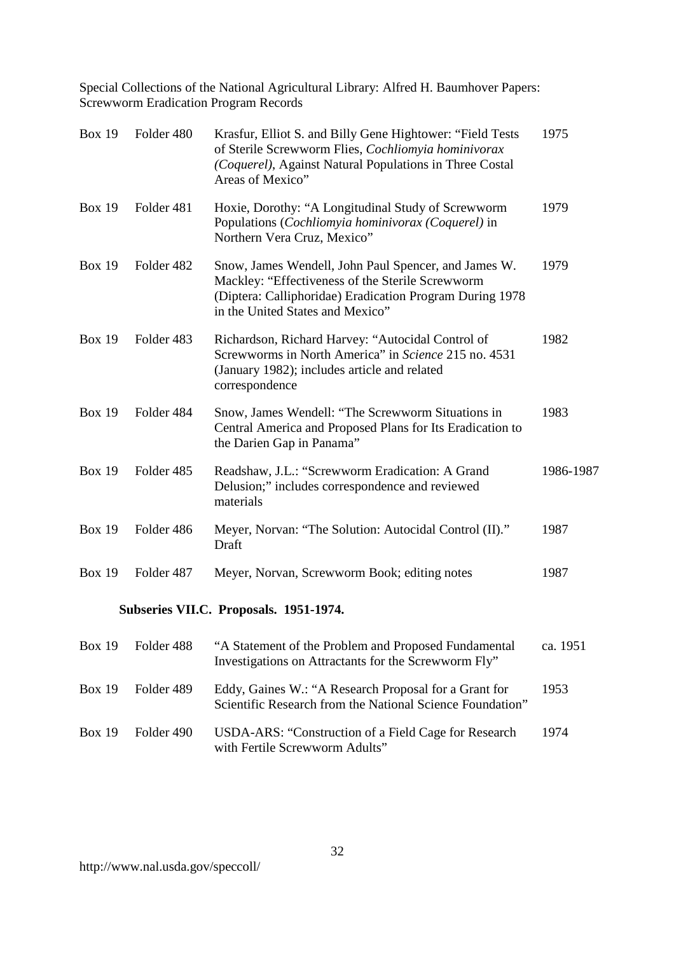| <b>Box 19</b> | Folder 480                                     | Krasfur, Elliot S. and Billy Gene Hightower: "Field Tests"<br>of Sterile Screwworm Flies, Cochliomyia hominivorax<br>(Coquerel), Against Natural Populations in Three Costal<br>Areas of Mexico"         | 1975      |
|---------------|------------------------------------------------|----------------------------------------------------------------------------------------------------------------------------------------------------------------------------------------------------------|-----------|
| <b>Box 19</b> | Folder 481                                     | Hoxie, Dorothy: "A Longitudinal Study of Screwworm<br>Populations (Cochliomyia hominivorax (Coquerel) in<br>Northern Vera Cruz, Mexico"                                                                  | 1979      |
| <b>Box 19</b> | Folder 482                                     | Snow, James Wendell, John Paul Spencer, and James W.<br>Mackley: "Effectiveness of the Sterile Screwworm<br>(Diptera: Calliphoridae) Eradication Program During 1978<br>in the United States and Mexico" | 1979      |
| <b>Box 19</b> | Folder 483                                     | Richardson, Richard Harvey: "Autocidal Control of<br>Screwworms in North America" in Science 215 no. 4531<br>(January 1982); includes article and related<br>correspondence                              | 1982      |
| <b>Box 19</b> | Folder 484                                     | Snow, James Wendell: "The Screwworm Situations in<br>Central America and Proposed Plans for Its Eradication to<br>the Darien Gap in Panama"                                                              | 1983      |
| <b>Box 19</b> | Folder 485                                     | Readshaw, J.L.: "Screwworm Eradication: A Grand<br>Delusion;" includes correspondence and reviewed<br>materials                                                                                          | 1986-1987 |
| <b>Box 19</b> | Folder 486                                     | Meyer, Norvan: "The Solution: Autocidal Control (II)."<br>Draft                                                                                                                                          | 1987      |
| <b>Box 19</b> | Folder 487                                     | Meyer, Norvan, Screwworm Book; editing notes                                                                                                                                                             | 1987      |
|               |                                                | Subseries VII.C. Proposals. 1951-1974.                                                                                                                                                                   |           |
|               | $D_{\text{max}}$ 10 $D_{\text{min}}$ 14. $100$ | $6.6$ Chatenes and of the Dualdeus and Duanaged Eric damagetal                                                                                                                                           | $-2.1051$ |

|               | Box 19 Folder 488 | "A Statement of the Problem and Proposed Fundamental<br>Investigations on Attractants for the Screwworm Fly"       | ca. 1951 |
|---------------|-------------------|--------------------------------------------------------------------------------------------------------------------|----------|
|               | Box 19 Folder 489 | Eddy, Gaines W.: "A Research Proposal for a Grant for<br>Scientific Research from the National Science Foundation" | 1953     |
| <b>Box 19</b> | Folder 490        | USDA-ARS: "Construction of a Field Cage for Research"<br>with Fertile Screwworm Adults"                            | 1974     |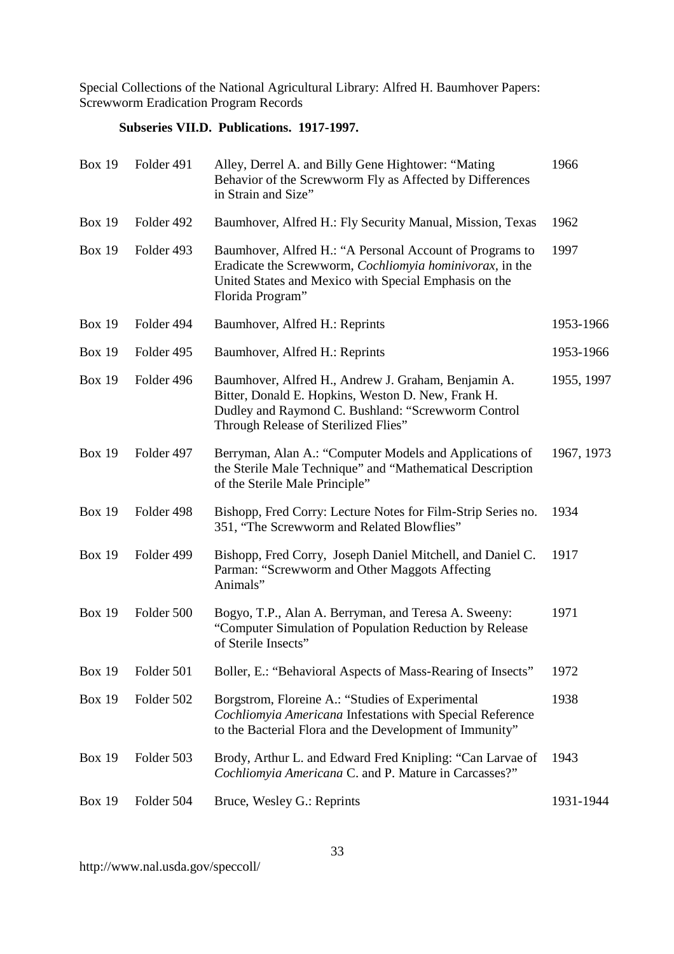# **Subseries VII.D. Publications. 1917-1997.**

| <b>Box 19</b> | Folder 491 | Alley, Derrel A. and Billy Gene Hightower: "Mating<br>Behavior of the Screwworm Fly as Affected by Differences<br>in Strain and Size"                                                                     | 1966       |
|---------------|------------|-----------------------------------------------------------------------------------------------------------------------------------------------------------------------------------------------------------|------------|
| <b>Box 19</b> | Folder 492 | Baumhover, Alfred H.: Fly Security Manual, Mission, Texas                                                                                                                                                 | 1962       |
| <b>Box 19</b> | Folder 493 | Baumhover, Alfred H.: "A Personal Account of Programs to<br>Eradicate the Screwworm, <i>Cochliomyia hominivorax</i> , in the<br>United States and Mexico with Special Emphasis on the<br>Florida Program" | 1997       |
| <b>Box 19</b> | Folder 494 | Baumhover, Alfred H.: Reprints                                                                                                                                                                            | 1953-1966  |
| <b>Box 19</b> | Folder 495 | Baumhover, Alfred H.: Reprints                                                                                                                                                                            | 1953-1966  |
| <b>Box 19</b> | Folder 496 | Baumhover, Alfred H., Andrew J. Graham, Benjamin A.<br>Bitter, Donald E. Hopkins, Weston D. New, Frank H.<br>Dudley and Raymond C. Bushland: "Screwworm Control<br>Through Release of Sterilized Flies"   | 1955, 1997 |
| <b>Box 19</b> | Folder 497 | Berryman, Alan A.: "Computer Models and Applications of<br>the Sterile Male Technique" and "Mathematical Description<br>of the Sterile Male Principle"                                                    | 1967, 1973 |
| <b>Box 19</b> | Folder 498 | Bishopp, Fred Corry: Lecture Notes for Film-Strip Series no.<br>351, "The Screwworm and Related Blowflies"                                                                                                | 1934       |
| <b>Box 19</b> | Folder 499 | Bishopp, Fred Corry, Joseph Daniel Mitchell, and Daniel C.<br>Parman: "Screwworm and Other Maggots Affecting<br>Animals"                                                                                  | 1917       |
| <b>Box 19</b> | Folder 500 | Bogyo, T.P., Alan A. Berryman, and Teresa A. Sweeny:<br>"Computer Simulation of Population Reduction by Release<br>of Sterile Insects"                                                                    | 1971       |
| <b>Box 19</b> | Folder 501 | Boller, E.: "Behavioral Aspects of Mass-Rearing of Insects"                                                                                                                                               | 1972       |
| <b>Box 19</b> | Folder 502 | Borgstrom, Floreine A.: "Studies of Experimental<br>Cochliomyia Americana Infestations with Special Reference<br>to the Bacterial Flora and the Development of Immunity"                                  | 1938       |
| <b>Box 19</b> | Folder 503 | Brody, Arthur L. and Edward Fred Knipling: "Can Larvae of<br>Cochliomyia Americana C. and P. Mature in Carcasses?"                                                                                        | 1943       |
| <b>Box 19</b> | Folder 504 | Bruce, Wesley G.: Reprints                                                                                                                                                                                | 1931-1944  |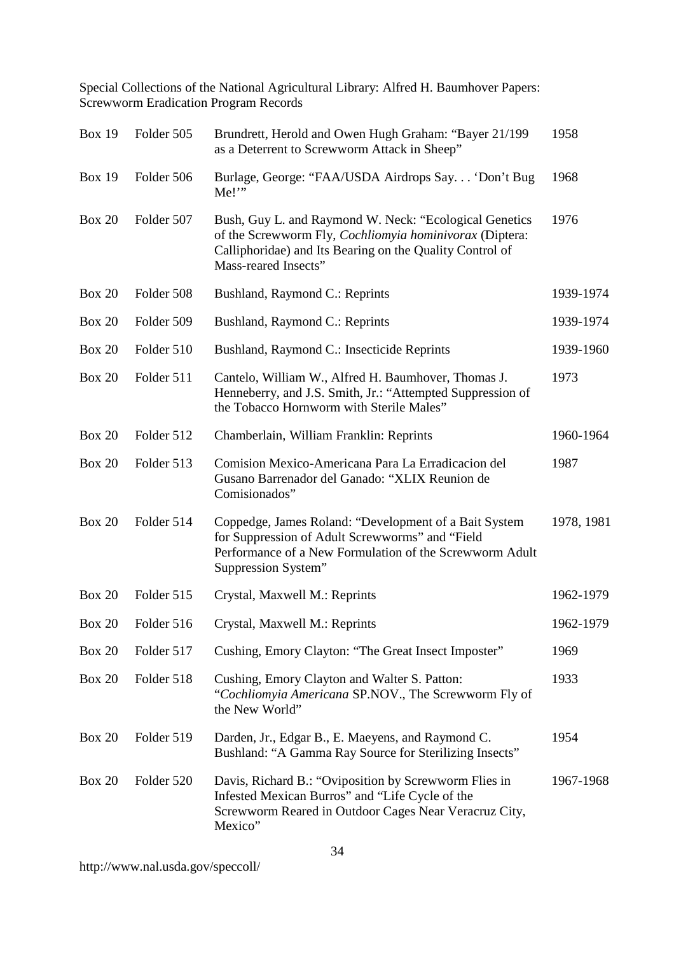| <b>Box 19</b> | Folder 505 | Brundrett, Herold and Owen Hugh Graham: "Bayer 21/199<br>as a Deterrent to Screwworm Attack in Sheep"                                                                                                 | 1958       |
|---------------|------------|-------------------------------------------------------------------------------------------------------------------------------------------------------------------------------------------------------|------------|
| <b>Box 19</b> | Folder 506 | Burlage, George: "FAA/USDA Airdrops Say 'Don't Bug<br>Me!                                                                                                                                             | 1968       |
| <b>Box 20</b> | Folder 507 | Bush, Guy L. and Raymond W. Neck: "Ecological Genetics<br>of the Screwworm Fly, Cochliomyia hominivorax (Diptera:<br>Calliphoridae) and Its Bearing on the Quality Control of<br>Mass-reared Insects" | 1976       |
| <b>Box 20</b> | Folder 508 | Bushland, Raymond C.: Reprints                                                                                                                                                                        | 1939-1974  |
| <b>Box 20</b> | Folder 509 | Bushland, Raymond C.: Reprints                                                                                                                                                                        | 1939-1974  |
| <b>Box 20</b> | Folder 510 | Bushland, Raymond C.: Insecticide Reprints                                                                                                                                                            | 1939-1960  |
| <b>Box 20</b> | Folder 511 | Cantelo, William W., Alfred H. Baumhover, Thomas J.<br>Henneberry, and J.S. Smith, Jr.: "Attempted Suppression of<br>the Tobacco Hornworm with Sterile Males"                                         | 1973       |
| <b>Box 20</b> | Folder 512 | Chamberlain, William Franklin: Reprints                                                                                                                                                               | 1960-1964  |
| <b>Box 20</b> | Folder 513 | Comision Mexico-Americana Para La Erradicacion del<br>Gusano Barrenador del Ganado: "XLIX Reunion de<br>Comisionados"                                                                                 | 1987       |
| <b>Box 20</b> | Folder 514 | Coppedge, James Roland: "Development of a Bait System<br>for Suppression of Adult Screwworms" and "Field<br>Performance of a New Formulation of the Screwworm Adult<br>Suppression System"            | 1978, 1981 |
| <b>Box 20</b> | Folder 515 | Crystal, Maxwell M.: Reprints                                                                                                                                                                         | 1962-1979  |
| <b>Box 20</b> | Folder 516 | Crystal, Maxwell M.: Reprints                                                                                                                                                                         | 1962-1979  |
| <b>Box 20</b> | Folder 517 | Cushing, Emory Clayton: "The Great Insect Imposter"                                                                                                                                                   | 1969       |
| <b>Box 20</b> | Folder 518 | Cushing, Emory Clayton and Walter S. Patton:<br>"Cochliomyia Americana SP.NOV., The Screwworm Fly of<br>the New World"                                                                                | 1933       |
| <b>Box 20</b> | Folder 519 | Darden, Jr., Edgar B., E. Maeyens, and Raymond C.<br>Bushland: "A Gamma Ray Source for Sterilizing Insects"                                                                                           | 1954       |
| <b>Box 20</b> | Folder 520 | Davis, Richard B.: "Oviposition by Screwworm Flies in<br>Infested Mexican Burros" and "Life Cycle of the<br>Screwworm Reared in Outdoor Cages Near Veracruz City,<br>Mexico"                          | 1967-1968  |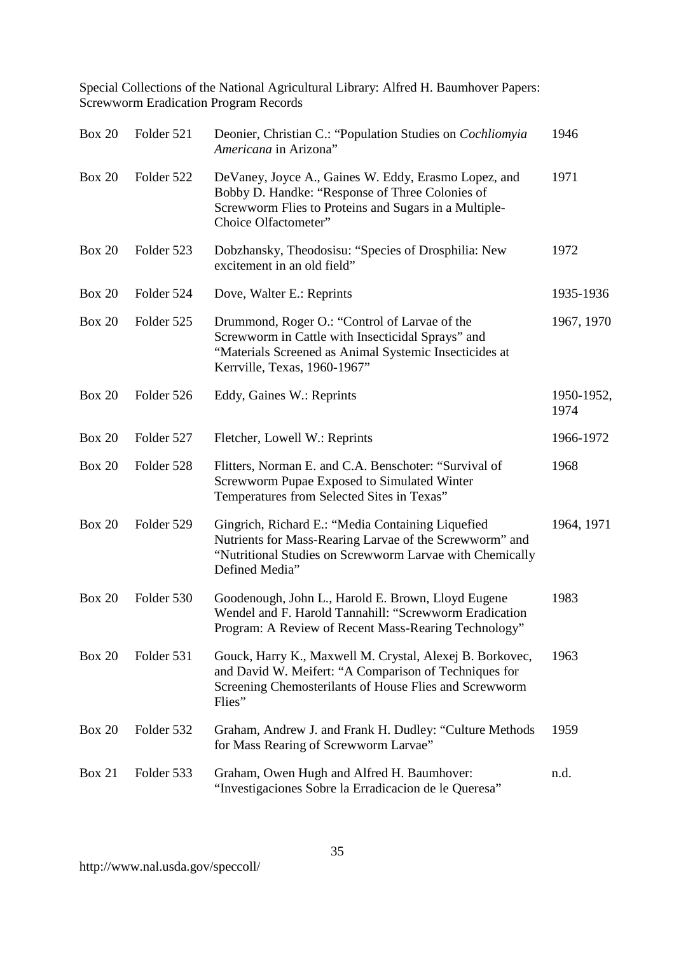| <b>Box 20</b> | Folder 521 | Deonier, Christian C.: "Population Studies on Cochliomyia<br>Americana in Arizona"                                                                                                           | 1946               |
|---------------|------------|----------------------------------------------------------------------------------------------------------------------------------------------------------------------------------------------|--------------------|
| <b>Box 20</b> | Folder 522 | DeVaney, Joyce A., Gaines W. Eddy, Erasmo Lopez, and<br>Bobby D. Handke: "Response of Three Colonies of<br>Screwworm Flies to Proteins and Sugars in a Multiple-<br>Choice Olfactometer"     | 1971               |
| <b>Box 20</b> | Folder 523 | Dobzhansky, Theodosisu: "Species of Drosphilia: New<br>excitement in an old field"                                                                                                           | 1972               |
| <b>Box 20</b> | Folder 524 | Dove, Walter E.: Reprints                                                                                                                                                                    | 1935-1936          |
| <b>Box 20</b> | Folder 525 | Drummond, Roger O.: "Control of Larvae of the<br>Screwworm in Cattle with Insecticidal Sprays" and<br>"Materials Screened as Animal Systemic Insecticides at<br>Kerrville, Texas, 1960-1967" | 1967, 1970         |
| Box 20        | Folder 526 | Eddy, Gaines W.: Reprints                                                                                                                                                                    | 1950-1952,<br>1974 |
| <b>Box 20</b> | Folder 527 | Fletcher, Lowell W.: Reprints                                                                                                                                                                | 1966-1972          |
| <b>Box 20</b> | Folder 528 | Flitters, Norman E. and C.A. Benschoter: "Survival of<br>Screwworm Pupae Exposed to Simulated Winter<br>Temperatures from Selected Sites in Texas"                                           | 1968               |
| <b>Box 20</b> | Folder 529 | Gingrich, Richard E.: "Media Containing Liquefied<br>Nutrients for Mass-Rearing Larvae of the Screwworm" and<br>"Nutritional Studies on Screwworm Larvae with Chemically<br>Defined Media"   | 1964, 1971         |
| <b>Box 20</b> | Folder 530 | Goodenough, John L., Harold E. Brown, Lloyd Eugene<br>Wendel and F. Harold Tannahill: "Screwworm Eradication<br>Program: A Review of Recent Mass-Rearing Technology"                         | 1983               |
| <b>Box 20</b> | Folder 531 | Gouck, Harry K., Maxwell M. Crystal, Alexej B. Borkovec,<br>and David W. Meifert: "A Comparison of Techniques for<br>Screening Chemosterilants of House Flies and Screwworm<br>Flies"        | 1963               |
| <b>Box 20</b> | Folder 532 | Graham, Andrew J. and Frank H. Dudley: "Culture Methods<br>for Mass Rearing of Screwworm Larvae"                                                                                             | 1959               |
| <b>Box 21</b> | Folder 533 | Graham, Owen Hugh and Alfred H. Baumhover:<br>"Investigaciones Sobre la Erradicacion de le Queresa"                                                                                          | n.d.               |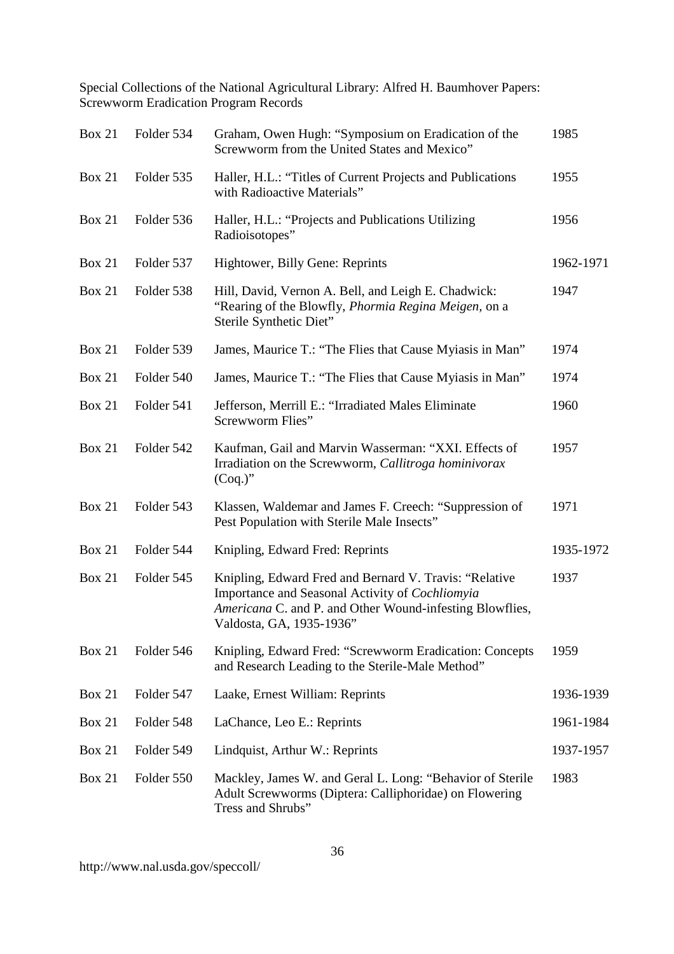| <b>Box 21</b> | Folder 534 | Graham, Owen Hugh: "Symposium on Eradication of the<br>Screwworm from the United States and Mexico"                                                                                               | 1985      |
|---------------|------------|---------------------------------------------------------------------------------------------------------------------------------------------------------------------------------------------------|-----------|
| <b>Box 21</b> | Folder 535 | Haller, H.L.: "Titles of Current Projects and Publications<br>with Radioactive Materials"                                                                                                         | 1955      |
| <b>Box 21</b> | Folder 536 | Haller, H.L.: "Projects and Publications Utilizing<br>Radioisotopes"                                                                                                                              | 1956      |
| <b>Box 21</b> | Folder 537 | Hightower, Billy Gene: Reprints                                                                                                                                                                   | 1962-1971 |
| <b>Box 21</b> | Folder 538 | Hill, David, Vernon A. Bell, and Leigh E. Chadwick:<br>"Rearing of the Blowfly, Phormia Regina Meigen, on a<br>Sterile Synthetic Diet"                                                            | 1947      |
| <b>Box 21</b> | Folder 539 | James, Maurice T.: "The Flies that Cause Myiasis in Man"                                                                                                                                          | 1974      |
| <b>Box 21</b> | Folder 540 | James, Maurice T.: "The Flies that Cause Myiasis in Man"                                                                                                                                          | 1974      |
| <b>Box 21</b> | Folder 541 | Jefferson, Merrill E.: "Irradiated Males Eliminate<br>Screwworm Flies"                                                                                                                            | 1960      |
| <b>Box 21</b> | Folder 542 | Kaufman, Gail and Marvin Wasserman: "XXI. Effects of<br>Irradiation on the Screwworm, Callitroga hominivorax<br>$(Coq.)$ "                                                                        | 1957      |
| <b>Box 21</b> | Folder 543 | Klassen, Waldemar and James F. Creech: "Suppression of<br>Pest Population with Sterile Male Insects"                                                                                              | 1971      |
| <b>Box 21</b> | Folder 544 | Knipling, Edward Fred: Reprints                                                                                                                                                                   | 1935-1972 |
| <b>Box 21</b> | Folder 545 | Knipling, Edward Fred and Bernard V. Travis: "Relative<br>Importance and Seasonal Activity of Cochliomyia<br>Americana C. and P. and Other Wound-infesting Blowflies,<br>Valdosta, GA, 1935-1936" | 1937      |
| <b>Box 21</b> | Folder 546 | Knipling, Edward Fred: "Screwworm Eradication: Concepts<br>and Research Leading to the Sterile-Male Method"                                                                                       | 1959      |
| <b>Box 21</b> | Folder 547 | Laake, Ernest William: Reprints                                                                                                                                                                   | 1936-1939 |
| <b>Box 21</b> | Folder 548 | LaChance, Leo E.: Reprints                                                                                                                                                                        | 1961-1984 |
| <b>Box 21</b> | Folder 549 | Lindquist, Arthur W.: Reprints                                                                                                                                                                    | 1937-1957 |
| <b>Box 21</b> | Folder 550 | Mackley, James W. and Geral L. Long: "Behavior of Sterile<br>Adult Screwworms (Diptera: Calliphoridae) on Flowering<br>Tress and Shrubs"                                                          | 1983      |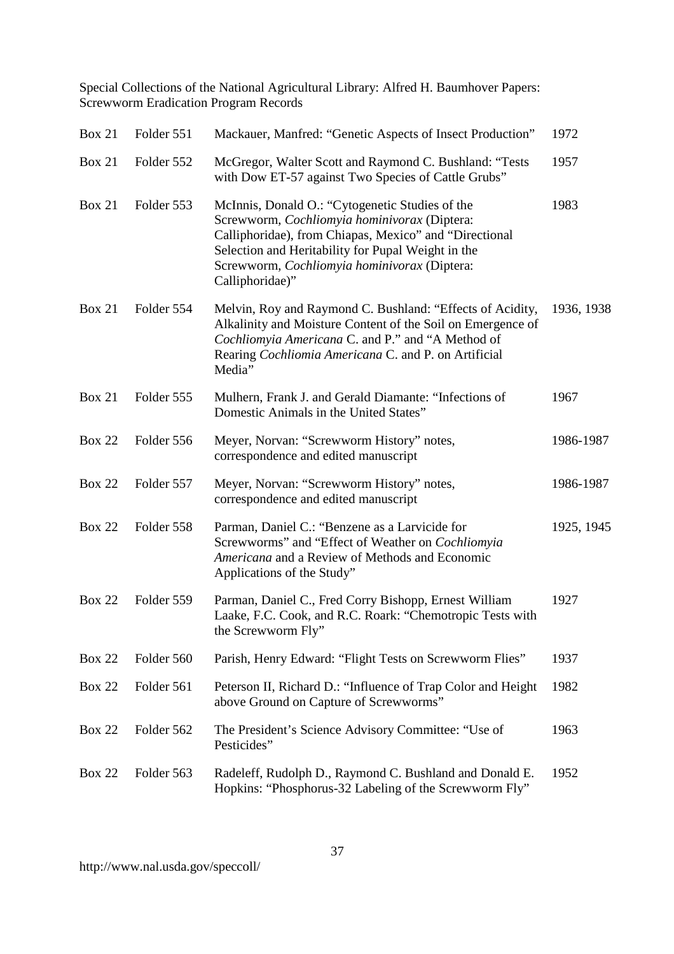| <b>Box 21</b> | Folder 551 | Mackauer, Manfred: "Genetic Aspects of Insect Production"                                                                                                                                                                                                                          | 1972       |
|---------------|------------|------------------------------------------------------------------------------------------------------------------------------------------------------------------------------------------------------------------------------------------------------------------------------------|------------|
| <b>Box 21</b> | Folder 552 | McGregor, Walter Scott and Raymond C. Bushland: "Tests<br>with Dow ET-57 against Two Species of Cattle Grubs"                                                                                                                                                                      | 1957       |
| <b>Box 21</b> | Folder 553 | McInnis, Donald O.: "Cytogenetic Studies of the<br>Screwworm, Cochliomyia hominivorax (Diptera:<br>Calliphoridae), from Chiapas, Mexico" and "Directional<br>Selection and Heritability for Pupal Weight in the<br>Screwworm, Cochliomyia hominivorax (Diptera:<br>Calliphoridae)" | 1983       |
| <b>Box 21</b> | Folder 554 | Melvin, Roy and Raymond C. Bushland: "Effects of Acidity,<br>Alkalinity and Moisture Content of the Soil on Emergence of<br>Cochliomyia Americana C. and P." and "A Method of<br>Rearing Cochliomia Americana C. and P. on Artificial<br>Media"                                    | 1936, 1938 |
| <b>Box 21</b> | Folder 555 | Mulhern, Frank J. and Gerald Diamante: "Infections of<br>Domestic Animals in the United States"                                                                                                                                                                                    | 1967       |
| <b>Box 22</b> | Folder 556 | Meyer, Norvan: "Screwworm History" notes,<br>correspondence and edited manuscript                                                                                                                                                                                                  | 1986-1987  |
| <b>Box 22</b> | Folder 557 | Meyer, Norvan: "Screwworm History" notes,<br>correspondence and edited manuscript                                                                                                                                                                                                  | 1986-1987  |
| <b>Box 22</b> | Folder 558 | Parman, Daniel C.: "Benzene as a Larvicide for<br>Screwworms" and "Effect of Weather on Cochliomyia<br>Americana and a Review of Methods and Economic<br>Applications of the Study"                                                                                                | 1925, 1945 |
| <b>Box 22</b> | Folder 559 | Parman, Daniel C., Fred Corry Bishopp, Ernest William<br>Laake, F.C. Cook, and R.C. Roark: "Chemotropic Tests with<br>the Screwworm Fly"                                                                                                                                           | 1927       |
| <b>Box 22</b> | Folder 560 | Parish, Henry Edward: "Flight Tests on Screwworm Flies"                                                                                                                                                                                                                            | 1937       |
| <b>Box 22</b> | Folder 561 | Peterson II, Richard D.: "Influence of Trap Color and Height<br>above Ground on Capture of Screwworms"                                                                                                                                                                             | 1982       |
| <b>Box 22</b> | Folder 562 | The President's Science Advisory Committee: "Use of<br>Pesticides"                                                                                                                                                                                                                 | 1963       |
| <b>Box 22</b> | Folder 563 | Radeleff, Rudolph D., Raymond C. Bushland and Donald E.<br>Hopkins: "Phosphorus-32 Labeling of the Screwworm Fly"                                                                                                                                                                  | 1952       |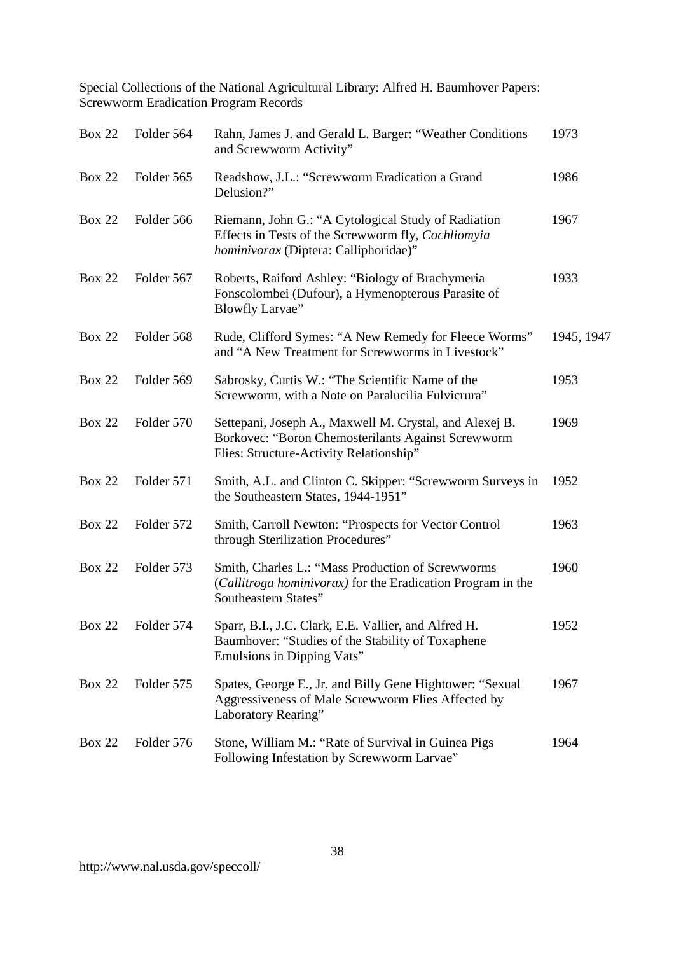| <b>Box 22</b> | Folder 564 | Rahn, James J. and Gerald L. Barger: "Weather Conditions<br>and Screwworm Activity"                                                                      | 1973       |
|---------------|------------|----------------------------------------------------------------------------------------------------------------------------------------------------------|------------|
| <b>Box 22</b> | Folder 565 | Readshow, J.L.: "Screwworm Eradication a Grand<br>Delusion?"                                                                                             | 1986       |
| <b>Box 22</b> | Folder 566 | Riemann, John G.: "A Cytological Study of Radiation<br>Effects in Tests of the Screwworm fly, Cochliomyia<br>hominivorax (Diptera: Calliphoridae)"       | 1967       |
| <b>Box 22</b> | Folder 567 | Roberts, Raiford Ashley: "Biology of Brachymeria<br>Fonscolombei (Dufour), a Hymenopterous Parasite of<br><b>Blowfly Larvae"</b>                         | 1933       |
| <b>Box 22</b> | Folder 568 | Rude, Clifford Symes: "A New Remedy for Fleece Worms"<br>and "A New Treatment for Screwworms in Livestock"                                               | 1945, 1947 |
| <b>Box 22</b> | Folder 569 | Sabrosky, Curtis W.: "The Scientific Name of the<br>Screwworm, with a Note on Paralucilia Fulvicrura"                                                    | 1953       |
| <b>Box 22</b> | Folder 570 | Settepani, Joseph A., Maxwell M. Crystal, and Alexej B.<br>Borkovec: "Boron Chemosterilants Against Screwworm<br>Flies: Structure-Activity Relationship" | 1969       |
| <b>Box 22</b> | Folder 571 | Smith, A.L. and Clinton C. Skipper: "Screwworm Surveys in<br>the Southeastern States, 1944-1951"                                                         | 1952       |
| <b>Box 22</b> | Folder 572 | Smith, Carroll Newton: "Prospects for Vector Control<br>through Sterilization Procedures"                                                                | 1963       |
| <b>Box 22</b> | Folder 573 | Smith, Charles L.: "Mass Production of Screwworms<br>(Callitroga hominivorax) for the Eradication Program in the<br>Southeastern States"                 | 1960       |
| <b>Box 22</b> | Folder 574 | Sparr, B.I., J.C. Clark, E.E. Vallier, and Alfred H.<br>Baumhover: "Studies of the Stability of Toxaphene<br>Emulsions in Dipping Vats"                  | 1952       |
| <b>Box 22</b> | Folder 575 | Spates, George E., Jr. and Billy Gene Hightower: "Sexual<br>Aggressiveness of Male Screwworm Flies Affected by<br>Laboratory Rearing"                    | 1967       |
| <b>Box 22</b> | Folder 576 | Stone, William M.: "Rate of Survival in Guinea Pigs<br>Following Infestation by Screwworm Larvae"                                                        | 1964       |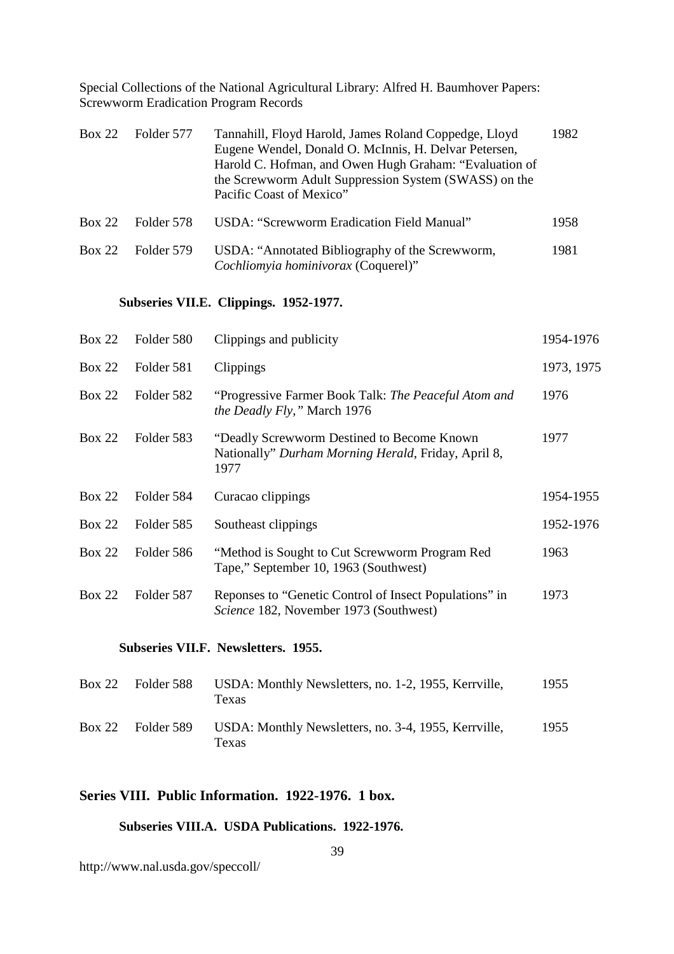| <b>Box 22</b> | Folder 577 | Tannahill, Floyd Harold, James Roland Coppedge, Lloyd<br>Eugene Wendel, Donald O. McInnis, H. Delvar Petersen,<br>Harold C. Hofman, and Owen Hugh Graham: "Evaluation of<br>the Screwworm Adult Suppression System (SWASS) on the<br>Pacific Coast of Mexico" | 1982 |
|---------------|------------|---------------------------------------------------------------------------------------------------------------------------------------------------------------------------------------------------------------------------------------------------------------|------|
| Box 22        | Folder 578 | USDA: "Screwworm Eradication Field Manual"                                                                                                                                                                                                                    | 1958 |
| Box 22        | Folder 579 | USDA: "Annotated Bibliography of the Screwworm,<br>Cochliomyia hominivorax (Coquerel)"                                                                                                                                                                        | 1981 |

### **Subseries VII.E. Clippings. 1952-1977.**

| Box 22        | Folder 580 | Clippings and publicity                                                                                    | 1954-1976  |
|---------------|------------|------------------------------------------------------------------------------------------------------------|------------|
| <b>Box 22</b> | Folder 581 | Clippings                                                                                                  | 1973, 1975 |
| Box 22        | Folder 582 | "Progressive Farmer Book Talk: The Peaceful Atom and<br><i>the Deadly Fly,</i> " March 1976                | 1976       |
| <b>Box 22</b> | Folder 583 | "Deadly Screwworm Destined to Become Known"<br>Nationally" Durham Morning Herald, Friday, April 8,<br>1977 | 1977       |
| Box 22        | Folder 584 | Curacao clippings                                                                                          | 1954-1955  |
|               |            |                                                                                                            |            |
| <b>Box 22</b> | Folder 585 | Southeast clippings                                                                                        | 1952-1976  |
| <b>Box 22</b> | Folder 586 | "Method is Sought to Cut Screwworm Program Red<br>Tape," September 10, 1963 (Southwest)                    | 1963       |
| Box 22        | Folder 587 | Reponses to "Genetic Control of Insect Populations" in<br>Science 182, November 1973 (Southwest)           | 1973       |

### **Subseries VII.F. Newsletters. 1955.**

| Box 22        | Folder 588 | USDA: Monthly Newsletters, no. 1-2, 1955, Kerrville,<br>Texas | 1955 |
|---------------|------------|---------------------------------------------------------------|------|
| <b>Box 22</b> | Folder 589 | USDA: Monthly Newsletters, no. 3-4, 1955, Kerrville,<br>Texas | 1955 |

# **Series VIII. Public Information. 1922-1976. 1 box.**

### **Subseries VIII.A. USDA Publications. 1922-1976.**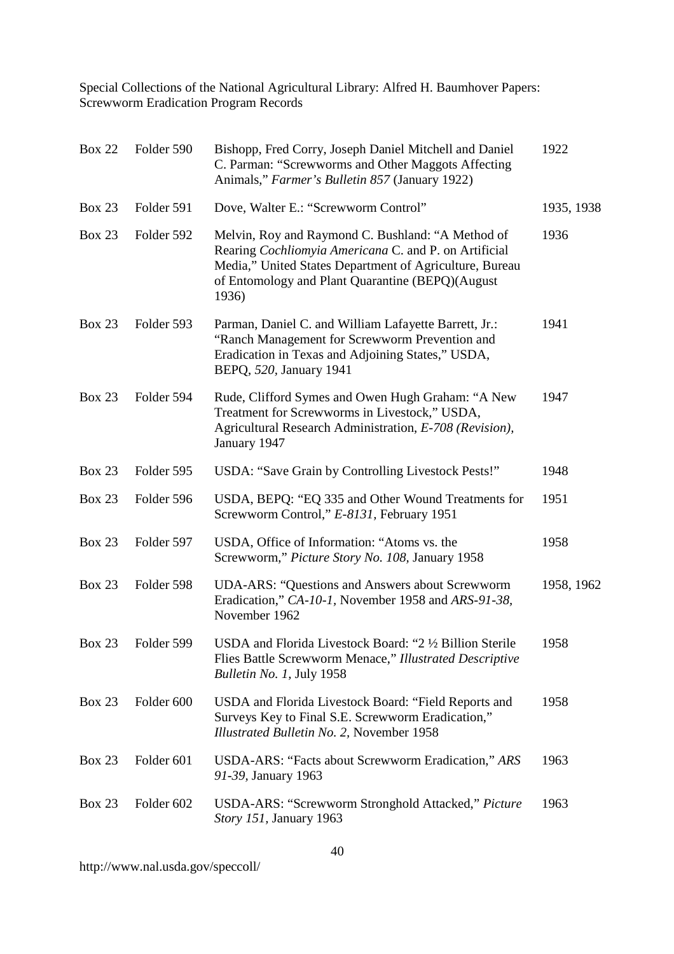| <b>Box 22</b> | Folder 590 | Bishopp, Fred Corry, Joseph Daniel Mitchell and Daniel<br>C. Parman: "Screwworms and Other Maggots Affecting<br>Animals," Farmer's Bulletin 857 (January 1922)                                                                     | 1922       |
|---------------|------------|------------------------------------------------------------------------------------------------------------------------------------------------------------------------------------------------------------------------------------|------------|
| <b>Box 23</b> | Folder 591 | Dove, Walter E.: "Screwworm Control"                                                                                                                                                                                               | 1935, 1938 |
| <b>Box 23</b> | Folder 592 | Melvin, Roy and Raymond C. Bushland: "A Method of<br>Rearing Cochliomyia Americana C. and P. on Artificial<br>Media," United States Department of Agriculture, Bureau<br>of Entomology and Plant Quarantine (BEPQ)(August<br>1936) | 1936       |
| <b>Box 23</b> | Folder 593 | Parman, Daniel C. and William Lafayette Barrett, Jr.:<br>"Ranch Management for Screwworm Prevention and<br>Eradication in Texas and Adjoining States," USDA,<br>BEPQ, 520, January 1941                                            | 1941       |
| <b>Box 23</b> | Folder 594 | Rude, Clifford Symes and Owen Hugh Graham: "A New<br>Treatment for Screwworms in Livestock," USDA,<br>Agricultural Research Administration, E-708 (Revision),<br>January 1947                                                      | 1947       |
| <b>Box 23</b> | Folder 595 | USDA: "Save Grain by Controlling Livestock Pests!"                                                                                                                                                                                 | 1948       |
| <b>Box 23</b> | Folder 596 | USDA, BEPQ: "EQ 335 and Other Wound Treatments for<br>Screwworm Control," E-8131, February 1951                                                                                                                                    | 1951       |
| <b>Box 23</b> | Folder 597 | USDA, Office of Information: "Atoms vs. the<br>Screwworm," Picture Story No. 108, January 1958                                                                                                                                     | 1958       |
| <b>Box 23</b> | Folder 598 | UDA-ARS: "Questions and Answers about Screwworm<br>Eradication," CA-10-1, November 1958 and ARS-91-38,<br>November 1962                                                                                                            | 1958, 1962 |
| <b>Box 23</b> | Folder 599 | USDA and Florida Livestock Board: "2 ½ Billion Sterile<br>Flies Battle Screwworm Menace," Illustrated Descriptive<br>Bulletin No. 1, July 1958                                                                                     | 1958       |
| <b>Box 23</b> | Folder 600 | USDA and Florida Livestock Board: "Field Reports and<br>Surveys Key to Final S.E. Screwworm Eradication,"<br>Illustrated Bulletin No. 2, November 1958                                                                             | 1958       |
| <b>Box 23</b> | Folder 601 | USDA-ARS: "Facts about Screwworm Eradication," ARS<br>91-39, January 1963                                                                                                                                                          | 1963       |
| <b>Box 23</b> | Folder 602 | USDA-ARS: "Screwworm Stronghold Attacked," Picture<br>Story 151, January 1963                                                                                                                                                      | 1963       |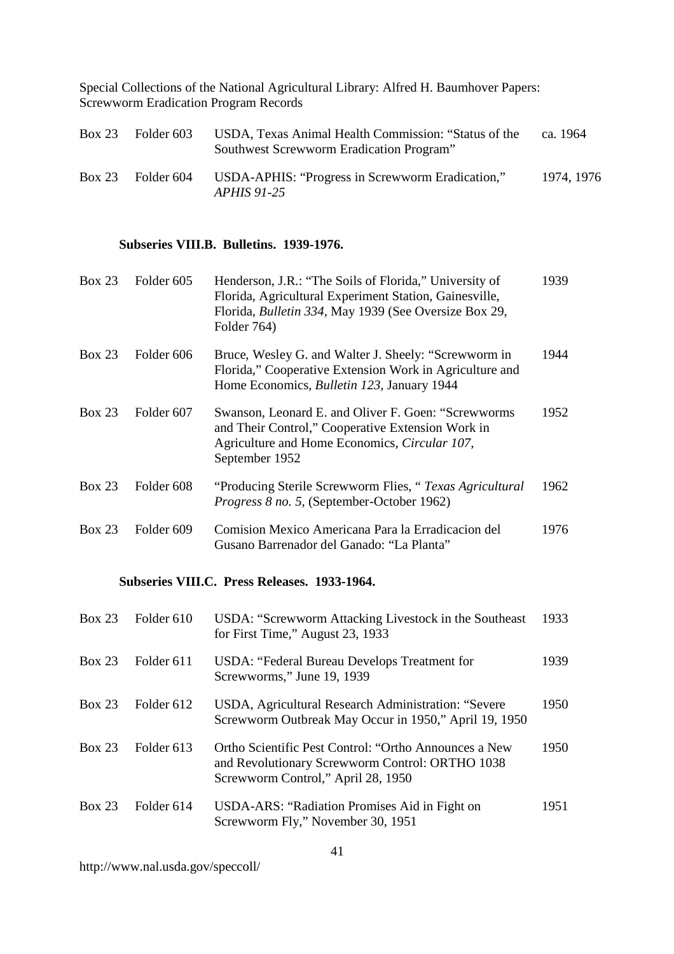| <b>Box 23</b> | Folder 603 | USDA, Texas Animal Health Commission: "Status of the<br>Southwest Screwworm Eradication Program" | ca. 1964   |
|---------------|------------|--------------------------------------------------------------------------------------------------|------------|
| <b>Box 23</b> | Folder 604 | USDA-APHIS: "Progress in Screwworm Eradication,"<br><i>APHIS 91-25</i>                           | 1974, 1976 |

### **Subseries VIII.B. Bulletins. 1939-1976.**

| Box 23        | Folder 605 | Henderson, J.R.: "The Soils of Florida," University of<br>Florida, Agricultural Experiment Station, Gainesville,<br>Florida, <i>Bulletin 334</i> , May 1939 (See Oversize Box 29,<br>Folder 764) | 1939 |
|---------------|------------|--------------------------------------------------------------------------------------------------------------------------------------------------------------------------------------------------|------|
| <b>Box 23</b> | Folder 606 | Bruce, Wesley G. and Walter J. Sheely: "Screwworm in<br>Florida," Cooperative Extension Work in Agriculture and<br>Home Economics, <i>Bulletin 123</i> , January 1944                            | 1944 |
| Box 23        | Folder 607 | Swanson, Leonard E. and Oliver F. Goen: "Screwworms<br>and Their Control," Cooperative Extension Work in<br>Agriculture and Home Economics, Circular 107,<br>September 1952                      | 1952 |
| <b>Box 23</b> | Folder 608 | "Producing Sterile Screwworm Flies, "Texas Agricultural"<br><i>Progress 8 no. 5, (September-October 1962)</i>                                                                                    | 1962 |
| <b>Box 23</b> | Folder 609 | Comision Mexico Americana Para la Erradicacion del<br>Gusano Barrenador del Ganado: "La Planta"                                                                                                  | 1976 |

### **Subseries VIII.C. Press Releases. 1933-1964.**

| Box 23 | Folder 610 | USDA: "Screwworm Attacking Livestock in the Southeast<br>for First Time," August 23, 1933                                                      | 1933 |
|--------|------------|------------------------------------------------------------------------------------------------------------------------------------------------|------|
| Box 23 | Folder 611 | USDA: "Federal Bureau Develops Treatment for<br>Screwworms," June 19, 1939                                                                     | 1939 |
| Box 23 | Folder 612 | USDA, Agricultural Research Administration: "Severe<br>Screwworm Outbreak May Occur in 1950," April 19, 1950                                   | 1950 |
| Box 23 | Folder 613 | Ortho Scientific Pest Control: "Ortho Announces a New<br>and Revolutionary Screwworm Control: ORTHO 1038<br>Screwworm Control," April 28, 1950 | 1950 |
| Box 23 | Folder 614 | USDA-ARS: "Radiation Promises Aid in Fight on<br>Screwworm Fly," November 30, 1951                                                             | 1951 |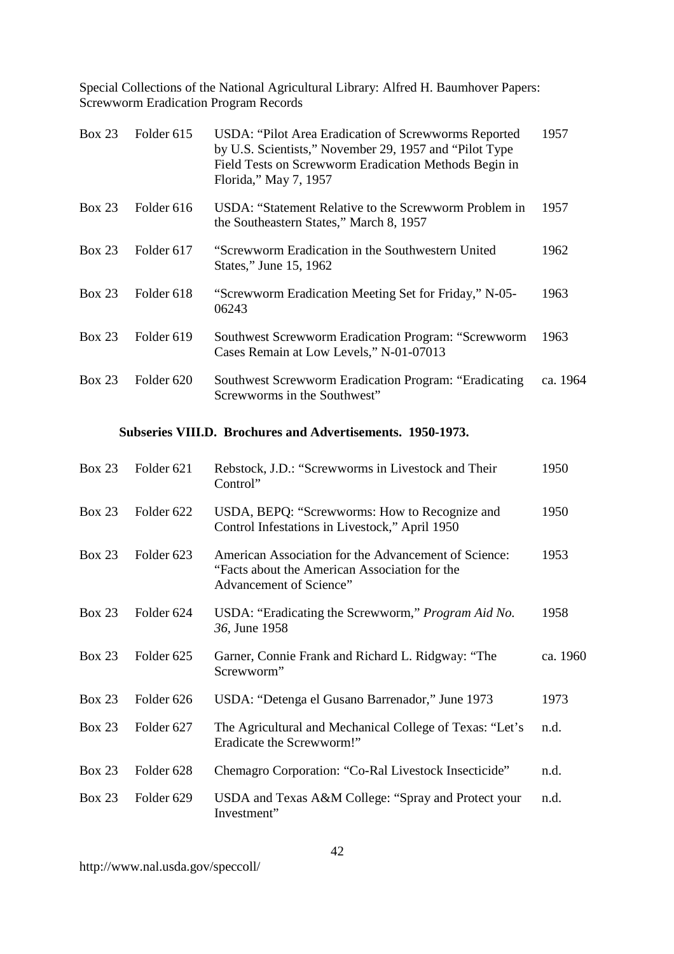| Box 23        | Folder 615 | USDA: "Pilot Area Eradication of Screwworms Reported<br>by U.S. Scientists," November 29, 1957 and "Pilot Type"<br>Field Tests on Screwworm Eradication Methods Begin in<br>Florida," May 7, 1957 | 1957     |
|---------------|------------|---------------------------------------------------------------------------------------------------------------------------------------------------------------------------------------------------|----------|
| <b>Box 23</b> | Folder 616 | USDA: "Statement Relative to the Screwworm Problem in<br>the Southeastern States," March 8, 1957                                                                                                  | 1957     |
| <b>Box 23</b> | Folder 617 | "Screwworm Eradication in the Southwestern United<br>States," June 15, 1962                                                                                                                       | 1962     |
| Box 23        | Folder 618 | "Screwworm Eradication Meeting Set for Friday," N-05-<br>06243                                                                                                                                    | 1963     |
| Box 23        | Folder 619 | Southwest Screwworm Eradication Program: "Screwworm<br>Cases Remain at Low Levels," N-01-07013                                                                                                    | 1963     |
| <b>Box 23</b> | Folder 620 | <b>Southwest Screwworm Eradication Program: "Eradicating</b><br>Screwworms in the Southwest"                                                                                                      | ca. 1964 |

### **Subseries VIII.D. Brochures and Advertisements. 1950-1973.**

| <b>Box 23</b> | Folder 621            | Rebstock, J.D.: "Screwworms in Livestock and Their<br>Control"                                                                   | 1950     |
|---------------|-----------------------|----------------------------------------------------------------------------------------------------------------------------------|----------|
| <b>Box 23</b> | Folder <sub>622</sub> | USDA, BEPQ: "Screwworms: How to Recognize and<br>Control Infestations in Livestock," April 1950                                  | 1950     |
| <b>Box 23</b> | Folder 623            | American Association for the Advancement of Science:<br>"Facts about the American Association for the<br>Advancement of Science" | 1953     |
| <b>Box 23</b> | Folder 624            | USDA: "Eradicating the Screwworm," Program Aid No.<br>36, June 1958                                                              | 1958     |
| <b>Box 23</b> | Folder <sub>625</sub> | Garner, Connie Frank and Richard L. Ridgway: "The<br>Screwworm"                                                                  | ca. 1960 |
| <b>Box 23</b> | Folder 626            | USDA: "Detenga el Gusano Barrenador," June 1973                                                                                  | 1973     |
| <b>Box 23</b> | Folder 627            | The Agricultural and Mechanical College of Texas: "Let's<br>Eradicate the Screwworm!"                                            | n.d.     |
| <b>Box 23</b> | Folder 628            | Chemagro Corporation: "Co-Ral Livestock Insecticide"                                                                             | n.d.     |
| <b>Box 23</b> | Folder 629            | USDA and Texas A&M College: "Spray and Protect your<br>Investment"                                                               | n.d.     |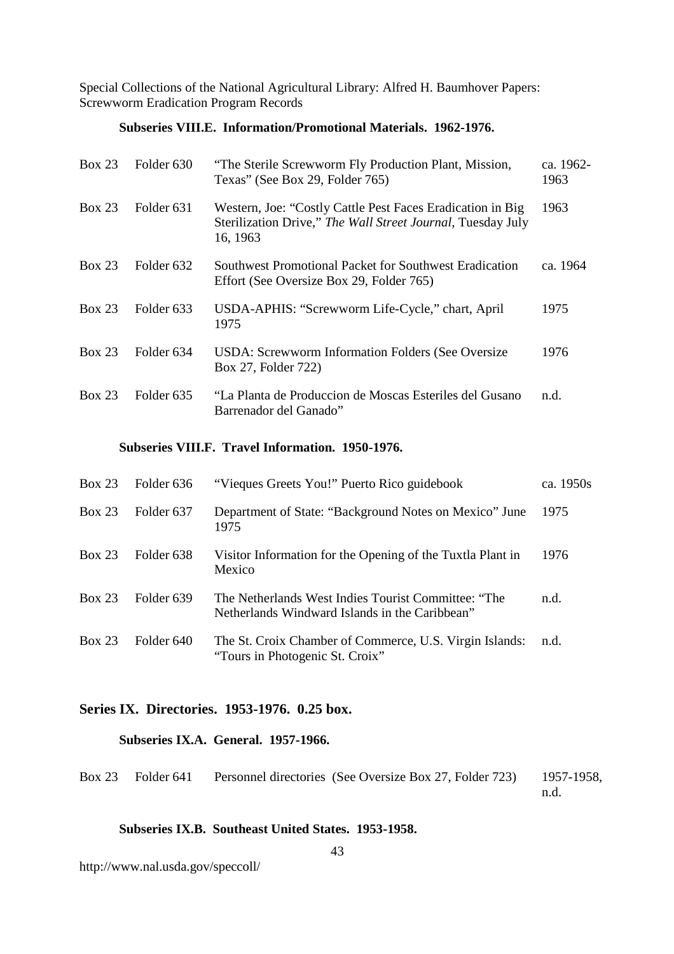### **Subseries VIII.E. Information/Promotional Materials. 1962-1976.**

| <b>Box 23</b> | Folder 630 | "The Sterile Screwworm Fly Production Plant, Mission,<br>Texas" (See Box 29, Folder 765)                                              | ca. 1962-<br>1963 |
|---------------|------------|---------------------------------------------------------------------------------------------------------------------------------------|-------------------|
| <b>Box 23</b> | Folder 631 | Western, Joe: "Costly Cattle Pest Faces Eradication in Big<br>Sterilization Drive," The Wall Street Journal, Tuesday July<br>16, 1963 | 1963              |
| <b>Box 23</b> | Folder 632 | <b>Southwest Promotional Packet for Southwest Eradication</b><br>Effort (See Oversize Box 29, Folder 765)                             | ca. 1964          |
| Box 23        | Folder 633 | USDA-APHIS: "Screwworm Life-Cycle," chart, April<br>1975                                                                              | 1975              |
| Box 23        | Folder 634 | USDA: Screwworm Information Folders (See Oversize)<br>Box 27, Folder 722)                                                             | 1976              |
| Box 23        | Folder 635 | "La Planta de Produccion de Moscas Esteriles del Gusano"<br>Barrenador del Ganado"                                                    | n.d.              |

#### **Subseries VIII.F. Travel Information. 1950-1976.**

| Box 23 | Folder 636 | "Vieques Greets You!" Puerto Rico guidebook                                                           | ca. 1950s |
|--------|------------|-------------------------------------------------------------------------------------------------------|-----------|
| Box 23 | Folder 637 | Department of State: "Background Notes on Mexico" June<br>1975                                        | 1975      |
| Box 23 | Folder 638 | Visitor Information for the Opening of the Tuxtla Plant in<br>Mexico                                  | 1976      |
| Box 23 | Folder 639 | The Netherlands West Indies Tourist Committee: "The<br>Netherlands Windward Islands in the Caribbean" | n.d.      |
| Box 23 | Folder 640 | The St. Croix Chamber of Commerce, U.S. Virgin Islands:<br>"Tours in Photogenic St. Croix"            | n.d.      |

### **Series IX. Directories. 1953-1976. 0.25 box.**

### **Subseries IX.A. General. 1957-1966.**

|  | Box 23 Folder 641 Personnel directories (See Oversize Box 27, Folder 723) 1957-1958, |  |
|--|--------------------------------------------------------------------------------------|--|
|  |                                                                                      |  |

### **Subseries IX.B. Southeast United States. 1953-1958.**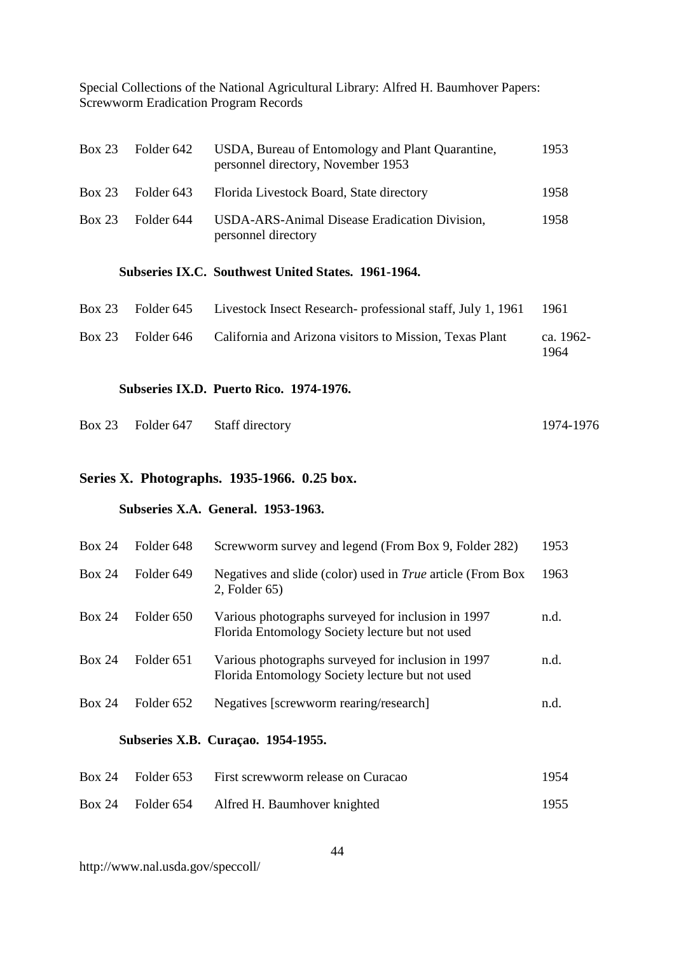| <b>Box 23</b> | Folder 642 | USDA, Bureau of Entomology and Plant Quarantine,<br>personnel directory, November 1953 | 1953 |
|---------------|------------|----------------------------------------------------------------------------------------|------|
| <b>Box 23</b> | Folder 643 | Florida Livestock Board, State directory                                               | 1958 |
| <b>Box 23</b> | Folder 644 | USDA-ARS-Animal Disease Eradication Division,<br>personnel directory                   | 1958 |
|               |            | Subseries IX.C. Southwest United States. 1961-1964.                                    |      |

| $Box 23$ Folder 645 | Livestock Insect Research - professional staff, July 1, 1961 | -1961             |
|---------------------|--------------------------------------------------------------|-------------------|
| $Box 23$ Folder 646 | California and Arizona visitors to Mission, Texas Plant      | ca. 1962-<br>1964 |

#### **Subseries IX.D. Puerto Rico. 1974-1976.**

| Box 23 Folder 647 Staff directory | 1974-1976 |
|-----------------------------------|-----------|
|-----------------------------------|-----------|

# **Series X. Photographs. 1935-1966. 0.25 box.**

### **Subseries X.A. General. 1953-1963.**

| Box 24        | Folder 648 | Screwworm survey and legend (From Box 9, Folder 282)                                                  | 1953 |
|---------------|------------|-------------------------------------------------------------------------------------------------------|------|
| Box 24        | Folder 649 | Negatives and slide (color) used in <i>True</i> article (From Box<br>$2$ , Folder $65$ )              | 1963 |
| <b>Box 24</b> | Folder 650 | Various photographs surveyed for inclusion in 1997<br>Florida Entomology Society lecture but not used | n.d. |
| Box 24        | Folder 651 | Various photographs surveyed for inclusion in 1997<br>Florida Entomology Society lecture but not used | n.d. |
| Box 24        | Folder 652 | Negatives [screwworm rearing/research]                                                                | n.d. |
|               |            | Subseries X.B. Curaçao. 1954-1955.                                                                    |      |
| Box 24        | Folder 653 | First screwworm release on Curacao                                                                    | 1954 |

Box 24 Folder 654 Alfred H. Baumhover knighted 1955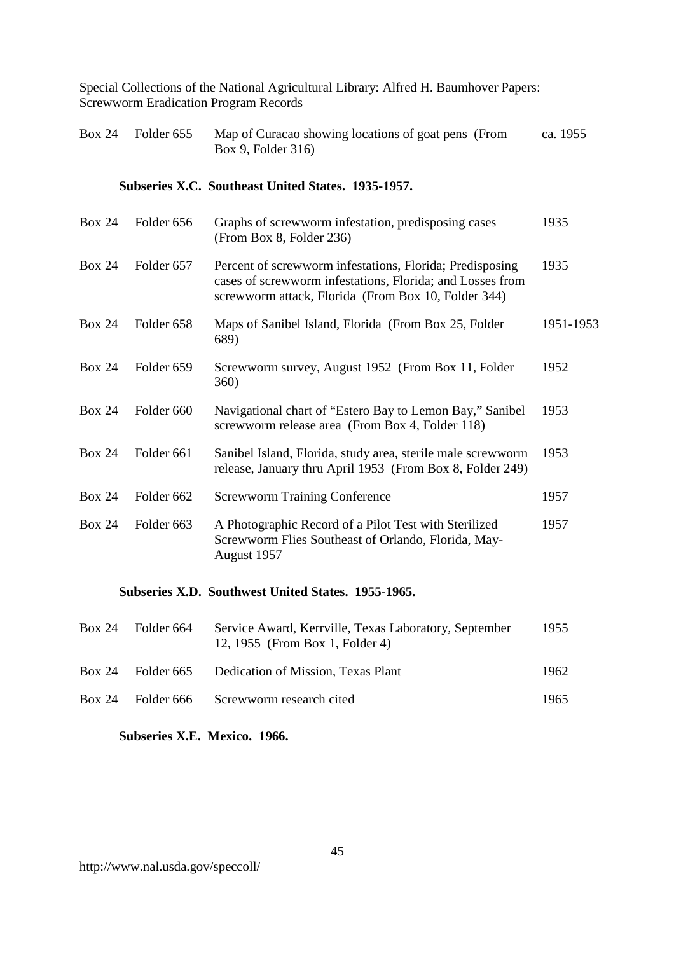| Box 24 Folder $655$ | Map of Curacao showing locations of goat pens (From | ca. 1955 |
|---------------------|-----------------------------------------------------|----------|
|                     | Box 9, Folder 316)                                  |          |

#### **Subseries X.C. Southeast United States. 1935-1957.**

| <b>Box 24</b> | Folder 656 | Graphs of screwworm infestation, predisposing cases<br>(From Box 8, Folder 236)                                                                                              | 1935      |
|---------------|------------|------------------------------------------------------------------------------------------------------------------------------------------------------------------------------|-----------|
| Box 24        | Folder 657 | Percent of screwworm infestations, Florida; Predisposing<br>cases of screwworm infestations, Florida; and Losses from<br>screwworm attack, Florida (From Box 10, Folder 344) | 1935      |
| <b>Box 24</b> | Folder 658 | Maps of Sanibel Island, Florida (From Box 25, Folder<br>689)                                                                                                                 | 1951-1953 |
| <b>Box 24</b> | Folder 659 | Screwworm survey, August 1952 (From Box 11, Folder<br><b>360</b> )                                                                                                           | 1952      |
| <b>Box 24</b> | Folder 660 | Navigational chart of "Estero Bay to Lemon Bay," Sanibel<br>screwworm release area (From Box 4, Folder 118)                                                                  | 1953      |
| <b>Box 24</b> | Folder 661 | Sanibel Island, Florida, study area, sterile male screwworm<br>release, January thru April 1953 (From Box 8, Folder 249)                                                     | 1953      |
| <b>Box 24</b> | Folder 662 | <b>Screwworm Training Conference</b>                                                                                                                                         | 1957      |
| <b>Box 24</b> | Folder 663 | A Photographic Record of a Pilot Test with Sterilized<br>Screwworm Flies Southeast of Orlando, Florida, May-<br>August 1957                                                  | 1957      |

# **Subseries X.D. Southwest United States. 1955-1965.**

| Box 24 Folder $664$ | Service Award, Kerrville, Texas Laboratory, September<br>12, 1955 (From Box 1, Folder 4) | 1955 |
|---------------------|------------------------------------------------------------------------------------------|------|
|                     | Box 24 Folder 665 Dedication of Mission, Texas Plant                                     | 1962 |
| $Box 24$ Folder 666 | Screwworm research cited                                                                 | 1965 |

### **Subseries X.E. Mexico. 1966.**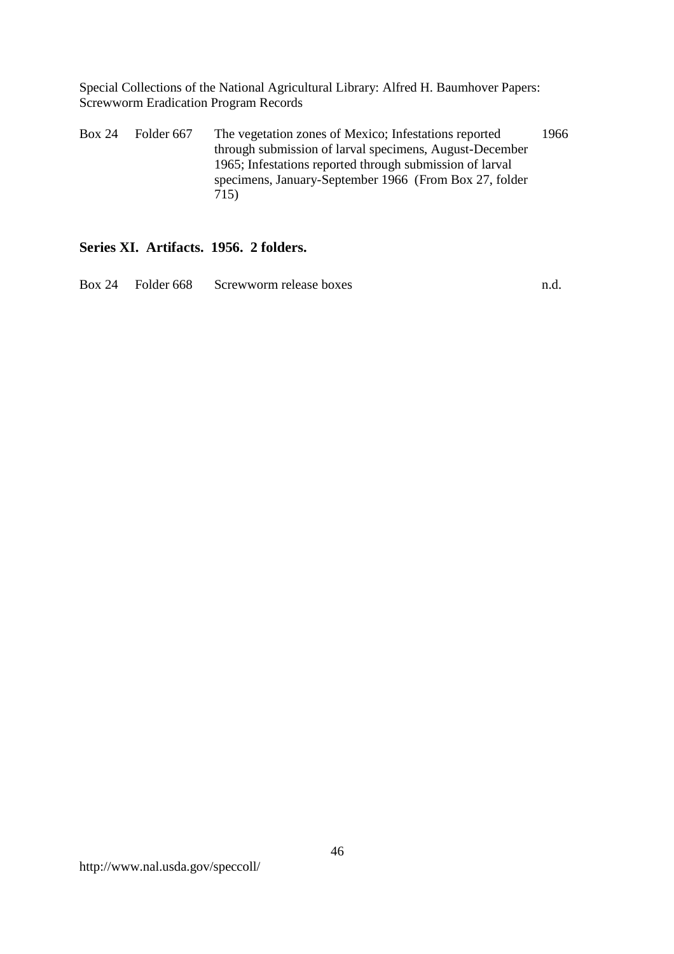Box 24 Folder 667 The vegetation zones of Mexico; Infestations reported through submission of larval specimens, August-December 1965; Infestations reported through submission of larval specimens, January-September 1966 (From Box 27, folder 715) 1966

#### **Series XI. Artifacts. 1956. 2 folders.**

Box 24 Folder 668 Screwworm release boxes n.d.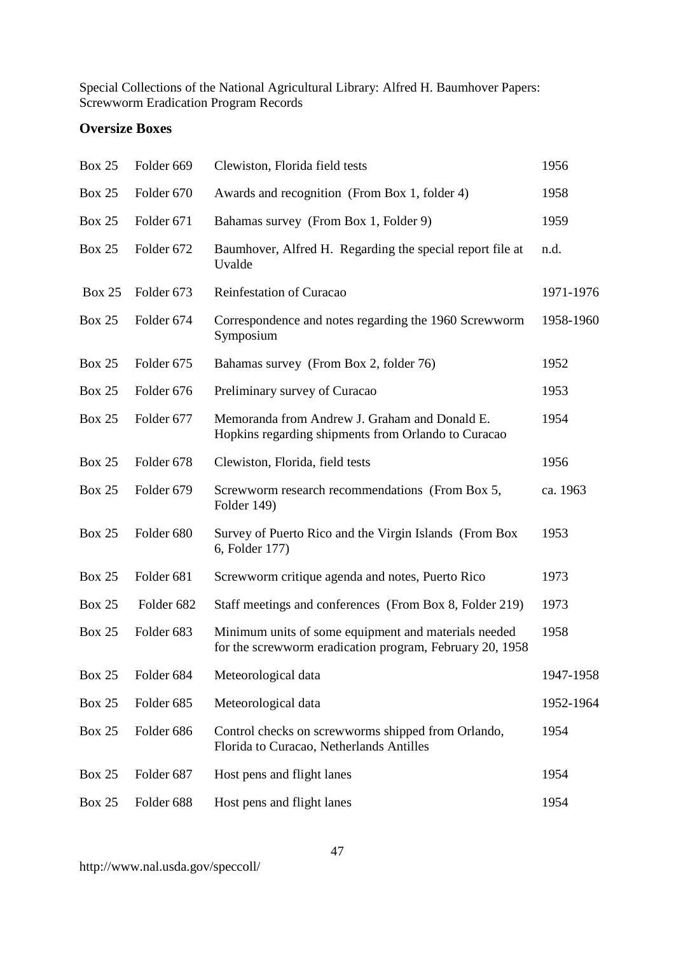# **Oversize Boxes**

| <b>Box 25</b> | Folder 669            | Clewiston, Florida field tests                                                                                   | 1956      |
|---------------|-----------------------|------------------------------------------------------------------------------------------------------------------|-----------|
| <b>Box 25</b> | Folder 670            | Awards and recognition (From Box 1, folder 4)                                                                    | 1958      |
| <b>Box 25</b> | Folder 671            | Bahamas survey (From Box 1, Folder 9)                                                                            | 1959      |
| <b>Box 25</b> | Folder 672            | Baumhover, Alfred H. Regarding the special report file at<br>Uvalde                                              | n.d.      |
| <b>Box 25</b> | Folder 673            | Reinfestation of Curacao                                                                                         | 1971-1976 |
| <b>Box 25</b> | Folder 674            | Correspondence and notes regarding the 1960 Screwworm<br>Symposium                                               | 1958-1960 |
| <b>Box 25</b> | Folder 675            | Bahamas survey (From Box 2, folder 76)                                                                           | 1952      |
| <b>Box 25</b> | Folder 676            | Preliminary survey of Curacao                                                                                    | 1953      |
| <b>Box 25</b> | Folder 677            | Memoranda from Andrew J. Graham and Donald E.<br>Hopkins regarding shipments from Orlando to Curacao             | 1954      |
| <b>Box 25</b> | Folder 678            | Clewiston, Florida, field tests                                                                                  | 1956      |
| <b>Box 25</b> | Folder 679            | Screwworm research recommendations (From Box 5,<br>Folder 149)                                                   | ca. 1963  |
| <b>Box 25</b> | Folder 680            | Survey of Puerto Rico and the Virgin Islands (From Box<br>6, Folder 177)                                         | 1953      |
| <b>Box 25</b> | Folder 681            | Screwworm critique agenda and notes, Puerto Rico                                                                 | 1973      |
| <b>Box 25</b> | Folder 682            | Staff meetings and conferences (From Box 8, Folder 219)                                                          | 1973      |
| <b>Box 25</b> | Folder <sub>683</sub> | Minimum units of some equipment and materials needed<br>for the screwworm eradication program, February 20, 1958 | 1958      |
| <b>Box 25</b> | Folder 684            | Meteorological data                                                                                              | 1947-1958 |
| <b>Box 25</b> | Folder 685            | Meteorological data                                                                                              | 1952-1964 |
| <b>Box 25</b> | Folder 686            | Control checks on screwworms shipped from Orlando,<br>Florida to Curacao, Netherlands Antilles                   | 1954      |
| <b>Box 25</b> | Folder 687            | Host pens and flight lanes                                                                                       | 1954      |
| <b>Box 25</b> | Folder 688            | Host pens and flight lanes                                                                                       | 1954      |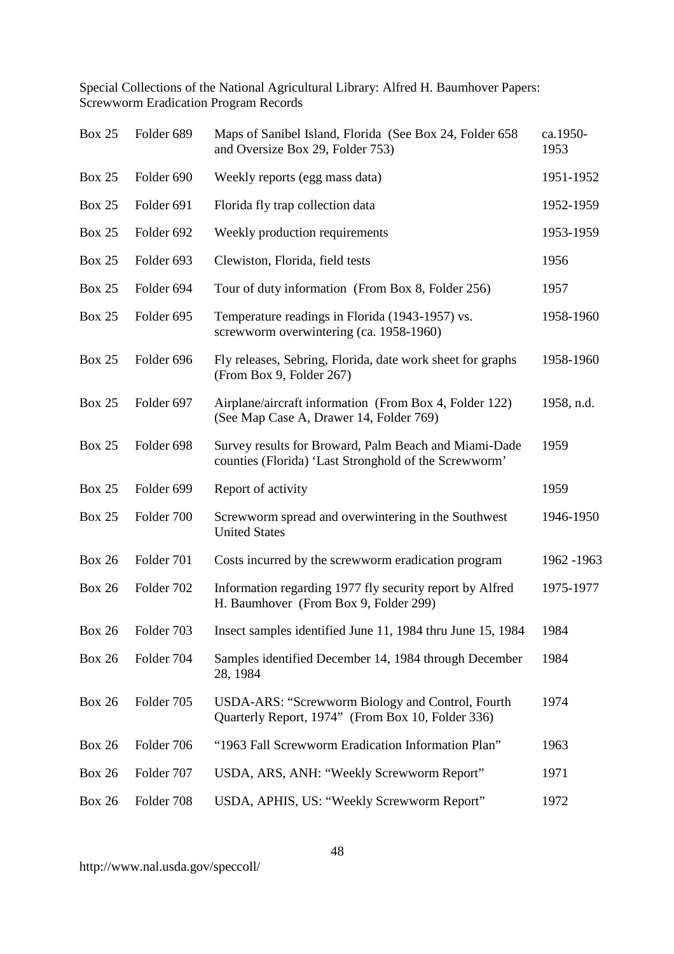| <b>Box 25</b> | Folder 689 | Maps of Sanibel Island, Florida (See Box 24, Folder 658<br>and Oversize Box 29, Folder 753)                    | ca.1950-<br>1953 |
|---------------|------------|----------------------------------------------------------------------------------------------------------------|------------------|
| <b>Box 25</b> | Folder 690 | Weekly reports (egg mass data)                                                                                 | 1951-1952        |
| <b>Box 25</b> | Folder 691 | Florida fly trap collection data                                                                               | 1952-1959        |
| <b>Box 25</b> | Folder 692 | Weekly production requirements                                                                                 | 1953-1959        |
| <b>Box 25</b> | Folder 693 | Clewiston, Florida, field tests                                                                                | 1956             |
| <b>Box 25</b> | Folder 694 | Tour of duty information (From Box 8, Folder 256)                                                              | 1957             |
| <b>Box 25</b> | Folder 695 | Temperature readings in Florida (1943-1957) vs.<br>screwworm overwintering (ca. 1958-1960)                     | 1958-1960        |
| <b>Box 25</b> | Folder 696 | Fly releases, Sebring, Florida, date work sheet for graphs<br>(From Box 9, Folder 267)                         | 1958-1960        |
| <b>Box 25</b> | Folder 697 | Airplane/aircraft information (From Box 4, Folder 122)<br>(See Map Case A, Drawer 14, Folder 769)              | 1958, n.d.       |
| <b>Box 25</b> | Folder 698 | Survey results for Broward, Palm Beach and Miami-Dade<br>counties (Florida) 'Last Stronghold of the Screwworm' | 1959             |
| <b>Box 25</b> | Folder 699 | Report of activity                                                                                             | 1959             |
| <b>Box 25</b> | Folder 700 | Screwworm spread and overwintering in the Southwest<br><b>United States</b>                                    | 1946-1950        |
| <b>Box 26</b> | Folder 701 | Costs incurred by the screwworm eradication program                                                            | 1962 - 1963      |
| <b>Box 26</b> | Folder 702 | Information regarding 1977 fly security report by Alfred<br>H. Baumhover (From Box 9, Folder 299)              | 1975-1977        |
| <b>Box 26</b> | Folder 703 | Insect samples identified June 11, 1984 thru June 15, 1984                                                     | 1984             |
| <b>Box 26</b> | Folder 704 | Samples identified December 14, 1984 through December<br>28, 1984                                              | 1984             |
| <b>Box 26</b> | Folder 705 | <b>USDA-ARS: "Screwworm Biology and Control, Fourth</b><br>Quarterly Report, 1974" (From Box 10, Folder 336)   | 1974             |
| <b>Box 26</b> | Folder 706 | "1963 Fall Screwworm Eradication Information Plan"                                                             | 1963             |
| <b>Box 26</b> | Folder 707 | USDA, ARS, ANH: "Weekly Screwworm Report"                                                                      | 1971             |
| <b>Box 26</b> | Folder 708 | USDA, APHIS, US: "Weekly Screwworm Report"                                                                     | 1972             |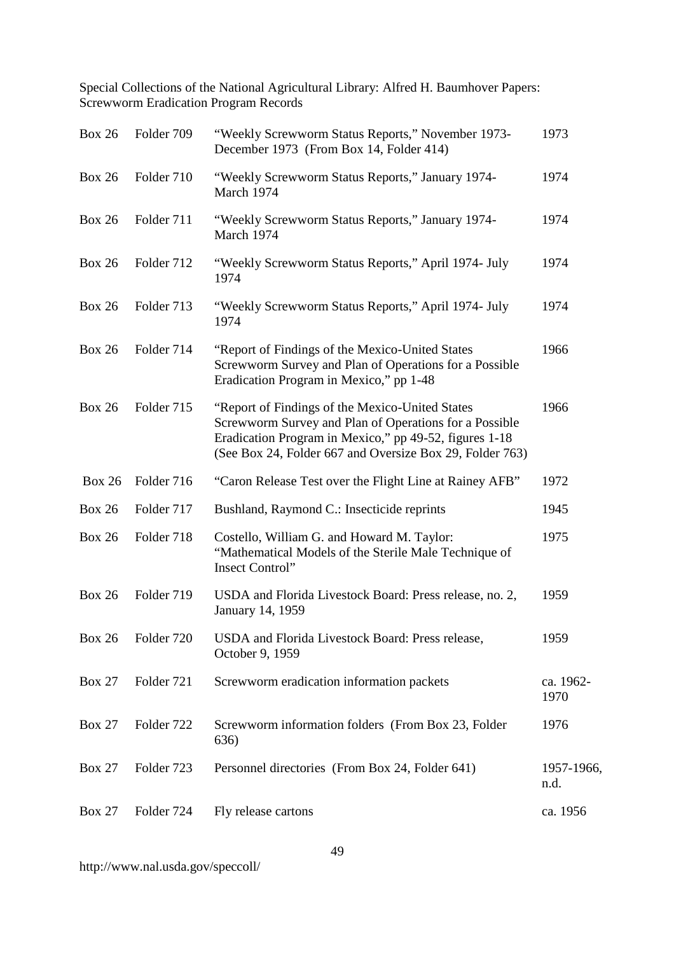| <b>Box 26</b> | Folder 709 | "Weekly Screwworm Status Reports," November 1973-<br>December 1973 (From Box 14, Folder 414)                                                                                                                                    | 1973               |
|---------------|------------|---------------------------------------------------------------------------------------------------------------------------------------------------------------------------------------------------------------------------------|--------------------|
| <b>Box 26</b> | Folder 710 | "Weekly Screwworm Status Reports," January 1974-<br>March 1974                                                                                                                                                                  | 1974               |
| <b>Box 26</b> | Folder 711 | "Weekly Screwworm Status Reports," January 1974-<br>March 1974                                                                                                                                                                  | 1974               |
| <b>Box 26</b> | Folder 712 | "Weekly Screwworm Status Reports," April 1974- July<br>1974                                                                                                                                                                     | 1974               |
| <b>Box 26</b> | Folder 713 | "Weekly Screwworm Status Reports," April 1974- July<br>1974                                                                                                                                                                     | 1974               |
| <b>Box 26</b> | Folder 714 | "Report of Findings of the Mexico-United States<br>Screwworm Survey and Plan of Operations for a Possible<br>Eradication Program in Mexico," pp 1-48                                                                            | 1966               |
| <b>Box 26</b> | Folder 715 | "Report of Findings of the Mexico-United States<br>Screwworm Survey and Plan of Operations for a Possible<br>Eradication Program in Mexico," pp 49-52, figures 1-18<br>(See Box 24, Folder 667 and Oversize Box 29, Folder 763) | 1966               |
| <b>Box 26</b> | Folder 716 | "Caron Release Test over the Flight Line at Rainey AFB"                                                                                                                                                                         | 1972               |
| <b>Box 26</b> | Folder 717 | Bushland, Raymond C.: Insecticide reprints                                                                                                                                                                                      | 1945               |
| <b>Box 26</b> | Folder 718 | Costello, William G. and Howard M. Taylor:<br>"Mathematical Models of the Sterile Male Technique of<br><b>Insect Control</b> "                                                                                                  | 1975               |
| <b>Box 26</b> | Folder 719 | USDA and Florida Livestock Board: Press release, no. 2,<br>January 14, 1959                                                                                                                                                     | 1959               |
| <b>Box 26</b> | Folder 720 | USDA and Florida Livestock Board: Press release,<br>October 9, 1959                                                                                                                                                             | 1959               |
| <b>Box 27</b> | Folder 721 | Screwworm eradication information packets                                                                                                                                                                                       | ca. 1962-<br>1970  |
| <b>Box 27</b> | Folder 722 | Screwworm information folders (From Box 23, Folder<br>636)                                                                                                                                                                      | 1976               |
| <b>Box 27</b> | Folder 723 | Personnel directories (From Box 24, Folder 641)                                                                                                                                                                                 | 1957-1966,<br>n.d. |
| <b>Box 27</b> | Folder 724 | Fly release cartons                                                                                                                                                                                                             | ca. 1956           |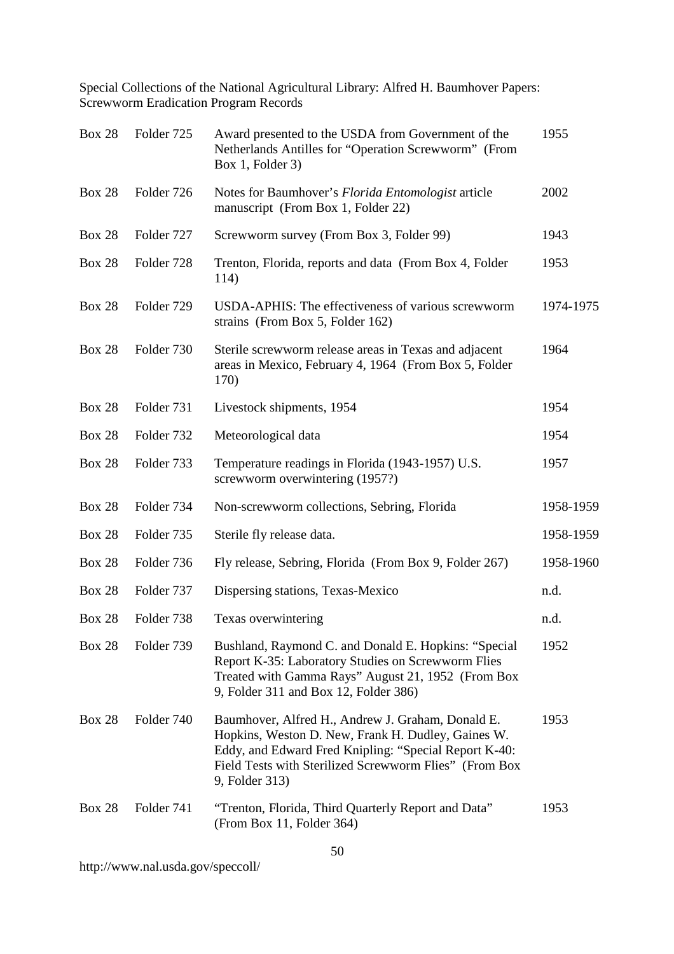| <b>Box 28</b> | Folder 725 | Award presented to the USDA from Government of the<br>Netherlands Antilles for "Operation Screwworm" (From<br>Box 1, Folder 3)                                                                                                               | 1955      |
|---------------|------------|----------------------------------------------------------------------------------------------------------------------------------------------------------------------------------------------------------------------------------------------|-----------|
| <b>Box 28</b> | Folder 726 | Notes for Baumhover's Florida Entomologist article<br>manuscript (From Box 1, Folder 22)                                                                                                                                                     | 2002      |
| <b>Box 28</b> | Folder 727 | Screwworm survey (From Box 3, Folder 99)                                                                                                                                                                                                     | 1943      |
| <b>Box 28</b> | Folder 728 | Trenton, Florida, reports and data (From Box 4, Folder<br>114)                                                                                                                                                                               | 1953      |
| <b>Box 28</b> | Folder 729 | USDA-APHIS: The effectiveness of various screwworm<br>strains (From Box 5, Folder 162)                                                                                                                                                       | 1974-1975 |
| <b>Box 28</b> | Folder 730 | Sterile screwworm release areas in Texas and adjacent<br>areas in Mexico, February 4, 1964 (From Box 5, Folder<br>170)                                                                                                                       | 1964      |
| <b>Box 28</b> | Folder 731 | Livestock shipments, 1954                                                                                                                                                                                                                    | 1954      |
| <b>Box 28</b> | Folder 732 | Meteorological data                                                                                                                                                                                                                          | 1954      |
| <b>Box 28</b> | Folder 733 | Temperature readings in Florida (1943-1957) U.S.<br>screwworm overwintering (1957?)                                                                                                                                                          | 1957      |
| <b>Box 28</b> | Folder 734 | Non-screwworm collections, Sebring, Florida                                                                                                                                                                                                  | 1958-1959 |
| <b>Box 28</b> | Folder 735 | Sterile fly release data.                                                                                                                                                                                                                    | 1958-1959 |
| <b>Box 28</b> | Folder 736 | Fly release, Sebring, Florida (From Box 9, Folder 267)                                                                                                                                                                                       | 1958-1960 |
| <b>Box 28</b> | Folder 737 | Dispersing stations, Texas-Mexico                                                                                                                                                                                                            | n.d.      |
| <b>Box 28</b> | Folder 738 | Texas overwintering                                                                                                                                                                                                                          | n.d.      |
| <b>Box 28</b> | Folder 739 | Bushland, Raymond C. and Donald E. Hopkins: "Special<br>Report K-35: Laboratory Studies on Screwworm Flies<br>Treated with Gamma Rays" August 21, 1952 (From Box<br>9, Folder 311 and Box 12, Folder 386)                                    | 1952      |
| <b>Box 28</b> | Folder 740 | Baumhover, Alfred H., Andrew J. Graham, Donald E.<br>Hopkins, Weston D. New, Frank H. Dudley, Gaines W.<br>Eddy, and Edward Fred Knipling: "Special Report K-40:<br>Field Tests with Sterilized Screwworm Flies" (From Box<br>9, Folder 313) | 1953      |
| <b>Box 28</b> | Folder 741 | "Trenton, Florida, Third Quarterly Report and Data"<br>(From Box 11, Folder 364)                                                                                                                                                             | 1953      |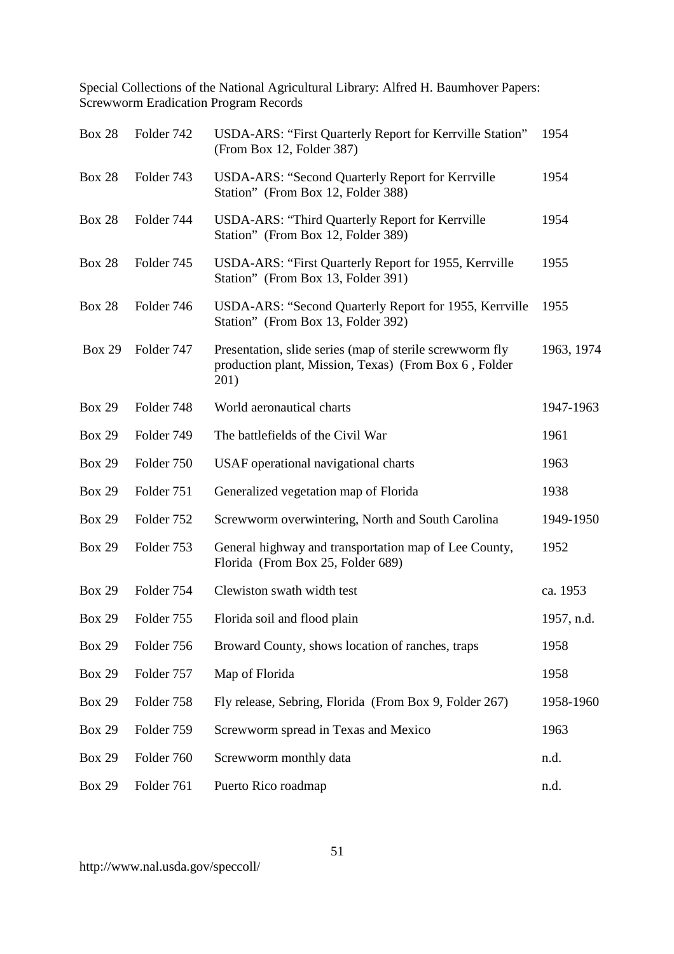| <b>Box 28</b> | Folder 742 | USDA-ARS: "First Quarterly Report for Kerrville Station"<br>(From Box 12, Folder 387)                                     | 1954       |
|---------------|------------|---------------------------------------------------------------------------------------------------------------------------|------------|
| <b>Box 28</b> | Folder 743 | USDA-ARS: "Second Quarterly Report for Kerrville<br>Station" (From Box 12, Folder 388)                                    | 1954       |
| <b>Box 28</b> | Folder 744 | <b>USDA-ARS: "Third Quarterly Report for Kerrville</b><br>Station" (From Box 12, Folder 389)                              | 1954       |
| <b>Box 28</b> | Folder 745 | USDA-ARS: "First Quarterly Report for 1955, Kerrville<br>Station" (From Box 13, Folder 391)                               | 1955       |
| <b>Box 28</b> | Folder 746 | USDA-ARS: "Second Quarterly Report for 1955, Kerrville<br>Station" (From Box 13, Folder 392)                              | 1955       |
| <b>Box 29</b> | Folder 747 | Presentation, slide series (map of sterile screwworm fly<br>production plant, Mission, Texas) (From Box 6, Folder<br>201) | 1963, 1974 |
| <b>Box 29</b> | Folder 748 | World aeronautical charts                                                                                                 | 1947-1963  |
| <b>Box 29</b> | Folder 749 | The battlefields of the Civil War                                                                                         | 1961       |
| <b>Box 29</b> | Folder 750 | USAF operational navigational charts                                                                                      | 1963       |
| <b>Box 29</b> | Folder 751 | Generalized vegetation map of Florida                                                                                     | 1938       |
| <b>Box 29</b> | Folder 752 | Screwworm overwintering, North and South Carolina                                                                         | 1949-1950  |
| <b>Box 29</b> | Folder 753 | General highway and transportation map of Lee County,<br>Florida (From Box 25, Folder 689)                                | 1952       |
| <b>Box 29</b> | Folder 754 | Clewiston swath width test                                                                                                | ca. 1953   |
| <b>Box 29</b> | Folder 755 | Florida soil and flood plain                                                                                              | 1957, n.d. |
| <b>Box 29</b> | Folder 756 | Broward County, shows location of ranches, traps                                                                          | 1958       |
| <b>Box 29</b> | Folder 757 | Map of Florida                                                                                                            | 1958       |
| <b>Box 29</b> | Folder 758 | Fly release, Sebring, Florida (From Box 9, Folder 267)                                                                    | 1958-1960  |
| <b>Box 29</b> | Folder 759 | Screwworm spread in Texas and Mexico                                                                                      | 1963       |
| <b>Box 29</b> | Folder 760 | Screwworm monthly data                                                                                                    | n.d.       |
| <b>Box 29</b> | Folder 761 | Puerto Rico roadmap                                                                                                       | n.d.       |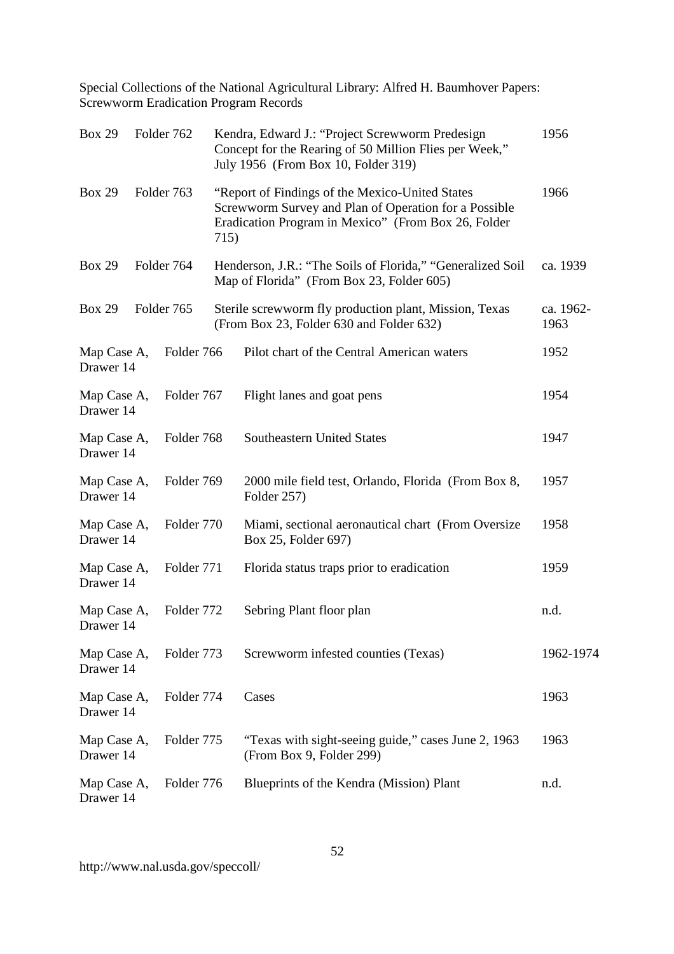| <b>Box 29</b>            | Folder 762 |      | Kendra, Edward J.: "Project Screwworm Predesign<br>Concept for the Rearing of 50 Million Flies per Week,"<br>July 1956 (From Box 10, Folder 319)                | 1956              |
|--------------------------|------------|------|-----------------------------------------------------------------------------------------------------------------------------------------------------------------|-------------------|
| <b>Box 29</b>            | Folder 763 | 715) | "Report of Findings of the Mexico-United States<br>Screwworm Survey and Plan of Operation for a Possible<br>Eradication Program in Mexico" (From Box 26, Folder | 1966              |
| <b>Box 29</b>            | Folder 764 |      | Henderson, J.R.: "The Soils of Florida," "Generalized Soil<br>Map of Florida" (From Box 23, Folder 605)                                                         | ca. 1939          |
| <b>Box 29</b>            | Folder 765 |      | Sterile screwworm fly production plant, Mission, Texas<br>(From Box 23, Folder 630 and Folder 632)                                                              | ca. 1962-<br>1963 |
| Map Case A,<br>Drawer 14 | Folder 766 |      | Pilot chart of the Central American waters                                                                                                                      | 1952              |
| Map Case A,<br>Drawer 14 | Folder 767 |      | Flight lanes and goat pens                                                                                                                                      | 1954              |
| Map Case A,<br>Drawer 14 | Folder 768 |      | <b>Southeastern United States</b>                                                                                                                               | 1947              |
| Map Case A,<br>Drawer 14 | Folder 769 |      | 2000 mile field test, Orlando, Florida (From Box 8,<br>Folder 257)                                                                                              | 1957              |
| Map Case A,<br>Drawer 14 | Folder 770 |      | Miami, sectional aeronautical chart (From Oversize<br>Box 25, Folder 697)                                                                                       | 1958              |
| Map Case A,<br>Drawer 14 | Folder 771 |      | Florida status traps prior to eradication                                                                                                                       | 1959              |
| Map Case A,<br>Drawer 14 | Folder 772 |      | Sebring Plant floor plan                                                                                                                                        | n.d.              |
| Map Case A,<br>Drawer 14 | Folder 773 |      | Screwworm infested counties (Texas)                                                                                                                             | 1962-1974         |
| Map Case A,<br>Drawer 14 | Folder 774 |      | Cases                                                                                                                                                           | 1963              |
| Map Case A,<br>Drawer 14 | Folder 775 |      | "Texas with sight-seeing guide," cases June 2, 1963<br>(From Box 9, Folder 299)                                                                                 | 1963              |
| Map Case A,<br>Drawer 14 | Folder 776 |      | Blueprints of the Kendra (Mission) Plant                                                                                                                        | n.d.              |